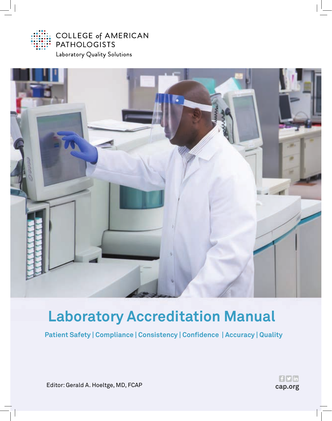

**COLLEGE of AMERICAN PATHOLOGISTS** 

Laboratory Quality Solutions



# **Laboratory Accreditation Manual**

**Patient Safety | Compliance | Consistency | Confidence | Accuracy | Quality**



Editor: Gerald A. Hoeltge, MD, FCAP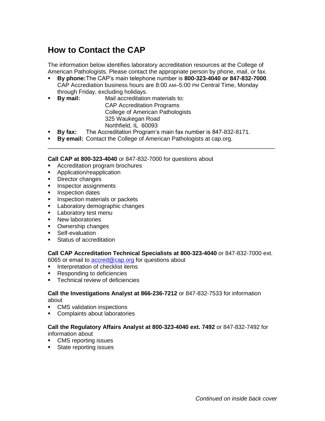# **How to Contact the CAP**

The information below identifies laboratory accreditation resources at the College of American Pathologists. Please contact the appropriate person by phone, mail, or fax.

- **By phone:**The CAP's main telephone number is **800-323-4040 or 847-832-7000**. CAP Accrediation business hours are 8:00 AM–5:00 PM Central Time, Monday through Friday, excluding holidays.
- **By mail:** Mail accreditation materials to: CAP Accreditation Programs College of American Pathologists 325 Waukegan Road Northfield, IL 60093
- **By fax:** The Accreditation Program's main fax number is 847-832-8171.

\_\_\_\_\_\_\_\_\_\_\_\_\_\_\_\_\_\_\_\_\_\_\_\_\_\_\_\_\_\_\_\_\_\_\_\_\_\_\_\_\_\_\_\_\_\_\_\_\_\_\_\_\_\_\_\_\_\_\_\_\_\_\_\_\_\_\_\_\_\_

**By email:** Contact the College of American Pathologists at cap.org.

**Call CAP at 800-323-4040** or 847-832-7000 for questions about

- **Accreditation program brochures**
- **Application/reapplication**
- **Director changes**
- **Inspector assignments**
- **Inspection dates**
- **Inspection materials or packets**
- **Laboratory demographic changes**
- **Laboratory test menu**
- **New laboratories**
- Ownership changes
- **Self-evaluation**
- Status of accreditation

**Call CAP Accreditation Technical Specialists at 800-323-4040** or 847-832-7000 ext.

6065 or email to **accred@cap.org** for questions about

- **Interpretation of checklist items**
- Responding to deficiencies
- **Technical review of deficiencies**

#### **Call the Investigations Analyst at 866-236-7212** or 847-832-7533 for information about

- **CMS** validation inspections
- Complaints about laboratories

#### **Call the Regulatory Affairs Analyst at 800-323-4040 ext. 7492** or 847-832-7492 for information about

- **CMS** reporting issues
- **State reporting issues**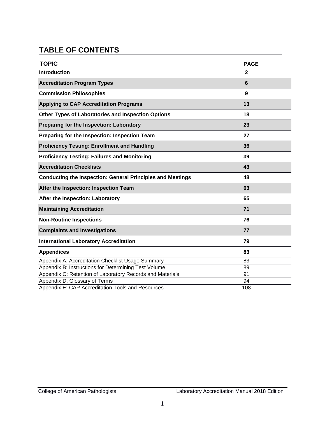# **TABLE OF CONTENTS**

| <b>TOPIC</b>                                                      | <b>PAGE</b>  |
|-------------------------------------------------------------------|--------------|
| <b>Introduction</b>                                               | $\mathbf{2}$ |
| <b>Accreditation Program Types</b>                                | 6            |
| <b>Commission Philosophies</b>                                    | 9            |
| <b>Applying to CAP Accreditation Programs</b>                     | 13           |
| Other Types of Laboratories and Inspection Options                | 18           |
| Preparing for the Inspection: Laboratory                          | 23           |
| Preparing for the Inspection: Inspection Team                     | 27           |
| <b>Proficiency Testing: Enrollment and Handling</b>               | 36           |
| <b>Proficiency Testing: Failures and Monitoring</b>               | 39           |
| <b>Accreditation Checklists</b>                                   | 43           |
| <b>Conducting the Inspection: General Principles and Meetings</b> | 48           |
| After the Inspection: Inspection Team                             | 63           |
| After the Inspection: Laboratory                                  | 65           |
| <b>Maintaining Accreditation</b>                                  | 71           |
| <b>Non-Routine Inspections</b>                                    | 76           |
| <b>Complaints and Investigations</b>                              | 77           |
| <b>International Laboratory Accreditation</b>                     | 79           |
| <b>Appendices</b>                                                 | 83           |
| Appendix A: Accreditation Checklist Usage Summary                 | 83           |
| Appendix B: Instructions for Determining Test Volume              | 89           |
| Appendix C: Retention of Laboratory Records and Materials         | 91           |
| Appendix D: Glossary of Terms                                     | 94           |
| Appendix E: CAP Accreditation Tools and Resources                 | 108          |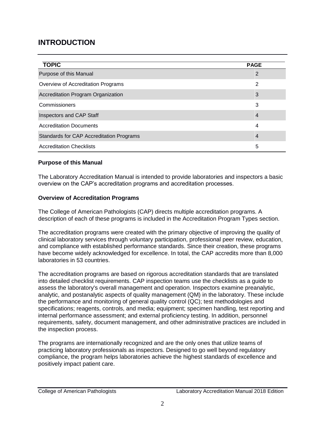# **INTRODUCTION**

| <b>TOPIC</b>                             | <b>PAGE</b>    |
|------------------------------------------|----------------|
| Purpose of this Manual                   | 2              |
| Overview of Accreditation Programs       | 2              |
| Accreditation Program Organization       | 3              |
| Commissioners                            | 3              |
| Inspectors and CAP Staff                 | $\overline{4}$ |
| <b>Accreditation Documents</b>           | 4              |
| Standards for CAP Accreditation Programs | 4              |
| <b>Accreditation Checklists</b>          | 5              |

#### **Purpose of this Manual**

The Laboratory Accreditation Manual is intended to provide laboratories and inspectors a basic overview on the CAP's accreditation programs and accreditation processes.

#### **Overview of Accreditation Programs**

The College of American Pathologists (CAP) directs multiple accreditation programs. A description of each of these programs is included in the Accreditation Program Types section.

The accreditation programs were created with the primary objective of improving the quality of clinical laboratory services through voluntary participation, professional peer review, education, and compliance with established performance standards. Since their creation, these programs have become widely acknowledged for excellence. In total, the CAP accredits more than 8,000 laboratories in 53 countries.

The accreditation programs are based on rigorous accreditation standards that are translated into detailed checklist requirements. CAP inspection teams use the checklists as a guide to assess the laboratory's overall management and operation. Inspectors examine preanalytic, analytic, and postanalytic aspects of quality management (QM) in the laboratory. These include the performance and monitoring of general quality control (QC); test methodologies and specifications; reagents, controls, and media; equipment; specimen handling, test reporting and internal performance assessment; and external proficiency testing. In addition, personnel requirements, safety, document management, and other administrative practices are included in the inspection process.

The programs are internationally recognized and are the only ones that utilize teams of practicing laboratory professionals as inspectors. Designed to go well beyond regulatory compliance, the program helps laboratories achieve the highest standards of excellence and positively impact patient care.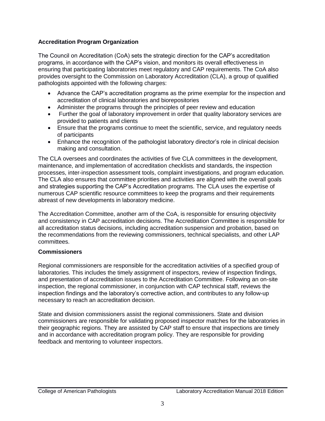#### **Accreditation Program Organization**

The Council on Accreditation (CoA) sets the strategic direction for the CAP's accreditation programs, in accordance with the CAP's vision, and monitors its overall effectiveness in ensuring that participating laboratories meet regulatory and CAP requirements. The CoA also provides oversight to the Commission on Laboratory Accreditation (CLA), a group of qualified pathologists appointed with the following charges:

- Advance the CAP's accreditation programs as the prime exemplar for the inspection and accreditation of clinical laboratories and biorepositories
- Administer the programs through the principles of peer review and education
- Further the goal of laboratory improvement in order that quality laboratory services are provided to patients and clients
- Ensure that the programs continue to meet the scientific, service, and regulatory needs of participants
- Enhance the recognition of the pathologist laboratory director's role in clinical decision making and consultation.

The CLA oversees and coordinates the activities of five CLA committees in the development, maintenance, and implementation of accreditation checklists and standards, the inspection processes, inter-inspection assessment tools, complaint investigations, and program education. The CLA also ensures that committee priorities and activities are aligned with the overall goals and strategies supporting the CAP's Accreditation programs. The CLA uses the expertise of numerous CAP scientific resource committees to keep the programs and their requirements abreast of new developments in laboratory medicine.

The Accreditation Committee, another arm of the CoA, is responsible for ensuring objectivity and consistency in CAP accreditation decisions. The Accreditation Committee is responsible for all accreditation status decisions, including accreditation suspension and probation, based on the recommendations from the reviewing commissioners, technical specialists, and other LAP committees.

#### **Commissioners**

Regional commissioners are responsible for the accreditation activities of a specified group of laboratories. This includes the timely assignment of inspectors, review of inspection findings, and presentation of accreditation issues to the Accreditation Committee. Following an on-site inspection, the regional commissioner, in conjunction with CAP technical staff, reviews the inspection findings and the laboratory's corrective action, and contributes to any follow-up necessary to reach an accreditation decision.

State and division commissioners assist the regional commissioners. State and division commissioners are responsible for validating proposed inspector matches for the laboratories in their geographic regions. They are assisted by CAP staff to ensure that inspections are timely and in accordance with accreditation program policy. They are responsible for providing feedback and mentoring to volunteer inspectors.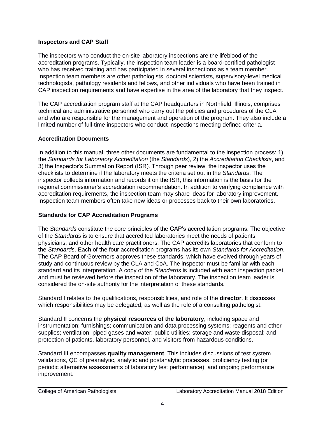#### **Inspectors and CAP Staff**

The inspectors who conduct the on-site laboratory inspections are the lifeblood of the accreditation programs. Typically, the inspection team leader is a board-certified pathologist who has received training and has participated in several inspections as a team member. Inspection team members are other pathologists, doctoral scientists, supervisory-level medical technologists, pathology residents and fellows, and other individuals who have been trained in CAP inspection requirements and have expertise in the area of the laboratory that they inspect.

The CAP accreditation program staff at the CAP headquarters in Northfield, Illinois, comprises technical and administrative personnel who carry out the policies and procedures of the CLA and who are responsible for the management and operation of the program. They also include a limited number of full-time inspectors who conduct inspections meeting defined criteria.

## **Accreditation Documents**

In addition to this manual, three other documents are fundamental to the inspection process: 1) the *Standards for Laboratory Accreditation* (the *Standards*)*,* 2) the *Accreditation Checklists*, and 3) the Inspector's Summation Report (ISR). Through peer review, the inspector uses the checklists to determine if the laboratory meets the criteria set out in the *Standards*. The inspector collects information and records it on the ISR; this information is the basis for the regional commissioner's accreditation recommendation. In addition to verifying compliance with accreditation requirements, the inspection team may share ideas for laboratory improvement. Inspection team members often take new ideas or processes back to their own laboratories.

# **Standards for CAP Accreditation Programs**

The *Standards* constitute the core principles of the CAP's accreditation programs. The objective of the *Standards* is to ensure that accredited laboratories meet the needs of patients, physicians, and other health care practitioners. The CAP accredits laboratories that conform to the *Standards*. Each of the four accreditation programs has its own *Standards for Accreditation*. The CAP Board of Governors approves these standards, which have evolved through years of study and continuous review by the CLA and CoA. The inspector must be familiar with each standard and its interpretation. A copy of the *Standards* is included with each inspection packet, and must be reviewed before the inspection of the laboratory. The inspection team leader is considered the on-site authority for the interpretation of these standards*.* 

Standard I relates to the qualifications, responsibilities, and role of the **director**. It discusses which responsibilities may be delegated, as well as the role of a consulting pathologist.

Standard II concerns the **physical resources of the laboratory**, including space and instrumentation; furnishings; communication and data processing systems; reagents and other supplies; ventilation; piped gases and water; public utilities; storage and waste disposal; and protection of patients, laboratory personnel, and visitors from hazardous conditions.

Standard III encompasses **quality management**. This includes discussions of test system validations, QC of preanalytic, analytic and postanalytic processes, proficiency testing (or periodic alternative assessments of laboratory test performance), and ongoing performance improvement.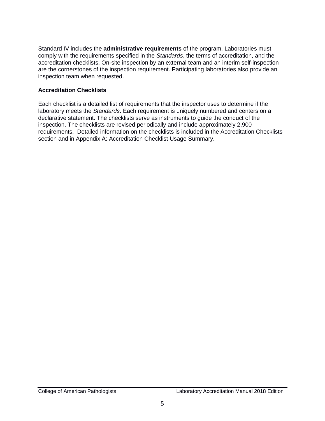Standard IV includes the **administrative requirements** of the program. Laboratories must comply with the requirements specified in the *Standards*, the terms of accreditation, and the accreditation checklists. On-site inspection by an external team and an interim self-inspection are the cornerstones of the inspection requirement. Participating laboratories also provide an inspection team when requested.

#### **Accreditation Checklists**

Each checklist is a detailed list of requirements that the inspector uses to determine if the laboratory meets the *Standards*. Each requirement is uniquely numbered and centers on a declarative statement. The checklists serve as instruments to guide the conduct of the inspection. The checklists are revised periodically and include approximately 2,900 requirements. Detailed information on the checklists is included in the Accreditation Checklists section and in Appendix A: Accreditation Checklist Usage Summary.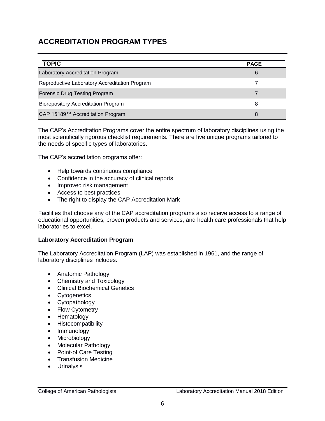# **ACCREDITATION PROGRAM TYPES**

| <b>TOPIC</b>                                  | <b>PAGE</b> |
|-----------------------------------------------|-------------|
| Laboratory Accreditation Program              | 6           |
| Reproductive Laboratory Accreditation Program |             |
| Forensic Drug Testing Program                 |             |
| <b>Biorepository Accreditation Program</b>    | 8           |
| CAP 15189™ Accreditation Program              | 8           |

The CAP's Accreditation Programs cover the entire spectrum of laboratory disciplines using the most scientifically rigorous checklist requirements. There are five unique programs tailored to the needs of specific types of laboratories.

The CAP's accreditation programs offer:

- Help towards continuous compliance
- Confidence in the accuracy of clinical reports
- Improved risk management
- Access to best practices
- The right to display the CAP Accreditation Mark

Facilities that choose any of the CAP accreditation programs also receive access to a range of educational opportunities, proven products and services, and health care professionals that help laboratories to excel.

#### **Laboratory Accreditation Program**

The Laboratory Accreditation Program (LAP) was established in 1961, and the range of laboratory disciplines includes:

- Anatomic Pathology
- Chemistry and Toxicology
- Clinical Biochemical Genetics
- Cytogenetics
- Cytopathology
- Flow Cytometry
- Hematology
- Histocompatibility
- Immunology
- Microbiology
- Molecular Pathology
- Point-of Care Testing
- Transfusion Medicine
- **•** Urinalysis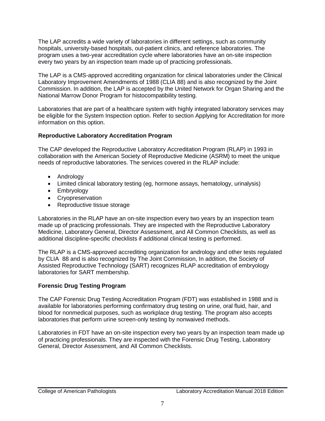The LAP accredits a wide variety of laboratories in different settings, such as community hospitals, university-based hospitals, out-patient clinics, and reference laboratories. The program uses a two-year accreditation cycle where laboratories have an on-site inspection every two years by an inspection team made up of practicing professionals.

The LAP is a CMS-approved accrediting organization for clinical laboratories under the Clinical Laboratory Improvement Amendments of 1988 (CLIA 88) and is also recognized by the Joint Commission. In addition, the LAP is accepted by the United Network for Organ Sharing and the National Marrow Donor Program for histocompatibility testing.

Laboratories that are part of a healthcare system with highly integrated laboratory services may be eligible for the System Inspection option. Refer to section Applying for Accreditation for more information on this option.

#### **Reproductive Laboratory Accreditation Program**

The CAP developed the Reproductive Laboratory Accreditation Program (RLAP) in 1993 in collaboration with the American Society of Reproductive Medicine (ASRM) to meet the unique needs of reproductive laboratories. The services covered in the RLAP include:

- Andrology
- Limited clinical laboratory testing (eg, hormone assays, hematology, urinalysis)
- Embryology
- Cryopreservation
- Reproductive tissue storage

Laboratories in the RLAP have an on-site inspection every two years by an inspection team made up of practicing professionals. They are inspected with the Reproductive Laboratory Medicine, Laboratory General, Director Assessment, and All Common Checklists, as well as additional discipline-specific checklists if additional clinical testing is performed.

The RLAP is a CMS-approved accrediting organization for andrology and other tests regulated by CLIA 88 and is also recognized by The Joint Commission, In addition, the Society of Assisted Reproductive Technology (SART) recognizes RLAP accreditation of embryology laboratories for SART membership.

## **Forensic Drug Testing Program**

The CAP Forensic Drug Testing Accreditation Program (FDT) was established in 1988 and is available for laboratories performing confirmatory drug testing on urine, oral fluid, hair, and blood for nonmedical purposes, such as workplace drug testing. The program also accepts laboratories that perform urine screen-only testing by nonwaived methods.

Laboratories in FDT have an on-site inspection every two years by an inspection team made up of practicing professionals. They are inspected with the Forensic Drug Testing, Laboratory General, Director Assessment, and All Common Checklists.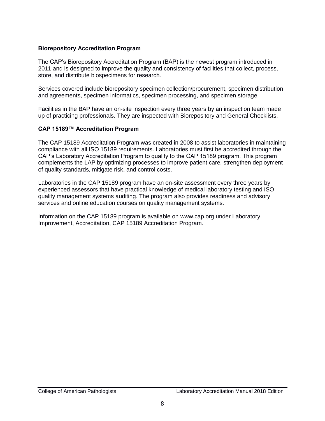#### **Biorepository Accreditation Program**

The CAP's Biorepository Accreditation Program (BAP) is the newest program introduced in 2011 and is designed to improve the quality and consistency of facilities that collect, process, store, and distribute biospecimens for research.

Services covered include biorepository specimen collection/procurement, specimen distribution and agreements, specimen informatics, specimen processing, and specimen storage.

Facilities in the BAP have an on-site inspection every three years by an inspection team made up of practicing professionals. They are inspected with Biorepository and General Checklists.

#### **CAP 15189™ Accreditation Program**

The CAP 15189 Accreditation Program was created in 2008 to assist laboratories in maintaining compliance with all ISO 15189 requirements. Laboratories must first be accredited through the CAP's Laboratory Accreditation Program to qualify to the CAP 15189 program. This program complements the LAP by optimizing processes to improve patient care, strengthen deployment of quality standards, mitigate risk, and control costs.

Laboratories in the CAP 15189 program have an on-site assessment every three years by experienced assessors that have practical knowledge of medical laboratory testing and ISO quality management systems auditing. The program also provides readiness and advisory services and online education courses on quality management systems.

Information on the CAP 15189 program is available on [www.cap.org](http://www.cap.org/) under Laboratory Improvement, Accreditation, CAP 15189 Accreditation Program.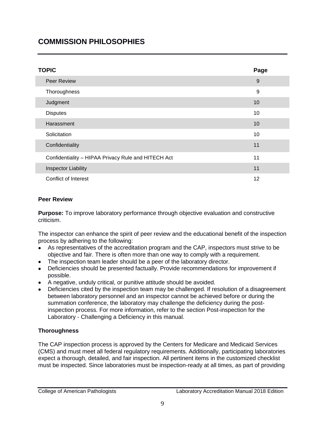# **COMMISSION PHILOSOPHIES**

| <b>TOPIC</b>                                        | Page |
|-----------------------------------------------------|------|
| <b>Peer Review</b>                                  | 9    |
| Thoroughness                                        | 9    |
| Judgment                                            | 10   |
| <b>Disputes</b>                                     | 10   |
| Harassment                                          | 10   |
| Solicitation                                        | 10   |
| Confidentiality                                     | 11   |
| Confidentiality - HIPAA Privacy Rule and HITECH Act | 11   |
| <b>Inspector Liability</b>                          | 11   |
| <b>Conflict of Interest</b>                         | 12   |

#### **Peer Review**

**Purpose:** To improve laboratory performance through objective evaluation and constructive criticism.

The inspector can enhance the spirit of peer review and the educational benefit of the inspection process by adhering to the following:

- As representatives of the accreditation program and the CAP, inspectors must strive to be objective and fair. There is often more than one way to comply with a requirement.
- The inspection team leader should be a peer of the laboratory director.
- Deficiencies should be presented factually. Provide recommendations for improvement if possible.
- A negative, unduly critical, or punitive attitude should be avoided.
- Deficiencies cited by the inspection team may be challenged. If resolution of a disagreement between laboratory personnel and an inspector cannot be achieved before or during the summation conference, the laboratory may challenge the deficiency during the postinspection process. For more information, refer to the section Post-inspection for the Laboratory - Challenging a Deficiency in this manual.

## **Thoroughness**

The CAP inspection process is approved by the Centers for Medicare and Medicaid Services (CMS) and must meet all federal regulatory requirements. Additionally, participating laboratories expect a thorough, detailed, and fair inspection. All pertinent items in the customized checklist must be inspected. Since laboratories must be inspection-ready at all times, as part of providing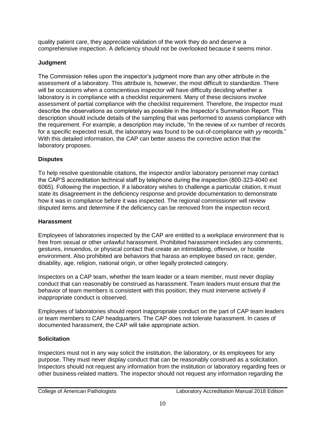quality patient care, they appreciate validation of the work they do and deserve a comprehensive inspection. A deficiency should not be overlooked because it seems minor.

# **Judgment**

The Commission relies upon the inspector's judgment more than any other attribute in the assessment of a laboratory. This attribute is, however, the most difficult to standardize. There will be occasions when a conscientious inspector will have difficulty deciding whether a laboratory is in compliance with a checklist requirement. Many of these decisions involve assessment of partial compliance with the checklist requirement. Therefore, the inspector must describe the observations as completely as possible in the Inspector's Summation Report. This description should include details of the sampling that was performed to assess compliance with the requirement. For example, a description may include, "In the review of *xx* number of records for a specific expected result, the laboratory was found to be out-of-compliance with *yy* records." With this detailed information, the CAP can better assess the corrective action that the laboratory proposes.

# **Disputes**

To help resolve questionable citations, the inspector and/or laboratory personnel may contact the CAP'S accreditation technical staff by telephone during the inspection (800-323-4040 ext 6065). Following the inspection, if a laboratory wishes to challenge a particular citation, it must state its disagreement in the deficiency response and provide documentation to demonstrate how it was in compliance before it was inspected. The regional commissioner will review disputed items and determine if the deficiency can be removed from the inspection record.

# **Harassment**

Employees of laboratories inspected by the CAP are entitled to a workplace environment that is free from sexual or other unlawful harassment. Prohibited harassment includes any comments, gestures, innuendos, or physical contact that create an intimidating, offensive, or hostile environment. Also prohibited are behaviors that harass an employee based on race, gender, disability, age, religion, national origin, or other legally protected category.

Inspectors on a CAP team, whether the team leader or a team member, must never display conduct that can reasonably be construed as harassment. Team leaders must ensure that the behavior of team members is consistent with this position; they must intervene actively if inappropriate conduct is observed.

Employees of laboratories should report inappropriate conduct on the part of CAP team leaders or team members to CAP headquarters. The CAP does not tolerate harassment. In cases of documented harassment, the CAP will take appropriate action.

# **Solicitation**

Inspectors must not in any way solicit the institution, the laboratory, or its employees for any purpose. They must never display conduct that can be reasonably construed as a solicitation. Inspectors should not request any information from the institution or laboratory regarding fees or other business-related matters. The inspector should not request any information regarding the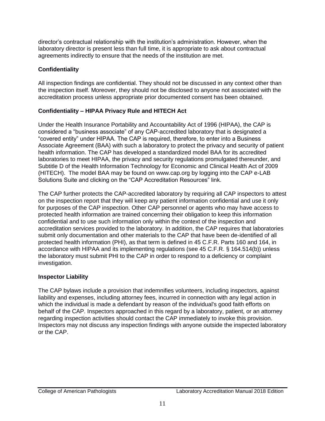director's contractual relationship with the institution's administration. However, when the laboratory director is present less than full time, it is appropriate to ask about contractual agreements indirectly to ensure that the needs of the institution are met.

## **Confidentiality**

All inspection findings are confidential. They should not be discussed in any context other than the inspection itself. Moreover, they should not be disclosed to anyone not associated with the accreditation process unless appropriate prior documented consent has been obtained.

# **Confidentiality – HIPAA Privacy Rule and HITECH Act**

Under the Health Insurance Portability and Accountability Act of 1996 (HIPAA), the CAP is considered a "business associate" of any CAP-accredited laboratory that is designated a "covered entity" under HIPAA. The CAP is required, therefore, to enter into a Business Associate Agreement (BAA) with such a laboratory to protect the privacy and security of patient health information. The CAP has developed a standardized model BAA for its accredited laboratories to meet HIPAA, the privacy and security regulations promulgated thereunder, and Subtitle D of the Health Information Technology for Economic and Clinical Health Act of 2009 (HITECH). The model BAA may be found on www.cap.org by logging into the CAP e-LAB Solutions Suite and clicking on the "CAP Accreditation Resources" link.

The CAP further protects the CAP-accredited laboratory by requiring all CAP inspectors to attest on the inspection report that they will keep any patient information confidential and use it only for purposes of the CAP inspection. Other CAP personnel or agents who may have access to protected health information are trained concerning their obligation to keep this information confidential and to use such information only within the context of the inspection and accreditation services provided to the laboratory. In addition, the CAP requires that laboratories submit only documentation and other materials to the CAP that have been de-identified of all protected health information (PHI), as that term is defined in 45 C.F.R. Parts 160 and 164, in accordance with HIPAA and its implementing regulations (see 45 C.F.R. § 164.514(b)) unless the laboratory must submit PHI to the CAP in order to respond to a deficiency or complaint investigation.

# **Inspector Liability**

The CAP bylaws include a provision that indemnifies volunteers, including inspectors, against liability and expenses, including attorney fees, incurred in connection with any legal action in which the individual is made a defendant by reason of the individual's good faith efforts on behalf of the CAP. Inspectors approached in this regard by a laboratory, patient, or an attorney regarding inspection activities should contact the CAP immediately to invoke this provision. Inspectors may not discuss any inspection findings with anyone outside the inspected laboratory or the CAP.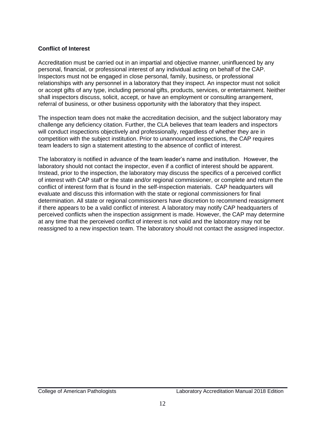#### **Conflict of Interest**

Accreditation must be carried out in an impartial and objective manner, uninfluenced by any personal, financial, or professional interest of any individual acting on behalf of the CAP. Inspectors must not be engaged in close personal, family, business, or professional relationships with any personnel in a laboratory that they inspect. An inspector must not solicit or accept gifts of any type, including personal gifts, products, services, or entertainment. Neither shall inspectors discuss, solicit, accept, or have an employment or consulting arrangement, referral of business, or other business opportunity with the laboratory that they inspect.

The inspection team does not make the accreditation decision, and the subject laboratory may challenge any deficiency citation. Further, the CLA believes that team leaders and inspectors will conduct inspections objectively and professionally, regardless of whether they are in competition with the subject institution. Prior to unannounced inspections, the CAP requires team leaders to sign a statement attesting to the absence of conflict of interest.

The laboratory is notified in advance of the team leader's name and institution. However, the laboratory should not contact the inspector, even if a conflict of interest should be apparent. Instead, prior to the inspection, the laboratory may discuss the specifics of a perceived conflict of interest with CAP staff or the state and/or regional commissioner, or complete and return the conflict of interest form that is found in the self-inspection materials. CAP headquarters will evaluate and discuss this information with the state or regional commissioners for final determination. All state or regional commissioners have discretion to recommend reassignment if there appears to be a valid conflict of interest. A laboratory may notify CAP headquarters of perceived conflicts when the inspection assignment is made. However, the CAP may determine at any time that the perceived conflict of interest is not valid and the laboratory may not be reassigned to a new inspection team. The laboratory should not contact the assigned inspector.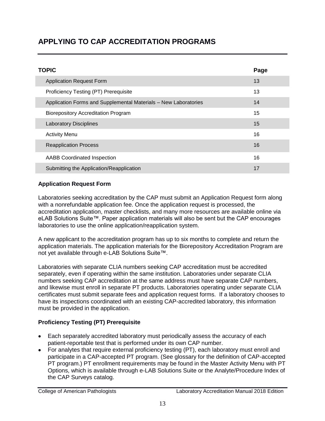# **APPLYING TO CAP ACCREDITATION PROGRAMS**

| <b>TOPIC</b>                                                    | Page |
|-----------------------------------------------------------------|------|
| <b>Application Request Form</b>                                 | 13   |
| Proficiency Testing (PT) Prerequisite                           | 13   |
| Application Forms and Supplemental Materials - New Laboratories | 14   |
| <b>Biorepository Accreditation Program</b>                      | 15   |
| <b>Laboratory Disciplines</b>                                   | 15   |
| <b>Activity Menu</b>                                            | 16   |
| <b>Reapplication Process</b>                                    | 16   |
| <b>AABB Coordinated Inspection</b>                              | 16   |
| Submitting the Application/Reapplication                        | 17   |

#### **Application Request Form**

Laboratories seeking accreditation by the CAP must submit an Application Request form along with a nonrefundable application fee. Once the application request is processed, the accreditation application, master checklists, and many more resources are available online via eLAB Solutions Suite™. Paper application materials will also be sent but the CAP encourages laboratories to use the online application/reapplication system.

A new applicant to the accreditation program has up to six months to complete and return the application materials. The application materials for the Biorepository Accreditation Program are not yet available through e-LAB Solutions Suite™.

Laboratories with separate CLIA numbers seeking CAP accreditation must be accredited separately, even if operating within the same institution. Laboratories under separate CLIA numbers seeking CAP accreditation at the same address must have separate CAP numbers, and likewise must enroll in separate PT products. Laboratories operating under separate CLIA certificates must submit separate fees and application request forms. If a laboratory chooses to have its inspections coordinated with an existing CAP-accredited laboratory, this information must be provided in the application.

## **Proficiency Testing (PT) Prerequisite**

- Each separately accredited laboratory must periodically assess the accuracy of each patient-reportable test that is performed under its own CAP number.
- For analytes that require external proficiency testing (PT), each laboratory must enroll and participate in a CAP-accepted PT program. (See glossary for the definition of CAP-accepted PT program.) PT enrollment requirements may be found in the Master Activity Menu with PT Options, which is available through e-LAB Solutions Suite or the Analyte/Procedure Index of the CAP Surveys catalog.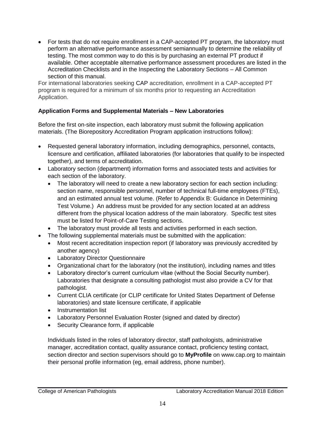• For tests that do not require enrollment in a CAP-accepted PT program, the laboratory must perform an alternative performance assessment semiannually to determine the reliability of testing. The most common way to do this is by purchasing an external PT product if available. Other acceptable alternative performance assessment procedures are listed in the Accreditation Checklists and in the Inspecting the Laboratory Sections – All Common section of this manual.

For international laboratories seeking CAP accreditation, enrollment in a CAP-accepted PT program is required for a minimum of six months prior to requesting an Accreditation Application.

## **Application Forms and Supplemental Materials – New Laboratories**

Before the first on-site inspection, each laboratory must submit the following application materials. (The Biorepository Accreditation Program application instructions follow):

- Requested general laboratory information, including demographics, personnel, contacts, licensure and certification, affiliated laboratories (for laboratories that qualify to be inspected together), and terms of accreditation.
- Laboratory section (department) information forms and associated tests and activities for each section of the laboratory.
	- The laboratory will need to create a new laboratory section for each section including: section name, responsible personnel, number of technical full-time employees (FTEs), and an estimated annual test volume. (Refer to Appendix B: Guidance in Determining Test Volume.) An address must be provided for any section located at an address different from the physical location address of the main laboratory. Specific test sites must be listed for Point-of-Care Testing sections.
	- The laboratory must provide all tests and activities performed in each section.
- The following supplemental materials must be submitted with the application:
	- Most recent accreditation inspection report (if laboratory was previously accredited by another agency)
	- Laboratory Director Questionnaire
	- Organizational chart for the laboratory (not the institution), including names and titles
	- Laboratory director's current curriculum vitae (without the Social Security number). Laboratories that designate a consulting pathologist must also provide a CV for that pathologist.
	- Current CLIA certificate (or CLIP certificate for United States Department of Defense laboratories) and state licensure certificate, if applicable
	- Instrumentation list
	- Laboratory Personnel Evaluation Roster (signed and dated by director)
	- Security Clearance form, if applicable

Individuals listed in the roles of laboratory director, staff pathologists, administrative manager, accreditation contact, quality assurance contact, proficiency testing contact, section director and section supervisors should go to **MyProfile** on www.cap.org to maintain their personal profile information (eg, email address, phone number).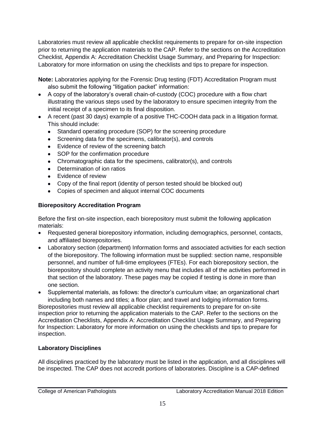Laboratories must review all applicable checklist requirements to prepare for on-site inspection prior to returning the application materials to the CAP. Refer to the sections on the Accreditation Checklist, Appendix A: Accreditation Checklist Usage Summary, and Preparing for Inspection: Laboratory for more information on using the checklists and tips to prepare for inspection.

**Note:** Laboratories applying for the Forensic Drug testing (FDT) Accreditation Program must also submit the following "litigation packet" information:

- A copy of the laboratory's overall chain-of-custody (COC) procedure with a flow chart illustrating the various steps used by the laboratory to ensure specimen integrity from the initial receipt of a specimen to its final disposition.
- A recent (past 30 days) example of a positive THC-COOH data pack in a litigation format. This should include:
	- Standard operating procedure (SOP) for the screening procedure
	- Screening data for the specimens, calibrator(s), and controls
	- Evidence of review of the screening batch
	- SOP for the confirmation procedure
	- Chromatographic data for the specimens, calibrator(s), and controls
	- Determination of ion ratios
	- Evidence of review
	- Copy of the final report (identity of person tested should be blocked out)
	- Copies of specimen and aliquot internal COC documents

## **Biorepository Accreditation Program**

Before the first on-site inspection, each biorepository must submit the following application materials:

- Requested general biorepository information, including demographics, personnel, contacts, and affiliated biorepositories.
- Laboratory section (department) Information forms and associated activities for each section of the biorepository. The following information must be supplied: section name, responsible personnel, and number of full-time employees (FTEs). For each biorepository section, the biorepository should complete an activity menu that includes all of the activities performed in that section of the laboratory. These pages may be copied if testing is done in more than one section.

 Supplemental materials, as follows: the director's curriculum vitae; an organizational chart including both names and titles; a floor plan; and travel and lodging information forms. Biorepositories must review all applicable checklist requirements to prepare for on-site inspection prior to returning the application materials to the CAP. Refer to the sections on the Accreditation Checklists, Appendix A: Accreditation Checklist Usage Summary, and Preparing for Inspection: Laboratory for more information on using the checklists and tips to prepare for inspection.

## **Laboratory Disciplines**

All disciplines practiced by the laboratory must be listed in the application, and all disciplines will be inspected. The CAP does not accredit portions of laboratories. Discipline is a CAP-defined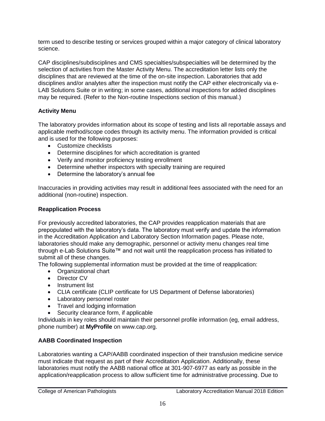term used to describe testing or services grouped within a major category of clinical laboratory science.

CAP disciplines/subdisciplines and CMS specialties/subspecialties will be determined by the selection of activities from the Master Activity Menu. The accreditation letter lists only the disciplines that are reviewed at the time of the on-site inspection. Laboratories that add disciplines and/or analytes after the inspection must notify the CAP either electronically via e-LAB Solutions Suite or in writing; in some cases, additional inspections for added disciplines may be required. (Refer to the Non-routine Inspections section of this manual.)

# **Activity Menu**

The laboratory provides information about its scope of testing and lists all reportable assays and applicable method/scope codes through its activity menu. The information provided is critical and is used for the following purposes:

- Customize checklists
- Determine disciplines for which accreditation is granted
- Verify and monitor proficiency testing enrollment
- Determine whether inspectors with specialty training are required
- Determine the laboratory's annual fee

Inaccuracies in providing activities may result in additional fees associated with the need for an additional (non-routine) inspection.

## **Reapplication Process**

For previously accredited laboratories, the CAP provides reapplication materials that are prepopulated with the laboratory's data. The laboratory must verify and update the information in the Accreditation Application and Laboratory Section Information pages. Please note, laboratories should make any demographic, personnel or activity menu changes real time through e-Lab Solutions Suite™ and not wait until the reapplication process has initiated to submit all of these changes.

The following supplemental information must be provided at the time of reapplication:

- Organizational chart
- Director CV
- Instrument list
- CLIA certificate (CLIP certificate for US Department of Defense laboratories)
- Laboratory personnel roster
- Travel and lodging information
- Security clearance form, if applicable

Individuals in key roles should maintain their personnel profile information (eg, email address, phone number) at **MyProfile** on www.cap.org.

# **AABB Coordinated Inspection**

Laboratories wanting a CAP/AABB coordinated inspection of their transfusion medicine service must indicate that request as part of their Accreditation Application. Additionally, these laboratories must notify the AABB national office at 301-907-6977 as early as possible in the application/reapplication process to allow sufficient time for administrative processing. Due to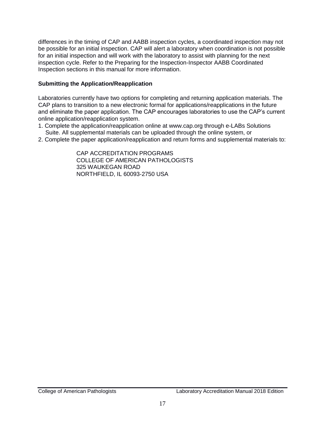differences in the timing of CAP and AABB inspection cycles, a coordinated inspection may not be possible for an initial inspection. CAP will alert a laboratory when coordination is not possible for an initial inspection and will work with the laboratory to assist with planning for the next inspection cycle. Refer to the Preparing for the Inspection-Inspector AABB Coordinated Inspection sections in this manual for more information.

#### **Submitting the Application/Reapplication**

Laboratories currently have two options for completing and returning application materials. The CAP plans to transition to a new electronic formal for applications/reapplications in the future and eliminate the paper application. The CAP encourages laboratories to use the CAP's current online application/reapplication system.

- 1. Complete the application/reapplication online at www.cap.org through e-LABs Solutions Suite. All supplemental materials can be uploaded through the online system, or
- 2. Complete the paper application/reapplication and return forms and supplemental materials to:

 CAP ACCREDITATION PROGRAMS COLLEGE OF AMERICAN PATHOLOGISTS 325 WAUKEGAN ROAD NORTHFIELD, IL 60093-2750 USA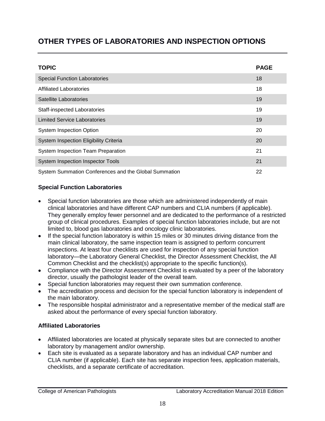# **OTHER TYPES OF LABORATORIES AND INSPECTION OPTIONS**

| <b>TOPIC</b>                                          | <b>PAGE</b> |
|-------------------------------------------------------|-------------|
| <b>Special Function Laboratories</b>                  | 18          |
| <b>Affiliated Laboratories</b>                        | 18          |
| Satellite Laboratories                                | 19          |
| <b>Staff-inspected Laboratories</b>                   | 19          |
| <b>Limited Service Laboratories</b>                   | 19          |
| <b>System Inspection Option</b>                       | 20          |
| System Inspection Eligibility Criteria                | 20          |
| System Inspection Team Preparation                    | 21          |
| <b>System Inspection Inspector Tools</b>              | 21          |
| System Summation Conferences and the Global Summation | 22          |

## **Special Function Laboratories**

- Special function laboratories are those which are administered independently of main clinical laboratories and have different CAP numbers and CLIA numbers (if applicable). They generally employ fewer personnel and are dedicated to the performance of a restricted group of clinical procedures. Examples of special function laboratories include, but are not limited to, blood gas laboratories and oncology clinic laboratories.
- If the special function laboratory is within 15 miles or 30 minutes driving distance from the main clinical laboratory, the same inspection team is assigned to perform concurrent inspections. At least four checklists are used for inspection of any special function laboratory—the Laboratory General Checklist, the Director Assessment Checklist, the All Common Checklist and the checklist(s) appropriate to the specific function(s).
- Compliance with the Director Assessment Checklist is evaluated by a peer of the laboratory director, usually the pathologist leader of the overall team.
- Special function laboratories may request their own summation conference.
- The accreditation process and decision for the special function laboratory is independent of the main laboratory.
- The responsible hospital administrator and a representative member of the medical staff are asked about the performance of every special function laboratory.

## **Affiliated Laboratories**

- Affiliated laboratories are located at physically separate sites but are connected to another laboratory by management and/or ownership.
- Each site is evaluated as a separate laboratory and has an individual CAP number and CLIA number (if applicable). Each site has separate inspection fees, application materials, checklists, and a separate certificate of accreditation.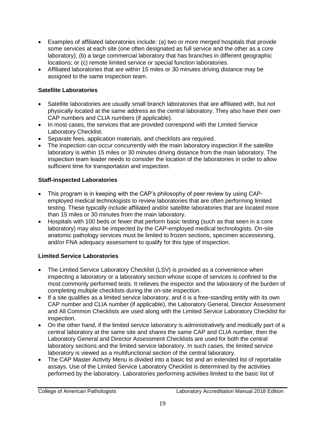- Examples of affiliated laboratories include: (a) two or more merged hospitals that provide some services at each site (one often designated as full service and the other as a core laboratory); (b) a large commercial laboratory that has branches in different geographic locations; or (c) remote limited service or special function laboratories.
- Affiliated laboratories that are within 15 miles or 30 minutes driving distance may be assigned to the same inspection team.

## **Satellite Laboratories**

- Satellite laboratories are usually small branch laboratories that are affiliated with, but not physically located at the same address as the central laboratory. They also have their own CAP numbers and CLIA numbers (if applicable).
- In most cases, the services that are provided correspond with the Limited Service Laboratory Checklist.
- Separate fees, application materials, and checklists are required.
- The inspection can occur concurrently with the main laboratory inspection if the satellite laboratory is within 15 miles or 30 minutes driving distance from the main laboratory. The inspection team leader needs to consider the location of the laboratories in order to allow sufficient time for transportation and inspection.

# **Staff-inspected Laboratories**

- This program is in keeping with the CAP's philosophy of peer review by using CAPemployed medical technologists to review laboratories that are often performing limited testing. These typically include affiliated and/or satellite laboratories that are located more than 15 miles or 30 minutes from the main laboratory.
- Hospitals with 100 beds or fewer that perform basic testing (such as that seen in a core laboratory) may also be inspected by the CAP-employed medical technologists. On-site anatomic pathology services must be limited to frozen sections, specimen accessioning, and/or FNA adequacy assessment to qualify for this type of inspection.

# **Limited Service Laboratories**

- The Limited Service Laboratory Checklist (LSV) is provided as a convenience when inspecting a laboratory or a laboratory section whose scope of services is confined to the most commonly performed tests. It relieves the inspector and the laboratory of the burden of completing multiple checklists during the on-site inspection.
- If a site qualifies as a limited service laboratory, and it is a free-standing entity with its own CAP number and CLIA number (if applicable), the Laboratory General, Director Assessment and All Common Checklists are used along with the Limited Service Laboratory Checklist for inspection.
- On the other hand, if the limited service laboratory is administratively and medically part of a central laboratory at the same site and shares the same CAP and CLIA number, then the Laboratory General and Director Assessment Checklists are used for both the central laboratory sections and the limited service laboratory. In such cases, the limited service laboratory is viewed as a multifunctional section of the central laboratory.
- The CAP Master Activity Menu is divided into a basic list and an extended list of reportable assays. Use of the Limited Service Laboratory Checklist is determined by the activities performed by the laboratory. Laboratories performing activities limited to the basic list of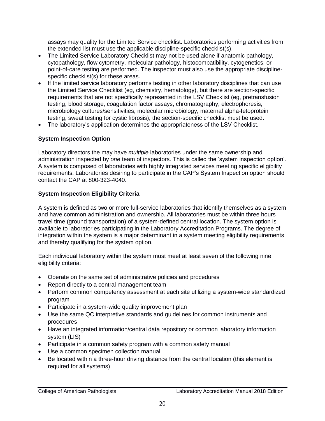assays may quality for the Limited Service checklist. Laboratories performing activities from the extended list must use the applicable discipline-specific checklist(s).

- The Limited Service Laboratory Checklist may not be used alone if anatomic pathology, cytopathology, flow cytometry, molecular pathology, histocompatibility, cytogenetics, or point-of-care testing are performed. The inspector must also use the appropriate disciplinespecific checklist(s) for these areas.
- If the limited service laboratory performs testing in other laboratory disciplines that can use the Limited Service Checklist (eg, chemistry, hematology), but there are section-specific requirements that are not specifically represented in the LSV Checklist (eg, pretransfusion testing, blood storage, coagulation factor assays, chromatography, electrophoresis, microbiology cultures/sensitivities, molecular microbiology, maternal alpha-fetoprotein testing, sweat testing for cystic fibrosis), the section-specific checklist must be used.
- The laboratory's application determines the appropriateness of the LSV Checklist.

## **System Inspection Option**

Laboratory directors the may have *multiple* laboratories under the same ownership and administration inspected by *one* team of inspectors. This is called the 'system inspection option'. A system is composed of laboratories with highly integrated services meeting specific eligibility requirements. Laboratories desiring to participate in the CAP's System Inspection option should contact the CAP at 800-323-4040.

#### **System Inspection Eligibility Criteria**

A system is defined as two or more full-service laboratories that identify themselves as a system and have common administration and ownership. All laboratories must be within three hours travel time (ground transportation) of a system-defined central location. The system option is available to laboratories participating in the Laboratory Accreditation Programs. The degree of integration within the system is a major determinant in a system meeting eligibility requirements and thereby qualifying for the system option.

Each individual laboratory within the system must meet at least seven of the following nine eligibility criteria:

- Operate on the same set of administrative policies and procedures
- Report directly to a central management team
- Perform common competency assessment at each site utilizing a system-wide standardized program
- Participate in a system-wide quality improvement plan
- Use the same QC interpretive standards and guidelines for common instruments and procedures
- Have an integrated information/central data repository or common laboratory information system (LIS)
- Participate in a common safety program with a common safety manual
- Use a common specimen collection manual
- Be located within a three-hour driving distance from the central location (this element is required for all systems)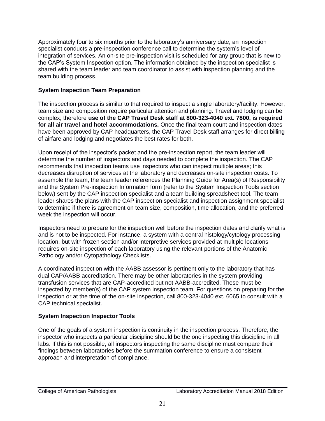Approximately four to six months prior to the laboratory's anniversary date, an inspection specialist conducts a pre-inspection conference call to determine the system's level of integration of services. An on-site pre-inspection visit is scheduled for any group that is new to the CAP's System Inspection option. The information obtained by the inspection specialist is shared with the team leader and team coordinator to assist with inspection planning and the team building process.

#### **System Inspection Team Preparation**

The inspection process is similar to that required to inspect a single laboratory/facility. However, team size and composition require particular attention and planning. Travel and lodging can be complex; therefore **use of the CAP Travel Desk staff at 800-323-4040 ext. 7800, is required for all air travel and hotel accommodations.** Once the final team count and inspection dates have been approved by CAP headquarters, the CAP Travel Desk staff arranges for direct billing of airfare and lodging and negotiates the best rates for both.

Upon receipt of the inspector's packet and the pre-inspection report, the team leader will determine the number of inspectors and days needed to complete the inspection. The CAP recommends that inspection teams use inspectors who can inspect multiple areas; this decreases disruption of services at the laboratory and decreases on-site inspection costs. To assemble the team, the team leader references the Planning Guide for Area(s) of Responsibility and the System Pre-inspection Information form (refer to the System Inspection Tools section below) sent by the CAP inspection specialist and a team building spreadsheet tool. The team leader shares the plans with the CAP inspection specialist and inspection assignment specialist to determine if there is agreement on team size, composition, time allocation, and the preferred week the inspection will occur.

Inspectors need to prepare for the inspection well before the inspection dates and clarify what is and is not to be inspected. For instance, a system with a central histology/cytology processing location, but with frozen section and/or interpretive services provided at multiple locations requires on-site inspection of each laboratory using the relevant portions of the Anatomic Pathology and/or Cytopathology Checklists.

A coordinated inspection with the AABB assessor is pertinent only to the laboratory that has dual CAP/AABB accreditation. There may be other laboratories in the system providing transfusion services that are CAP-accredited but not AABB-accredited. These must be inspected by member(s) of the CAP system inspection team. For questions on preparing for the inspection or at the time of the on-site inspection, call 800-323-4040 ext. 6065 to consult with a CAP technical specialist.

## **System Inspection Inspector Tools**

One of the goals of a system inspection is continuity in the inspection process. Therefore, the inspector who inspects a particular discipline should be the one inspecting this discipline in all labs. If this is not possible, all inspectors inspecting the same discipline must compare their findings between laboratories before the summation conference to ensure a consistent approach and interpretation of compliance.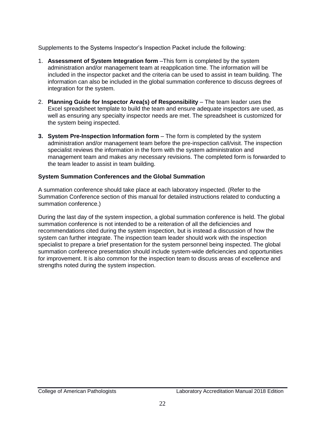Supplements to the Systems Inspector's Inspection Packet include the following:

- 1. **Assessment of System Integration form** –This form is completed by the system administration and/or management team at reapplication time. The information will be included in the inspector packet and the criteria can be used to assist in team building. The information can also be included in the global summation conference to discuss degrees of integration for the system.
- 2. **Planning Guide for Inspector Area(s) of Responsibility** The team leader uses the Excel spreadsheet template to build the team and ensure adequate inspectors are used, as well as ensuring any specialty inspector needs are met. The spreadsheet is customized for the system being inspected.
- **3. System Pre-Inspection Information form**  The form is completed by the system administration and/or management team before the pre-inspection call/visit. The inspection specialist reviews the information in the form with the system administration and management team and makes any necessary revisions. The completed form is forwarded to the team leader to assist in team building.

## **System Summation Conferences and the Global Summation**

A summation conference should take place at each laboratory inspected. (Refer to the Summation Conference section of this manual for detailed instructions related to conducting a summation conference.)

During the last day of the system inspection, a global summation conference is held. The global summation conference is not intended to be a reiteration of all the deficiencies and recommendations cited during the system inspection, but is instead a discussion of how the system can further integrate. The inspection team leader should work with the inspection specialist to prepare a brief presentation for the system personnel being inspected. The global summation conference presentation should include system-wide deficiencies and opportunities for improvement. It is also common for the inspection team to discuss areas of excellence and strengths noted during the system inspection.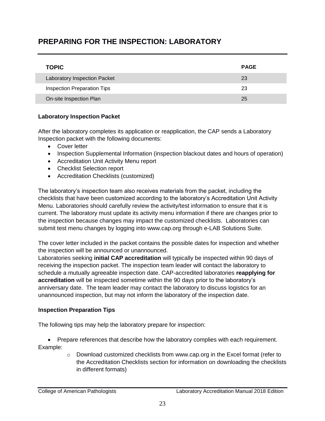# **PREPARING FOR THE INSPECTION: LABORATORY**

| <b>TOPIC</b>                        | <b>PAGE</b> |
|-------------------------------------|-------------|
| <b>Laboratory Inspection Packet</b> | 23          |
| Inspection Preparation Tips         | 23          |
| On-site Inspection Plan             | 25          |

#### **Laboratory Inspection Packet**

After the laboratory completes its application or reapplication, the CAP sends a Laboratory Inspection packet with the following documents:

- Cover letter
- Inspection Supplemental Information (inspection blackout dates and hours of operation)
- Accreditation Unit Activity Menu report
- Checklist Selection report
- Accreditation Checklists (customized)

The laboratory's inspection team also receives materials from the packet, including the checklists that have been customized according to the laboratory's Accreditation Unit Activity Menu. Laboratories should carefully review the activity/test information to ensure that it is current. The laboratory must update its activity menu information if there are changes prior to the inspection because changes may impact the customized checklists. Laboratories can submit test menu changes by logging into www.cap.org through e-LAB Solutions Suite.

The cover letter included in the packet contains the possible dates for inspection and whether the inspection will be announced or unannounced.

Laboratories seeking **initial CAP accreditation** will typically be inspected within 90 days of receiving the inspection packet. The inspection team leader will contact the laboratory to schedule a mutually agreeable inspection date. CAP-accredited laboratories **reapplying for accreditation** will be inspected sometime within the 90 days prior to the laboratory's anniversary date. The team leader may contact the laboratory to discuss logistics for an unannounced inspection, but may not inform the laboratory of the inspection date.

#### **Inspection Preparation Tips**

The following tips may help the laboratory prepare for inspection:

 Prepare references that describe how the laboratory complies with each requirement. Example:

> $\circ$  Download customized checklists from www.cap.org in the Excel format (refer to the Accreditation Checklists section for information on downloading the checklists in different formats)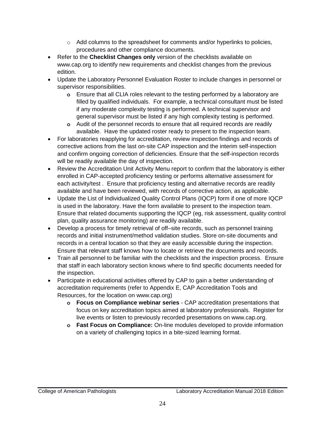- $\circ$  Add columns to the spreadsheet for comments and/or hyperlinks to policies, procedures and other compliance documents.
- Refer to the **Checklist Changes only** version of the checklists available on www.cap.org to identify new requirements and checklist changes from the previous edition.
- Update the Laboratory Personnel Evaluation Roster to include changes in personnel or supervisor responsibilities.
	- **o** Ensure that all CLIA roles relevant to the testing performed by a laboratory are filled by qualified individuals. For example, a technical consultant must be listed if any moderate complexity testing is performed. A technical supervisor and general supervisor must be listed if any high complexity testing is performed.
	- **o** Audit of the personnel records to ensure that all required records are readily available. Have the updated roster ready to present to the inspection team.
- For laboratories reapplying for accreditation, review inspection findings and records of corrective actions from the last on-site CAP inspection and the interim self-inspection and confirm ongoing correction of deficiencies. Ensure that the self-inspection records will be readily available the day of inspection.
- Review the Accreditation Unit Activity Menu report to confirm that the laboratory is either enrolled in CAP-accepted proficiency testing or performs alternative assessment for each activity/test . Ensure that proficiency testing and alternative records are readily available and have been reviewed, with records of corrective action, as applicable.
- Update the List of Individualized Quality Control Plans (IQCP) form if one of more IQCP is used in the laboratory. Have the form available to present to the inspection team. Ensure that related documents supporting the IQCP (eg, risk assessment, quality control plan, quality assurance monitoring) are readily available.
- Develop a process for timely retrieval of off–site records, such as personnel training records and initial instrument/method validation studies. Store on-site documents and records in a central location so that they are easily accessible during the inspection. Ensure that relevant staff knows how to locate or retrieve the documents and records.
- Train all personnel to be familiar with the checklists and the inspection process. Ensure that staff in each laboratory section knows where to find specific documents needed for the inspection.
- Participate in educational activities offered by CAP to gain a better understanding of accreditation requirements (refer to Appendix E, CAP Accreditation Tools and Resources, for the location on www.cap.org)
	- **o Focus on Compliance webinar series**  CAP accreditation presentations that focus on key accreditation topics aimed at laboratory professionals. Register for live events or listen to previously recorded presentations on www.cap.org.
	- **o Fast Focus on Compliance:** On-line modules developed to provide information on a variety of challenging topics in a bite-sized learning format.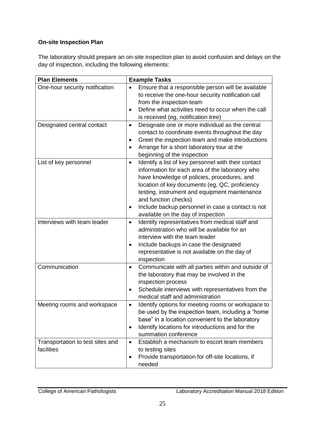# **On-site Inspection Plan**

The laboratory should prepare an on-site inspection plan to avoid confusion and delays on the day of inspection, including the following elements:

| <b>Plan Elements</b>                                         | <b>Example Tasks</b>                                                                                                                                                                                                                                                                                                                                                                                  |
|--------------------------------------------------------------|-------------------------------------------------------------------------------------------------------------------------------------------------------------------------------------------------------------------------------------------------------------------------------------------------------------------------------------------------------------------------------------------------------|
| One-hour security notification<br>Designated central contact | Ensure that a responsible person will be available<br>to receive the one-hour security notification call<br>from the inspection team<br>Define what activities need to occur when the call<br>$\bullet$<br>is received (eg, notification tree)<br>Designate one or more individual as the central<br>$\bullet$                                                                                        |
|                                                              | contact to coordinate events throughout the day<br>Greet the inspection team and make introductions<br>$\bullet$<br>Arrange for a short laboratory tour at the<br>$\bullet$<br>beginning of the inspection                                                                                                                                                                                            |
| List of key personnel                                        | Identify a list of key personnel with their contact<br>$\bullet$<br>information for each area of the laboratory who<br>have knowledge of policies, procedures, and<br>location of key documents (eg, QC, proficiency<br>testing, instrument and equipment maintenance<br>and function checks)<br>Include backup personnel in case a contact is not<br>$\bullet$<br>available on the day of inspection |
| Interviews with team leader                                  | Identify representatives from medical staff and<br>$\bullet$<br>administration who will be available for an<br>interview with the team leader<br>Include backups in case the designated<br>$\bullet$<br>representative is not available on the day of<br>inspection                                                                                                                                   |
| Communication                                                | Communicate with all parties within and outside of<br>$\bullet$<br>the laboratory that may be involved in the<br>inspection process<br>Schedule interviews with representatives from the<br>$\bullet$<br>medical staff and administration                                                                                                                                                             |
| Meeting rooms and workspace                                  | Identify options for meeting rooms or workspace to<br>$\bullet$<br>be used by the inspection team, including a "home<br>base" in a location convenient to the laboratory<br>Identify locations for introductions and for the<br>$\bullet$<br>summation conference                                                                                                                                     |
| Transportation to test sites and<br>facilities               | Establish a mechanism to escort team members<br>$\bullet$<br>to testing sites<br>Provide transportation for off-site locations, if<br>$\bullet$<br>needed                                                                                                                                                                                                                                             |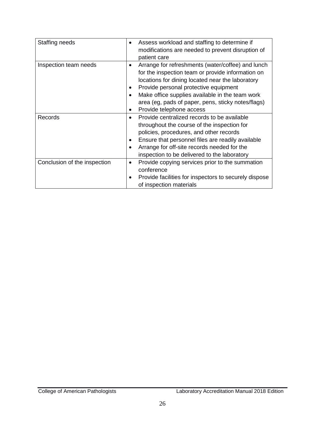| Staffing needs               | Assess workload and staffing to determine if                                                                                                                                                                                                                                                                                                                                                 |
|------------------------------|----------------------------------------------------------------------------------------------------------------------------------------------------------------------------------------------------------------------------------------------------------------------------------------------------------------------------------------------------------------------------------------------|
|                              | modifications are needed to prevent disruption of                                                                                                                                                                                                                                                                                                                                            |
|                              | patient care                                                                                                                                                                                                                                                                                                                                                                                 |
| Inspection team needs        | Arrange for refreshments (water/coffee) and lunch<br>$\bullet$<br>for the inspection team or provide information on<br>locations for dining located near the laboratory<br>Provide personal protective equipment<br>$\bullet$<br>Make office supplies available in the team work<br>$\bullet$<br>area (eg, pads of paper, pens, sticky notes/flags)<br>Provide telephone access<br>$\bullet$ |
| <b>Records</b>               | Provide centralized records to be available<br>$\bullet$<br>throughout the course of the inspection for<br>policies, procedures, and other records<br>Ensure that personnel files are readily available<br>$\bullet$<br>Arrange for off-site records needed for the<br>٠<br>inspection to be delivered to the laboratory                                                                     |
| Conclusion of the inspection | Provide copying services prior to the summation<br>٠<br>conference<br>Provide facilities for inspectors to securely dispose<br>of inspection materials                                                                                                                                                                                                                                       |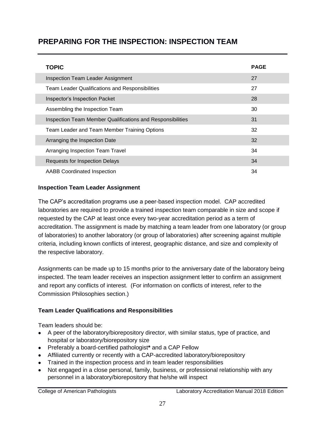# **PREPARING FOR THE INSPECTION: INSPECTION TEAM**

| <b>TOPIC</b>                                               | <b>PAGE</b> |
|------------------------------------------------------------|-------------|
| <b>Inspection Team Leader Assignment</b>                   | 27          |
| <b>Team Leader Qualifications and Responsibilities</b>     | 27          |
| Inspector's Inspection Packet                              | 28          |
| Assembling the Inspection Team                             | 30          |
| Inspection Team Member Qualifications and Responsibilities | 31          |
| Team Leader and Team Member Training Options               | 32          |
| Arranging the Inspection Date                              | 32          |
| Arranging Inspection Team Travel                           | 34          |
| <b>Requests for Inspection Delays</b>                      | 34          |
| <b>AABB Coordinated Inspection</b>                         | 34          |

#### **Inspection Team Leader Assignment**

The CAP's accreditation programs use a peer-based inspection model. CAP accredited laboratories are required to provide a trained inspection team comparable in size and scope if requested by the CAP at least once every two-year accreditation period as a term of accreditation. The assignment is made by matching a team leader from one laboratory (or group of laboratories) to another laboratory (or group of laboratories) after screening against multiple criteria, including known conflicts of interest, geographic distance, and size and complexity of the respective laboratory.

Assignments can be made up to 15 months prior to the anniversary date of the laboratory being inspected. The team leader receives an inspection assignment letter to confirm an assignment and report any conflicts of interest. (For information on conflicts of interest, refer to the Commission Philosophies section.)

## **Team Leader Qualifications and Responsibilities**

Team leaders should be:

- A peer of the laboratory/biorepository director, with similar status, type of practice, and hospital or laboratory/biorepository size
- Preferably a board-certified pathologist**\*** and a CAP Fellow
- Affiliated currently or recently with a CAP-accredited laboratory/biorepository
- Trained in the inspection process and in team leader responsibilities
- Not engaged in a close personal, family, business, or professional relationship with any personnel in a laboratory/biorepository that he/she will inspect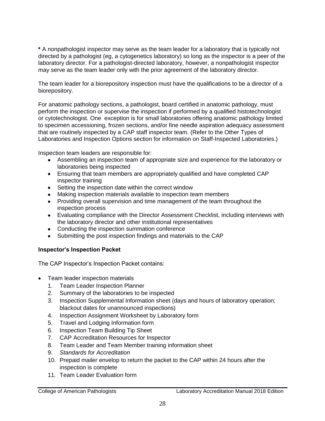**\*** A nonpathologist inspector may serve as the team leader for a laboratory that is typically not directed by a pathologist (eg, a cytogenetics laboratory) so long as the inspector is a peer of the laboratory director. For a pathologist-directed laboratory, however, a nonpathologist inspector may serve as the team leader only with the prior agreement of the laboratory director.

The team leader for a biorepository inspection must have the qualifications to be a director of a biorepository.

For anatomic pathology sections, a pathologist, board certified in anatomic pathology, must perform the inspection or supervise the inspection if performed by a qualified histotechnologist or cytotechnologist. One exception is for small laboratories offering anatomic pathology limited to specimen accessioning, frozen sections, and/or fine needle aspiration adequacy assessment that are routinely inspected by a CAP staff inspector team. (Refer to the Other Types of Laboratories and Inspection Options section for information on Staff-Inspected Laboratories.)

Inspection team leaders are responsible for:

- Assembling an inspection team of appropriate size and experience for the laboratory or laboratories being inspected
- Ensuring that team members are appropriately qualified and have completed CAP inspector training
- Setting the inspection date within the correct window
- Making inspection materials available to inspection team members
- Providing overall supervision and time management of the team throughout the inspection process
- Evaluating compliance with the Director Assessment Checklist, including interviews with the laboratory director and other institutional representatives
- Conducting the inspection summation conference
- Submitting the post inspection findings and materials to the CAP

#### **Inspector's Inspection Packet**

The CAP Inspector's Inspection Packet contains:

- Team leader inspection materials
	- 1. Team Leader Inspection Planner
	- 2. Summary of the laboratories to be inspected
	- 3. Inspection Supplemental Information sheet (days and hours of laboratory operation; blackout dates for unannounced inspections)
	- 4. Inspection Assignment Worksheet by Laboratory form
	- 5. Travel and Lodging Information form
	- 6. Inspection Team Building Tip Sheet
	- 7. CAP Accreditation Resources for Inspector
	- 8. Team Leader and Team Member training information sheet
	- 9. *Standards for Accreditation*
	- 10. Prepaid mailer envelop to return the packet to the CAP within 24 hours after the inspection is complete
	- 11. Team Leader Evaluation form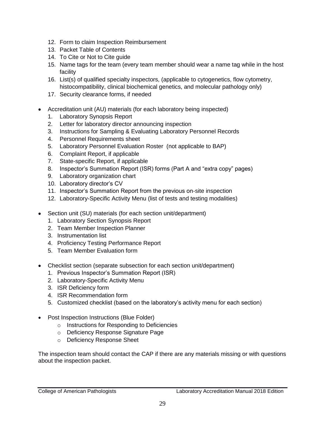- 12. Form to claim Inspection Reimbursement
- 13. Packet Table of Contents
- 14. To Cite or Not to Cite guide
- 15. Name tags for the team (every team member should wear a name tag while in the host facility
- 16. List(s) of qualified specialty inspectors, (applicable to cytogenetics, flow cytometry, histocompatibility, clinical biochemical genetics, and molecular pathology only)
- 17. Security clearance forms, if needed
- Accreditation unit (AU) materials (for each laboratory being inspected)
	- 1. Laboratory Synopsis Report
	- 2. Letter for laboratory director announcing inspection
	- 3. Instructions for Sampling & Evaluating Laboratory Personnel Records
	- 4. Personnel Requirements sheet
	- 5. Laboratory Personnel Evaluation Roster (not applicable to BAP)
	- 6. Complaint Report, if applicable
	- 7. State-specific Report, if applicable
	- 8. Inspector's Summation Report (ISR) forms (Part A and "extra copy" pages)
	- 9. Laboratory organization chart
	- 10. Laboratory director's CV
	- 11. Inspector's Summation Report from the previous on-site inspection
	- 12. Laboratory-Specific Activity Menu (list of tests and testing modalities)
- Section unit (SU) materials (for each section unit/department)
	- 1. Laboratory Section Synopsis Report
	- 2. Team Member Inspection Planner
	- 3. Instrumentation list
	- 4. Proficiency Testing Performance Report
	- 5. Team Member Evaluation form
- Checklist section (separate subsection for each section unit/department)
	- 1. Previous Inspector's Summation Report (ISR)
	- 2. Laboratory-Specific Activity Menu
	- 3. ISR Deficiency form
	- 4. ISR Recommendation form
	- 5. Customized checklist (based on the laboratory's activity menu for each section)
- Post Inspection Instructions (Blue Folder)
	- o Instructions for Responding to Deficiencies
	- o Deficiency Response Signature Page
	- o Deficiency Response Sheet

The inspection team should contact the CAP if there are any materials missing or with questions about the inspection packet.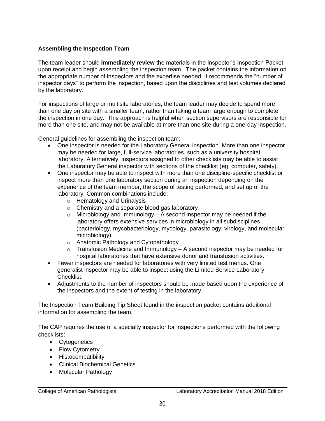#### **Assembling the Inspection Team**

The team leader should **immediately review** the materials in the Inspector's Inspection Packet upon receipt and begin assembling the inspection team. The packet contains the information on the appropriate number of inspectors and the expertise needed. It recommends the "number of inspector days" to perform the inspection, based upon the disciplines and test volumes declared by the laboratory.

For inspections of large or multisite laboratories, the team leader may decide to spend more than one day on site with a smaller team, rather than taking a team large enough to complete the inspection in one day. This approach is helpful when section supervisors are responsible for more than one site, and may not be available at more than one site during a one-day inspection.

General guidelines for assembling the inspection team:

- One inspector is needed for the Laboratory General inspection. More than one inspector may be needed for large, full-service laboratories, such as a university hospital laboratory. Alternatively, inspectors assigned to other checklists may be able to assist the Laboratory General inspector with sections of the checklist (eg, computer, safety).
- One inspector may be able to inspect with more than one discipline-specific checklist or inspect more than one laboratory section during an inspection depending on the experience of the team member, the scope of testing performed, and set up of the laboratory. Common combinations include:
	- o Hematology and Urinalysis
	- o Chemistry and a separate blood gas laboratory
	- $\circ$  Microbiology and Immunology A second inspector may be needed if the laboratory offers extensive services in microbiology in all subdisciplines (bacteriology, mycobacteriology, mycology, parasitology, virology, and molecular microbiology).
	- o Anatomic Pathology and Cytopathology
	- $\circ$  Transfusion Medicine and Immunology A second inspector may be needed for hospital laboratories that have extensive donor and transfusion activities.
- Fewer inspectors are needed for laboratories with very limited test menus. One generalist inspector may be able to inspect using the Limited Service Laboratory Checklist.
- Adjustments to the number of inspectors should be made based upon the experience of the inspectors and the extent of testing in the laboratory.

The Inspection Team Building Tip Sheet found in the inspection packet contains additional information for assembling the team.

The CAP requires the use of a specialty inspector for inspections performed with the following checklists:

- Cytogenetics
- Flow Cytometry
- Histocompatibility
- Clinical Biochemical Genetics
- Molecular Pathology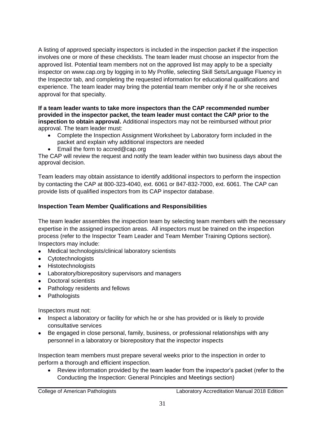A listing of approved specialty inspectors is included in the inspection packet if the inspection involves one or more of these checklists. The team leader must choose an inspector from the approved list. Potential team members not on the approved list may apply to be a specialty inspector on www.cap.org by logging in to My Profile, selecting Skill Sets/Language Fluency in the Inspector tab, and completing the requested information for educational qualifications and experience. The team leader may bring the potential team member only if he or she receives approval for that specialty.

**If a team leader wants to take more inspectors than the CAP recommended number provided in the inspector packet, the team leader must contact the CAP prior to the inspection to obtain approval.** Additional inspectors may not be reimbursed without prior approval. The team leader must:

- Complete the Inspection Assignment Worksheet by Laboratory form included in the packet and explain why additional inspectors are needed
- Email the form to accred@cap.org

The CAP will review the request and notify the team leader within two business days about the approval decision.

Team leaders may obtain assistance to identify additional inspectors to perform the inspection by contacting the CAP at 800-323-4040, ext. 6061 or 847-832-7000, ext. 6061. The CAP can provide lists of qualified inspectors from its CAP inspector database.

## **Inspection Team Member Qualifications and Responsibilities**

The team leader assembles the inspection team by selecting team members with the necessary expertise in the assigned inspection areas. All inspectors must be trained on the inspection process (refer to the Inspector Team Leader and Team Member Training Options section). Inspectors may include:

- Medical technologists/clinical laboratory scientists
- Cytotechnologists
- Histotechnologists
- Laboratory/biorepository supervisors and managers
- Doctoral scientists
- Pathology residents and fellows
- Pathologists

Inspectors must not:

- Inspect a laboratory or facility for which he or she has provided or is likely to provide consultative services
- Be engaged in close personal, family, business, or professional relationships with any personnel in a laboratory or biorepository that the inspector inspects

Inspection team members must prepare several weeks prior to the inspection in order to perform a thorough and efficient inspection.

• Review information provided by the team leader from the inspector's packet (refer to the Conducting the Inspection: General Principles and Meetings section)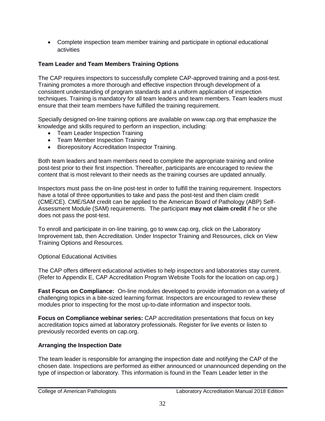Complete inspection team member training and participate in optional educational activities

## **Team Leader and Team Members Training Options**

The CAP requires inspectors to successfully complete CAP-approved training and a post-test. Training promotes a more thorough and effective inspection through development of a consistent understanding of program standards and a uniform application of inspection techniques. Training is mandatory for all team leaders and team members. Team leaders must ensure that their team members have fulfilled the training requirement.

Specially designed on-line training options are available on www.cap.org that emphasize the knowledge and skills required to perform an inspection, including:

- Team Leader Inspection Training
- Team Member Inspection Training
- Biorepository Accreditation Inspector Training.

Both team leaders and team members need to complete the appropriate training and online post-test prior to their first inspection. Thereafter, participants are encouraged to review the content that is most relevant to their needs as the training courses are updated annually.

Inspectors must pass the on-line post-test in order to fulfill the training requirement. Inspectors have a total of three opportunities to take and pass the post-test and then claim credit (CME/CE). CME/SAM credit can be applied to the American Board of Pathology (ABP) Self-Assessment Module (SAM) requirements. The participant **may not claim credit** if he or she does not pass the post-test.

To enroll and participate in on-line training, go to www.cap.org, click on the Laboratory Improvement tab, then Accreditation. Under Inspector Training and Resources, click on View Training Options and Resources.

#### Optional Educational Activities

The CAP offers different educational activities to help inspectors and laboratories stay current. (Refer to Appendix E, CAP Accreditation Program Website Tools for the location on cap.org.)

**Fast Focus on Compliance:** On-line modules developed to provide information on a variety of challenging topics in a bite-sized learning format. Inspectors are encouraged to review these modules prior to inspecting for the most up-to-date information and inspector tools.

**Focus on Compliance webinar series:** CAP accreditation presentations that focus on key accreditation topics aimed at laboratory professionals. Register for live events or listen to previously recorded events on cap.org.

#### **Arranging the Inspection Date**

The team leader is responsible for arranging the inspection date and notifying the CAP of the chosen date. Inspections are performed as either announced or unannounced depending on the type of inspection or laboratory. This information is found in the Team Leader letter in the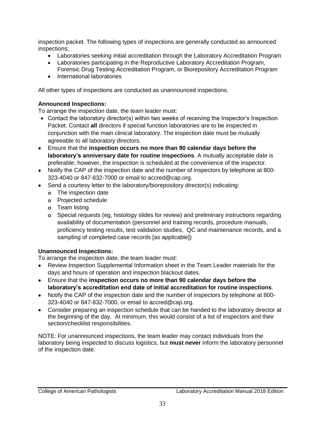inspection packet. The following types of inspections are generally conducted as announced inspections:

- Laboratories seeking initial accreditation through the Laboratory Accreditation Program
- Laboratories participating in the Reproductive Laboratory Accreditation Program,
- Forensic Drug Testing Accreditation Program, or Biorepository Accreditation Program • International laboratories

All other types of inspections are conducted as unannounced inspections.

# **Announced Inspections:**

To arrange the inspection date, the team leader must:

- Contact the laboratory director(s) within two weeks of receiving the Inspector's Inspection Packet. Contact **all** directors if special function laboratories are to be inspected in conjunction with the main clinical laboratory. The inspection date must be mutually agreeable to all laboratory directors.
- Ensure that the **inspection occurs no more than 90 calendar days before the laboratory's anniversary date for routine inspections**. A mutually acceptable date is preferable; however, the inspection is scheduled at the convenience of the inspector.
- Notify the CAP of the inspection date and the number of inspectors by telephone at 800- 323-4040 or 847-832-7000 or email to accred@cap.org.
- Send a courtesy letter to the laboratory/biorepository director(s) indicating:
	- **o** The inspection date
	- **o** Projected schedule
	- **o** Team listing
	- **o** Special requests (eg, histology slides for review) and preliminary instructions regarding availability of documentation (personnel and training records, procedure manuals, proficiency testing results, test validation studies, QC and maintenance records, and a sampling of completed case records [as applicable])

# **Unannounced Inspections:**

To arrange the inspection date, the team leader must:

- Review Inspection Supplemental Information sheet in the Team Leader materials for the days and hours of operation and inspection blackout dates.
- Ensure that the **inspection occurs no more than 90 calendar days before the laboratory's accreditation end date of initial accreditation for routine inspections**.
- Notify the CAP of the inspection date and the number of inspectors by telephone at 800- 323-4040 or 847-832-7000, or email to accred@cap.org.
- Consider preparing an inspection schedule that can be handed to the laboratory director at the beginning of the day. At minimum, this would consist of a list of inspectors and their section/checklist responsibilities.

NOTE: For unannounced inspections, the team leader may contact individuals from the laboratory being inspected to discuss logistics, but **must never** inform the laboratory personnel of the inspection date.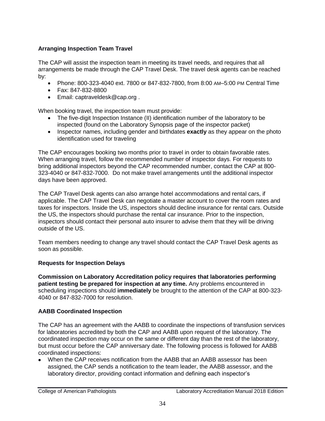## **Arranging Inspection Team Travel**

The CAP will assist the inspection team in meeting its travel needs, and requires that all arrangements be made through the CAP Travel Desk. The travel desk agents can be reached by:

- Phone: 800-323-4040 ext. 7800 or 847-832-7800, from 8:00 AM–5:00 PM Central Time
- Fax: 847-832-8800
- Email: [captraveldesk@cap.org](mailto:captraveldesk@cap.org) .

When booking travel, the inspection team must provide:

- The five-digit Inspection Instance (II) identification number of the laboratory to be inspected (found on the Laboratory Synopsis page of the inspector packet)
- Inspector names, including gender and birthdates **exactly** as they appear on the photo identification used for traveling

The CAP encourages booking two months prior to travel in order to obtain favorable rates. When arranging travel, follow the recommended number of inspector days. For requests to bring additional inspectors beyond the CAP recommended number, contact the CAP at 800- 323-4040 or 847-832-7000. Do not make travel arrangements until the additional inspector days have been approved.

The CAP Travel Desk agents can also arrange hotel accommodations and rental cars, if applicable. The CAP Travel Desk can negotiate a master account to cover the room rates and taxes for inspectors. Inside the US, inspectors should decline insurance for rental cars. Outside the US, the inspectors should purchase the rental car insurance. Prior to the inspection, inspectors should contact their personal auto insurer to advise them that they will be driving outside of the US.

Team members needing to change any travel should contact the CAP Travel Desk agents as soon as possible.

## **Requests for Inspection Delays**

**Commission on Laboratory Accreditation policy requires that laboratories performing patient testing be prepared for inspection at any time.** Any problems encountered in scheduling inspections should **immediately** be brought to the attention of the CAP at 800-323- 4040 or 847-832-7000 for resolution.

# **AABB Coordinated Inspection**

The CAP has an agreement with the AABB to coordinate the inspections of transfusion services for laboratories accredited by both the CAP and AABB upon request of the laboratory. The coordinated inspection may occur on the same or different day than the rest of the laboratory, but must occur before the CAP anniversary date. The following process is followed for AABB coordinated inspections:

 When the CAP receives notification from the AABB that an AABB assessor has been assigned, the CAP sends a notification to the team leader, the AABB assessor, and the laboratory director, providing contact information and defining each inspector's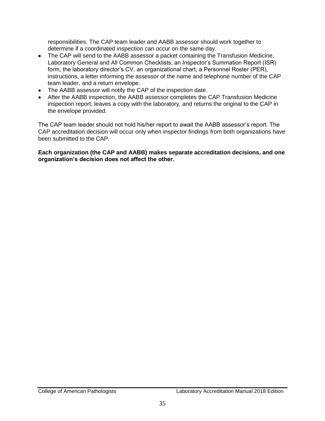responsibilities. The CAP team leader and AABB assessor should work together to determine if a coordinated inspection can occur on the same day.

- The CAP will send to the AABB assessor a packet containing the Transfusion Medicine, Laboratory General and All Common Checklists, an Inspector's Summation Report (ISR) form, the laboratory director's CV, an organizational chart, a Personnel Roster (PER), instructions, a letter informing the assessor of the name and telephone number of the CAP team leader, and a return envelope.
- The AABB assessor will notify the CAP of the inspection date.
- After the AABB inspection, the AABB assessor completes the CAP Transfusion Medicine inspection report, leaves a copy with the laboratory, and returns the original to the CAP in the envelope provided.

The CAP team leader should not hold his/her report to await the AABB assessor's report. The CAP accreditation decision will occur only when inspector findings from both organizations have been submitted to the CAP.

**Each organization (the CAP and AABB) makes separate accreditation decisions, and one organization's decision does not affect the other.**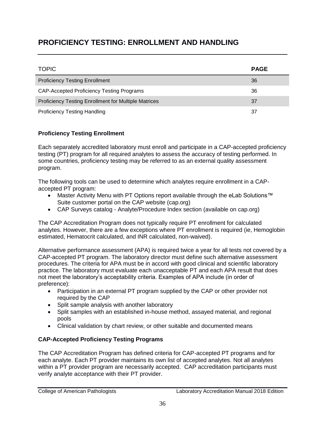# **PROFICIENCY TESTING: ENROLLMENT AND HANDLING**

| <b>TOPIC</b>                                                | <b>PAGE</b> |
|-------------------------------------------------------------|-------------|
| <b>Proficiency Testing Enrollment</b>                       | 36          |
| <b>CAP-Accepted Proficiency Testing Programs</b>            | 36          |
| <b>Proficiency Testing Enrollment for Multiple Matrices</b> | 37          |
| <b>Proficiency Testing Handling</b>                         | 37          |

# **Proficiency Testing Enrollment**

Each separately accredited laboratory must enroll and participate in a CAP-accepted proficiency testing (PT) program for all required analytes to assess the accuracy of testing performed. In some countries, proficiency testing may be referred to as an external quality assessment program.

The following tools can be used to determine which analytes require enrollment in a CAPaccepted PT program:

- Master Activity Menu with PT Options report available through the eLab Solutions™ Suite customer portal on the CAP website (cap.org)
- CAP Surveys catalog Analyte/Procedure Index section (available on cap.org)

The CAP Accreditation Program does not typically require PT enrollment for calculated analytes. However, there are a few exceptions where PT enrollment is required (ie, Hemoglobin estimated, Hematocrit calculated, and INR calculated, non-waived).

Alternative performance assessment (APA) is required twice a year for all tests not covered by a CAP-accepted PT program. The laboratory director must define such alternative assessment procedures. The criteria for APA must be in accord with good clinical and scientific laboratory practice. The laboratory must evaluate each unacceptable PT and each APA result that does not meet the laboratory's acceptability criteria. Examples of APA include (in order of preference):

- Participation in an external PT program supplied by the CAP or other provider not required by the CAP
- Split sample analysis with another laboratory
- Split samples with an established in-house method, assayed material, and regional pools
- Clinical validation by chart review, or other suitable and documented means

## **CAP-Accepted Proficiency Testing Programs**

The CAP Accreditation Program has defined criteria for CAP-accepted PT programs and for each analyte. Each PT provider maintains its own list of accepted analytes. Not all analytes within a PT provider program are necessarily accepted. CAP accreditation participants must verify analyte acceptance with their PT provider.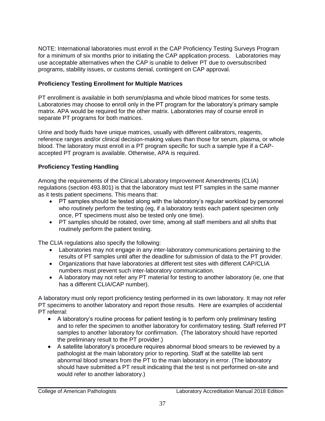NOTE: International laboratories must enroll in the CAP Proficiency Testing Surveys Program for a minimum of six months prior to initiating the CAP application process. Laboratories may use acceptable alternatives when the CAP is unable to deliver PT due to oversubscribed programs, stability issues, or customs denial, contingent on CAP approval.

## **Proficiency Testing Enrollment for Multiple Matrices**

PT enrollment is available in both serum/plasma and whole blood matrices for some tests. Laboratories may choose to enroll only in the PT program for the laboratory's primary sample matrix. APA would be required for the other matrix. Laboratories may of course enroll in separate PT programs for both matrices.

Urine and body fluids have unique matrices, usually with different calibrators, reagents, reference ranges and/or clinical decision-making values than those for serum, plasma, or whole blood. The laboratory must enroll in a PT program specific for such a sample type if a CAPaccepted PT program is available. Otherwise, APA is required.

## **Proficiency Testing Handling**

Among the requirements of the Clinical Laboratory Improvement Amendments (CLIA) regulations (section 493.801) is that the laboratory must test PT samples in the same manner as it tests patient specimens. This means that:

- PT samples should be tested along with the laboratory's regular workload by personnel who routinely perform the testing (eg, if a laboratory tests each patient specimen only once, PT specimens must also be tested only one time).
- PT samples should be rotated, over time, among all staff members and all shifts that routinely perform the patient testing.

The CLIA regulations also specify the following:

- Laboratories may not engage in any inter-laboratory communications pertaining to the results of PT samples until after the deadline for submission of data to the PT provider.
- Organizations that have laboratories at different test sites with different CAP/CLIA numbers must prevent such inter-laboratory communication.
- A laboratory may not refer any PT material for testing to another laboratory (ie, one that has a different CLIA/CAP number).

A laboratory must only report proficiency testing performed in its own laboratory. It may not refer PT specimens to another laboratory and report those results. Here are examples of accidental PT referral:

- A laboratory's routine process for patient testing is to perform only preliminary testing and to refer the specimen to another laboratory for confirmatory testing. Staff referred PT samples to another laboratory for confirmation. (The laboratory should have reported the preliminary result to the PT provider.)
- A satellite laboratory's procedure requires abnormal blood smears to be reviewed by a pathologist at the main laboratory prior to reporting. Staff at the satellite lab sent abnormal blood smears from the PT to the main laboratory in error. (The laboratory should have submitted a PT result indicating that the test is not performed on-site and would refer to another laboratory.)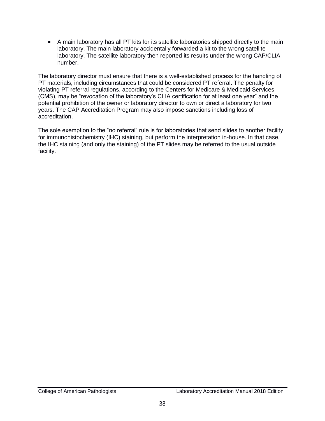A main laboratory has all PT kits for its satellite laboratories shipped directly to the main laboratory. The main laboratory accidentally forwarded a kit to the wrong satellite laboratory. The satellite laboratory then reported its results under the wrong CAP/CLIA number.

The laboratory director must ensure that there is a well-established process for the handling of PT materials, including circumstances that could be considered PT referral. The penalty for violating PT referral regulations, according to the Centers for Medicare & Medicaid Services (CMS), may be "revocation of the laboratory's CLIA certification for at least one year" and the potential prohibition of the owner or laboratory director to own or direct a laboratory for two years. The CAP Accreditation Program may also impose sanctions including loss of accreditation.

The sole exemption to the "no referral" rule is for laboratories that send slides to another facility for immunohistochemistry (IHC) staining, but perform the interpretation in-house. In that case, the IHC staining (and only the staining) of the PT slides may be referred to the usual outside facility.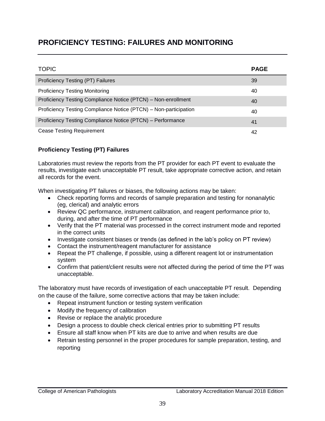# **PROFICIENCY TESTING: FAILURES AND MONITORING**

| <b>TOPIC</b>                                                     | <b>PAGE</b> |
|------------------------------------------------------------------|-------------|
| Proficiency Testing (PT) Failures                                | 39          |
| <b>Proficiency Testing Monitoring</b>                            | 40          |
| Proficiency Testing Compliance Notice (PTCN) - Non-enrollment    | 40          |
| Proficiency Testing Compliance Notice (PTCN) - Non-participation | 40          |
| Proficiency Testing Compliance Notice (PTCN) - Performance       | 41          |
| <b>Cease Testing Requirement</b>                                 | 42          |

## **Proficiency Testing (PT) Failures**

Laboratories must review the reports from the PT provider for each PT event to evaluate the results, investigate each unacceptable PT result, take appropriate corrective action, and retain all records for the event.

When investigating PT failures or biases, the following actions may be taken:

- Check reporting forms and records of sample preparation and testing for nonanalytic (eg, clerical) and analytic errors
- Review QC performance, instrument calibration, and reagent performance prior to, during, and after the time of PT performance
- Verify that the PT material was processed in the correct instrument mode and reported in the correct units
- Investigate consistent biases or trends (as defined in the lab's policy on PT review)
- Contact the instrument/reagent manufacturer for assistance
- Repeat the PT challenge, if possible, using a different reagent lot or instrumentation system
- Confirm that patient/client results were not affected during the period of time the PT was unacceptable.

The laboratory must have records of investigation of each unacceptable PT result. Depending on the cause of the failure, some corrective actions that may be taken include:

- Repeat instrument function or testing system verification
- Modify the frequency of calibration
- Revise or replace the analytic procedure
- Design a process to double check clerical entries prior to submitting PT results
- Ensure all staff know when PT kits are due to arrive and when results are due
- Retrain testing personnel in the proper procedures for sample preparation, testing, and reporting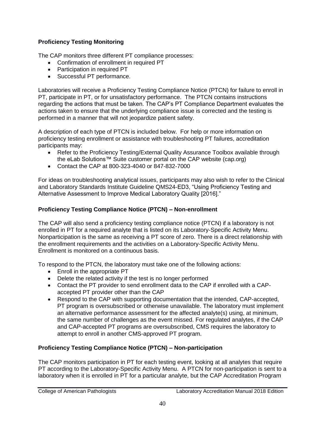# **Proficiency Testing Monitoring**

The CAP monitors three different PT compliance processes:

- Confirmation of enrollment in required PT
- Participation in required PT
- Successful PT performance.

Laboratories will receive a Proficiency Testing Compliance Notice (PTCN) for failure to enroll in PT, participate in PT, or for unsatisfactory performance. The PTCN contains instructions regarding the actions that must be taken. The CAP's PT Compliance Department evaluates the actions taken to ensure that the underlying compliance issue is corrected and the testing is performed in a manner that will not jeopardize patient safety.

A description of each type of PTCN is included below. For help or more information on proficiency testing enrollment or assistance with troubleshooting PT failures, accreditation participants may:

- Refer to the Proficiency Testing/External Quality Assurance Toolbox available through the eLab Solutions™ Suite customer portal on the CAP website (cap.org)
- Contact the CAP at 800-323-4040 or 847-832-7000

For ideas on troubleshooting analytical issues, participants may also wish to refer to the Clinical and Laboratory Standards Institute Guideline QMS24-ED3, "Using Proficiency Testing and Alternative Assessment to Improve Medical Laboratory Quality [2016]."

# **Proficiency Testing Compliance Notice (PTCN) – Non-enrollment**

The CAP will also send a proficiency testing compliance notice (PTCN) if a laboratory is not enrolled in PT for a required analyte that is listed on its Laboratory-Specific Activity Menu. Nonparticipation is the same as receiving a PT score of zero. There is a direct relationship with the enrollment requirements and the activities on a Laboratory-Specific Activity Menu. Enrollment is monitored on a continuous basis.

To respond to the PTCN, the laboratory must take one of the following actions:

- Enroll in the appropriate PT
- Delete the related activity if the test is no longer performed
- Contact the PT provider to send enrollment data to the CAP if enrolled with a CAPaccepted PT provider other than the CAP
- Respond to the CAP with supporting documentation that the intended, CAP-accepted, PT program is oversubscribed or otherwise unavailable. The laboratory must implement an alternative performance assessment for the affected analyte(s) using, at minimum, the same number of challenges as the event missed. For regulated analytes, if the CAP and CAP-accepted PT programs are oversubscribed, CMS requires the laboratory to attempt to enroll in another CMS-approved PT program.

# **Proficiency Testing Compliance Notice (PTCN) – Non-participation**

The CAP monitors participation in PT for each testing event, looking at all analytes that require PT according to the Laboratory-Specific Activity Menu. A PTCN for non-participation is sent to a laboratory when it is enrolled in PT for a particular analyte, but the CAP Accreditation Program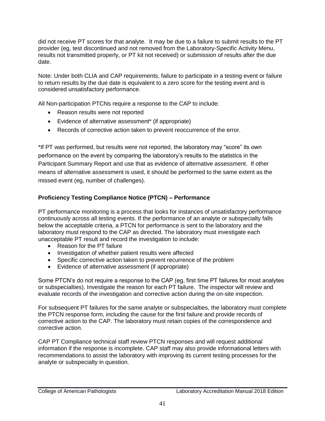did not receive PT scores for that analyte. It may be due to a failure to submit results to the PT provider (eg, test discontinued and not removed from the Laboratory-Specific Activity Menu, results not transmitted properly, or PT kit not received) or submission of results after the due date.

Note: Under both CLIA and CAP requirements, failure to participate in a testing event or failure to return results by the due date is equivalent to a zero score for the testing event and is considered unsatisfactory performance.

All Non-participation PTCNs require a response to the CAP to include:

- Reason results were not reported
- Evidence of alternative assessment\* (if appropriate)
- Records of corrective action taken to prevent reoccurrence of the error.

\*If PT was performed, but results were not reported, the laboratory may "score" its own performance on the event by comparing the laboratory's results to the statistics in the Participant Summary Report and use that as evidence of alternative assessment. If other means of alternative assessment is used, it should be performed to the same extent as the missed event (eg, number of challenges).

# **Proficiency Testing Compliance Notice (PTCN) – Performance**

PT performance monitoring is a process that looks for instances of unsatisfactory performance continuously across all testing events. If the performance of an analyte or subspecialty falls below the acceptable criteria, a PTCN for performance is sent to the laboratory and the laboratory must respond to the CAP as directed. The laboratory must investigate each unacceptable PT result and record the investigation to include:

- Reason for the PT failure
- Investigation of whether patient results were affected
- Specific corrective action taken to prevent recurrence of the problem
- Evidence of alternative assessment (if appropriate)

Some PTCN's do not require a response to the CAP (eg, first time PT failures for most analytes or subspecialties). Investigate the reason for each PT failure. The inspector will review and evaluate records of the investigation and corrective action during the on-site inspection.

For subsequent PT failures for the same analyte or subspecialties, the laboratory must complete the PTCN response form, including the cause for the first failure and provide records of corrective action to the CAP. The laboratory must retain copies of the correspondence and corrective action.

CAP PT Compliance technical staff review PTCN responses and will request additional information if the response is incomplete. CAP staff may also provide informational letters with recommendations to assist the laboratory with improving its current testing processes for the analyte or subspecialty in question.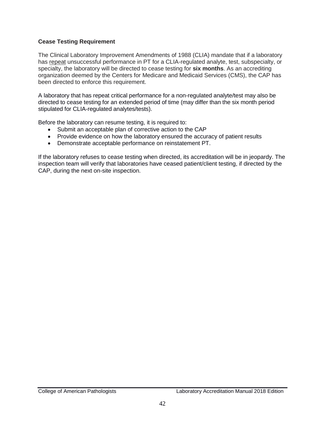### **Cease Testing Requirement**

The Clinical Laboratory Improvement Amendments of 1988 (CLIA) mandate that if a laboratory has repeat unsuccessful performance in PT for a CLIA-regulated analyte, test, subspecialty, or specialty, the laboratory will be directed to cease testing for **six months**. As an accrediting organization deemed by the Centers for Medicare and Medicaid Services (CMS), the CAP has been directed to enforce this requirement.

A laboratory that has repeat critical performance for a non-regulated analyte/test may also be directed to cease testing for an extended period of time (may differ than the six month period stipulated for CLIA-regulated analytes/tests).

Before the laboratory can resume testing, it is required to:

- Submit an acceptable plan of corrective action to the CAP
- Provide evidence on how the laboratory ensured the accuracy of patient results
- Demonstrate acceptable performance on reinstatement PT.

If the laboratory refuses to cease testing when directed, its accreditation will be in jeopardy. The inspection team will verify that laboratories have ceased patient/client testing, if directed by the CAP, during the next on-site inspection.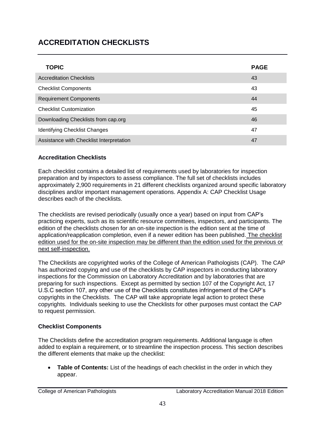# **ACCREDITATION CHECKLISTS**

| <b>TOPIC</b>                             | <b>PAGE</b> |
|------------------------------------------|-------------|
| <b>Accreditation Checklists</b>          | 43          |
| <b>Checklist Components</b>              | 43          |
| <b>Requirement Components</b>            | 44          |
| <b>Checklist Customization</b>           | 45          |
| Downloading Checklists from cap.org      | 46          |
| <b>Identifying Checklist Changes</b>     | 47          |
| Assistance with Checklist Interpretation | 47          |

## **Accreditation Checklists**

Each checklist contains a detailed list of requirements used by laboratories for inspection preparation and by inspectors to assess compliance. The full set of checklists includes approximately 2,900 requirements in 21 different checklists organized around specific laboratory disciplines and/or important management operations. Appendix A: CAP Checklist Usage describes each of the checklists.

The checklists are revised periodically (usually once a year) based on input from CAP's practicing experts, such as its scientific resource committees, inspectors, and participants. The edition of the checklists chosen for an on-site inspection is the edition sent at the time of application/reapplication completion, even if a newer edition has been published. The checklist edition used for the on-site inspection may be different than the edition used for the previous or next self-inspection.

The Checklists are copyrighted works of the College of American Pathologists (CAP). The CAP has authorized copying and use of the checklists by CAP inspectors in conducting laboratory inspections for the Commission on Laboratory Accreditation and by laboratories that are preparing for such inspections. Except as permitted by section 107 of the Copyright Act, 17 U.S.C section 107, any other use of the Checklists constitutes infringement of the CAP's copyrights in the Checklists. The CAP will take appropriate legal action to protect these copyrights. Individuals seeking to use the Checklists for other purposes must contact the CAP to request permission.

## **Checklist Components**

The Checklists define the accreditation program requirements. Additional language is often added to explain a requirement, or to streamline the inspection process. This section describes the different elements that make up the checklist:

 **Table of Contents:** List of the headings of each checklist in the order in which they appear.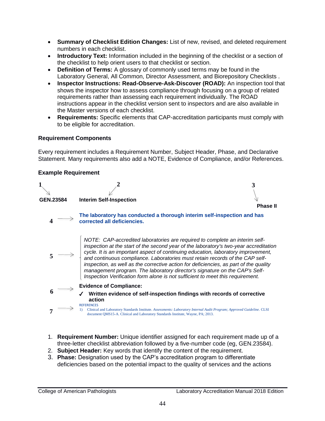- **Summary of Checklist Edition Changes:** List of new, revised, and deleted requirement numbers in each checklist.
- **Introductory Text:** Information included in the beginning of the checklist or a section of the checklist to help orient users to that checklist or section.
- **Definition of Terms:** A glossary of commonly used terms may be found in the Laboratory General, All Common, Director Assessment, and Biorepository Checklists .
- **Inspector Instructions: Read-Observe-Ask-Discover (ROAD):** An inspection tool that shows the inspector how to assess compliance through focusing on a group of related requirements rather than assessing each requirement individually. The ROAD instructions appear in the checklist version sent to inspectors and are also available in the Master versions of each checklist.
- **Requirements:** Specific elements that CAP-accreditation participants must comply with to be eligible for accreditation.

### **Requirement Components**

Every requirement includes a Requirement Number, Subject Header, Phase, and Declarative Statement. Many requirements also add a NOTE, Evidence of Compliance, and/or References.

### **Example Requirement**



- 1. **Requirement Number:** Unique identifier assigned for each requirement made up of a three-letter checklist abbreviation followed by a five-number code (eg, GEN.23584).
- 2. **Subject Header:** Key words that identify the content of the requirement.
- 3. **Phase:** Designation used by the CAP's accreditation program to differentiate deficiencies based on the potential impact to the quality of services and the actions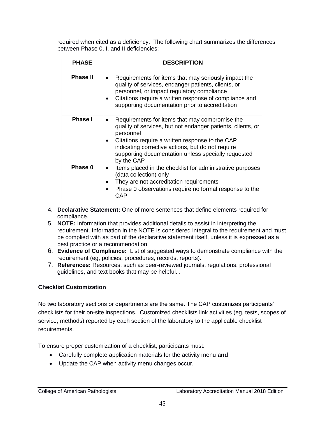required when cited as a deficiency. The following chart summarizes the differences between Phase 0, I, and II deficiencies:

| <b>PHASE</b>    | <b>DESCRIPTION</b>                                                                                                                                                                                                                                                                                      |
|-----------------|---------------------------------------------------------------------------------------------------------------------------------------------------------------------------------------------------------------------------------------------------------------------------------------------------------|
| <b>Phase II</b> | Requirements for items that may seriously impact the<br>quality of services, endanger patients, clients, or<br>personnel, or impact regulatory compliance<br>Citations require a written response of compliance and<br>supporting documentation prior to accreditation                                  |
| <b>Phase I</b>  | Requirements for items that may compromise the<br>quality of services, but not endanger patients, clients, or<br>personnel<br>Citations require a written response to the CAP<br>indicating corrective actions, but do not require<br>supporting documentation unless specially requested<br>by the CAP |
| Phase 0         | Items placed in the checklist for administrative purposes<br>(data collection) only<br>They are not accreditation requirements<br>Phase 0 observations require no formal response to the<br>CAP                                                                                                         |

- 4. **Declarative Statement:** One of more sentences that define elements required for compliance.
- 5. **NOTE:** Information that provides additional details to assist in interpreting the requirement. Information in the NOTE is considered integral to the requirement and must be complied with as part of the declarative statement itself, unless it is expressed as a best practice or a recommendation.
- 6. **Evidence of Compliance:** List of suggested ways to demonstrate compliance with the requirement (eg, policies, procedures, records, reports).
- 7. **References:** Resources, such as peer-reviewed journals, regulations, professional guidelines, and text books that may be helpful. .

# **Checklist Customization**

No two laboratory sections or departments are the same. The CAP customizes participants' checklists for their on-site inspections. Customized checklists link activities (eg, tests, scopes of service, methods) reported by each section of the laboratory to the applicable checklist requirements.

To ensure proper customization of a checklist, participants must:

- Carefully complete application materials for the activity menu **and**
- Update the CAP when activity menu changes occur.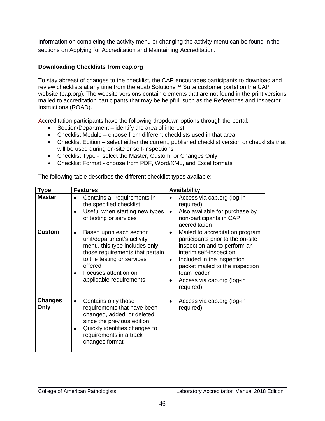Information on completing the activity menu or changing the activity menu can be found in the sections on Applying for Accreditation and Maintaining Accreditation.

# **Downloading Checklists from cap.org**

To stay abreast of changes to the checklist, the CAP encourages participants to download and review checklists at any time from the eLab Solutions™ Suite customer portal on the CAP website (cap.org). The website versions contain elements that are not found in the print versions mailed to accreditation participants that may be helpful, such as the References and Inspector Instructions (ROAD).

Accreditation participants have the following dropdown options through the portal:

- Section/Department identify the area of interest
- Checklist Module choose from different checklists used in that area
- Checklist Edition select either the current, published checklist version or checklists that will be used during on-site or self-inspections
- Checklist Type select the Master, Custom, or Changes Only
- Checklist Format choose from PDF, Word/XML, and Excel formats

The following table describes the different checklist types available:

| <b>Type</b>            | <b>Features</b>                                                                                                                                                                                                       | <b>Availability</b>                                                                                                                                                                                                                                                                       |
|------------------------|-----------------------------------------------------------------------------------------------------------------------------------------------------------------------------------------------------------------------|-------------------------------------------------------------------------------------------------------------------------------------------------------------------------------------------------------------------------------------------------------------------------------------------|
| <b>Master</b>          | Contains all requirements in<br>the specified checklist<br>Useful when starting new types<br>of testing or services                                                                                                   | Access via cap.org (log-in<br>required)<br>Also available for purchase by<br>$\bullet$<br>non-participants in CAP<br>accreditation                                                                                                                                                        |
| <b>Custom</b>          | Based upon each section<br>unit/department's activity<br>menu, this type includes only<br>those requirements that pertain<br>to the testing or services<br>offered<br>Focuses attention on<br>applicable requirements | Mailed to accreditation program<br>$\bullet$<br>participants prior to the on-site<br>inspection and to perform an<br>interim self-inspection<br>Included in the inspection<br>$\bullet$<br>packet mailed to the inspection<br>team leader<br>Access via cap.org (log-in<br>٠<br>required) |
| <b>Changes</b><br>Only | Contains only those<br>requirements that have been<br>changed, added, or deleted<br>since the previous edition<br>Quickly identifies changes to<br>requirements in a track<br>changes format                          | Access via cap.org (log-in<br>required)                                                                                                                                                                                                                                                   |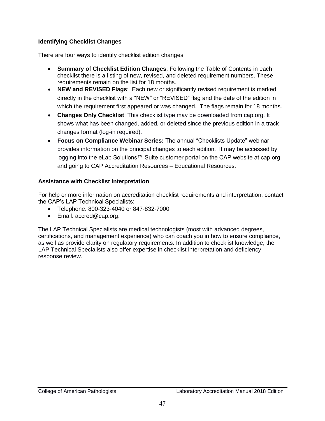# **Identifying Checklist Changes**

There are four ways to identify checklist edition changes.

- **Summary of Checklist Edition Changes**: Following the Table of Contents in each checklist there is a listing of new, revised, and deleted requirement numbers. These requirements remain on the list for 18 months.
- **NEW and REVISED Flags**: Each new or significantly revised requirement is marked directly in the checklist with a "NEW" or "REVISED" flag and the date of the edition in which the requirement first appeared or was changed. The flags remain for 18 months.
- **Changes Only Checklist**: This checklist type may be downloaded from cap.org. It shows what has been changed, added, or deleted since the previous edition in a track changes format (log-in required).
- **Focus on Compliance Webinar Series:** The annual "Checklists Update" webinar provides information on the principal changes to each edition. It may be accessed by logging into the eLab Solutions™ Suite customer portal on the CAP website at cap.org and going to CAP Accreditation Resources – Educational Resources.

## **Assistance with Checklist Interpretation**

For help or more information on accreditation checklist requirements and interpretation, contact the CAP's LAP Technical Specialists:

- Telephone: 800-323-4040 or 847-832-7000
- Email: accred@cap.org.

The LAP Technical Specialists are medical technologists (most with advanced degrees, certifications, and management experience) who can coach you in how to ensure compliance, as well as provide clarity on regulatory requirements. In addition to checklist knowledge, the LAP Technical Specialists also offer expertise in checklist interpretation and deficiency response review.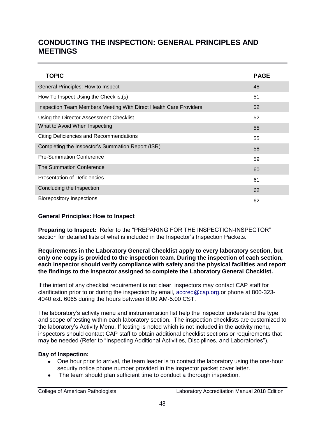# **CONDUCTING THE INSPECTION: GENERAL PRINCIPLES AND MEETINGS**

| <b>TOPIC</b>                                                      | <b>PAGE</b> |
|-------------------------------------------------------------------|-------------|
| General Principles: How to Inspect                                | 48          |
| How To Inspect Using the Checklist(s)                             | 51          |
| Inspection Team Members Meeting With Direct Health Care Providers | 52          |
| Using the Director Assessment Checklist                           | 52          |
| What to Avoid When Inspecting                                     | 55          |
| Citing Deficiencies and Recommendations                           | 55          |
| Completing the Inspector's Summation Report (ISR)                 | 58          |
| <b>Pre-Summation Conference</b>                                   | 59          |
| The Summation Conference                                          | 60          |
| <b>Presentation of Deficiencies</b>                               | 61          |
| Concluding the Inspection                                         | 62          |
| <b>Biorepository Inspections</b>                                  | 62          |

#### **General Principles: How to Inspect**

**Preparing to Inspect:** Refer to the "PREPARING FOR THE INSPECTION-INSPECTOR" section for detailed lists of what is included in the Inspector's Inspection Packets.

**Requirements in the Laboratory General Checklist apply to every laboratory section, but only one copy is provided to the inspection team. During the inspection of each section, each inspector should verify compliance with safety and the physical facilities and report the findings to the inspector assigned to complete the Laboratory General Checklist.** 

If the intent of any checklist requirement is not clear, inspectors may contact CAP staff for clarification prior to or during the inspection by email, [accred@cap.org,](mailto:accred@cap.org)or phone at 800-323-4040 ext. 6065 during the hours between 8:00 AM-5:00 CST.

The laboratory's activity menu and instrumentation list help the inspector understand the type and scope of testing within each laboratory section. The inspection checklists are customized to the laboratory's Activity Menu. If testing is noted which is not included in the activity menu, inspectors should contact CAP staff to obtain additional checklist sections or requirements that may be needed (Refer to "Inspecting Additional Activities, Disciplines, and Laboratories").

#### **Day of Inspection:**

- One hour prior to arrival, the team leader is to contact the laboratory using the one-hour security notice phone number provided in the inspector packet cover letter.
- The team should plan sufficient time to conduct a thorough inspection.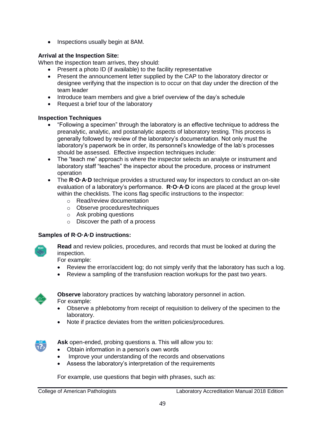Inspections usually begin at 8AM.

## **Arrival at the Inspection Site:**

When the inspection team arrives, they should:

- Present a photo ID (if available) to the facility representative
- Present the announcement letter supplied by the CAP to the laboratory director or designee verifying that the inspection is to occur on that day under the direction of the team leader
- Introduce team members and give a brief overview of the day's schedule
- Request a brief tour of the laboratory

### **Inspection Techniques**

- "Following a specimen" through the laboratory is an effective technique to address the preanalytic, analytic, and postanalytic aspects of laboratory testing. This process is generally followed by review of the laboratory's documentation. Not only must the laboratory's paperwork be in order, its personnel's knowledge of the lab's processes should be assessed. Effective inspection techniques include:
- The "teach me" approach is where the inspector selects an analyte or instrument and laboratory staff "teaches" the inspector about the procedure, process or instrument operation
- The **R·O·A·D** technique provides a structured way for inspectors to conduct an on-site evaluation of a laboratory's performance. **R·O·A·D** icons are placed at the group level within the checklists. The icons flag specific instructions to the inspector:
	- o Read/review documentation
	- o Observe procedures/techniques
	- o Ask probing questions
	- o Discover the path of a process

## **Samples of R·O·A·D instructions:**



**Read** and review policies, procedures, and records that must be looked at during the inspection.

For example:

- Review the error/accident log; do not simply verify that the laboratory has such a log.
- Review a sampling of the transfusion reaction workups for the past two years.



**Observe** laboratory practices by watching laboratory personnel in action. For example:

- Observe a phlebotomy from receipt of requisition to delivery of the specimen to the laboratory.
- Note if practice deviates from the written policies/procedures.



**Ask** open-ended, probing questions a. This will allow you to:

- Obtain information in a person's own words
- Improve your understanding of the records and observations
- Assess the laboratory's interpretation of the requirements

For example, use questions that begin with phrases, such as: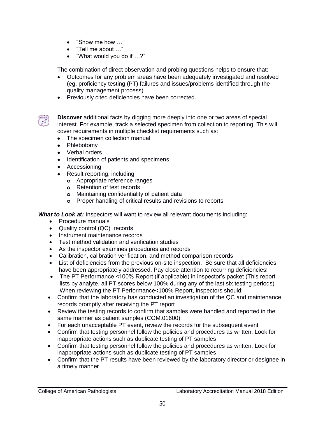- "Show me how …"
- "Tell me about …"
- "What would you do if …?"

The combination of direct observation and probing questions helps to ensure that:

- Outcomes for any problem areas have been adequately investigated and resolved (eg, proficiency testing (PT) failures and issues/problems identified through the quality management process) .
- **•** Previously cited deficiencies have been corrected.



**Discover** additional facts by digging more deeply into one or two areas of special interest. For example, track a selected specimen from collection to reporting. This will cover requirements in multiple checklist requirements such as:

- The specimen collection manual
- Phlebotomy
- Verbal orders
- Identification of patients and specimens
- Accessioning
- Result reporting, including
	- **o** Appropriate reference ranges
	- **o** Retention of test records
	- **o** Maintaining confidentiality of patient data
	- **o** Proper handling of critical results and revisions to reports

*What to Look at:* Inspectors will want to review all relevant documents including:

- Procedure manuals
- Quality control (QC) records
- Instrument maintenance records
- Test method validation and verification studies
- As the inspector examines procedures and records
- Calibration, calibration verification, and method comparison records
- List of deficiencies from the previous on-site inspection. Be sure that all deficiencies have been appropriately addressed. Pay close attention to recurring deficiencies!
- The PT Performance <100% Report (if applicable) in inspector's packet (This report lists by analyte, all PT scores below 100% during any of the last six testing periods) When reviewing the PT Performance<100% Report, inspectors should:
- Confirm that the laboratory has conducted an investigation of the QC and maintenance records promptly after receiving the PT report
- Review the testing records to confirm that samples were handled and reported in the same manner as patient samples (COM.01600)
- For each unacceptable PT event, review the records for the subsequent event
- Confirm that testing personnel follow the policies and procedures as written. Look for inappropriate actions such as duplicate testing of PT samples
- Confirm that testing personnel follow the policies and procedures as written. Look for inappropriate actions such as duplicate testing of PT samples
- Confirm that the PT results have been reviewed by the laboratory director or designee in a timely manner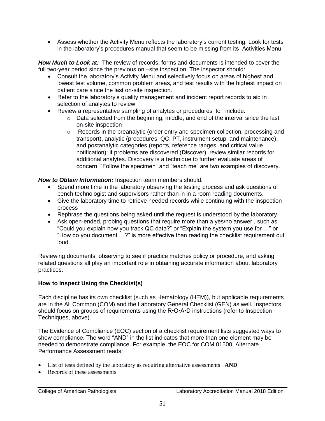Assess whether the Activity Menu reflects the laboratory's current testing. Look for tests in the laboratory's procedures manual that seem to be missing from its Activities Menu

*How Much to Look at:* The review of records, forms and documents is intended to cover the full two-year period since the previous on –site inspection. The inspector should:

- Consult the laboratory's Activity Menu and selectively focus on areas of highest and lowest test volume, common problem areas, and test results with the highest impact on patient care since the last on-site inspection.
- Refer to the laboratory's quality management and incident report records to aid in selection of analytes to review
- Review a representative sampling of analytes or procedures to include:
	- o Data selected from the beginning, middle, and end of the interval since the last on-site inspection
	- o Records in the preanalytic (order entry and specimen collection, processing and transport), analytic (procedures, QC, PT, instrument setup, and maintenance), and postanalytic categories (reports, reference ranges, and critical value notification); if problems are discovered (**D**iscover), review similar records for additional analytes. Discovery is a technique to further evaluate areas of concern. "Follow the specimen" and "teach me" are two examples of discovery.

*How to Obtain Information:* Inspection team members should:

- Spend more time in the laboratory observing the testing process and ask questions of bench technologist and supervisors rather than in in a room reading documents.
- Give the laboratory time to retrieve needed records while continuing with the inspection process
- Rephrase the questions being asked until the request is understood by the laboratory
- Ask open-ended, probing questions that require more than a yes/no answer , such as "Could you explain how you track QC data?" or "Explain the system you use for …" or "How do you document …?" is more effective than reading the checklist requirement out loud.

Reviewing documents, observing to see if practice matches policy or procedure, and asking related questions all play an important role in obtaining accurate information about laboratory practices.

## **How to Inspect Using the Checklist(s)**

Each discipline has its own checklist (such as Hematology (HEM)), but applicable requirements are in the All Common (COM) and the Laboratory General Checklist (GEN) as well. Inspectors should focus on groups of requirements using the R•O•A•D instructions (refer to Inspection Techniques, above).

The Evidence of Compliance (EOC) section of a checklist requirement lists suggested ways to show compliance. The word "AND" in the list indicates that more than one element may be needed to demonstrate compliance. For example, the EOC for COM.01500, Alternate Performance Assessment reads:

- List of tests defined by the laboratory as requiring alternative assessments **AND**
- Records of these assessments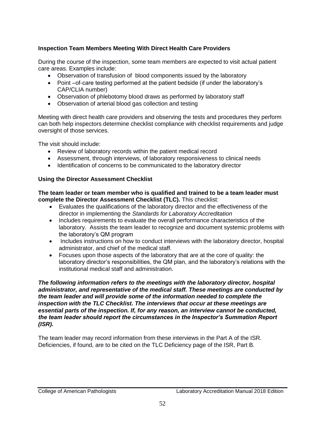## **Inspection Team Members Meeting With Direct Health Care Providers**

During the course of the inspection, some team members are expected to visit actual patient care areas. Examples include:

- Observation of transfusion of blood components issued by the laboratory
- Point –of-care testing performed at the patient bedside (if under the laboratory's CAP/CLIA number)
- Observation of phlebotomy blood draws as performed by laboratory staff
- Observation of arterial blood gas collection and testing

Meeting with direct health care providers and observing the tests and procedures they perform can both help inspectors determine checklist compliance with checklist requirements and judge oversight of those services.

The visit should include:

- Review of laboratory records within the patient medical record
- Assessment, through interviews, of laboratory responsiveness to clinical needs
- Identification of concerns to be communicated to the laboratory director

## **Using the Director Assessment Checklist**

**The team leader or team member who is qualified and trained to be a team leader must complete the Director Assessment Checklist (TLC).** This checklist:

- Evaluates the qualifications of the laboratory director and the effectiveness of the director in implementing the *Standards for Laboratory Accreditation*
- Includes requirements to evaluate the overall performance characteristics of the laboratory. Assists the team leader to recognize and document systemic problems with the laboratory's QM program
- Includes instructions on how to conduct interviews with the laboratory director, hospital administrator, and chief of the medical staff.
- Focuses upon those aspects of the laboratory that are at the core of quality: the laboratory director's responsibilities, the QM plan, and the laboratory's relations with the institutional medical staff and administration.

*The following information refers to the meetings with the laboratory director, hospital administrator, and representative of the medical staff. These meetings are conducted by the team leader and will provide some of the information needed to complete the inspection with the TLC Checklist. The interviews that occur at these meetings are essential parts of the inspection. If, for any reason, an interview cannot be conducted, the team leader should report the circumstances in the Inspector's Summation Report (ISR).* 

The team leader may record information from these interviews in the Part A of the ISR. Deficiencies, if found, are to be cited on the TLC Deficiency page of the ISR, Part B.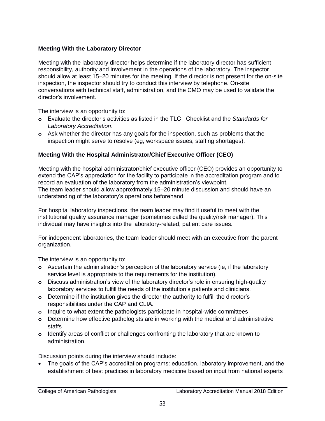### **Meeting With the Laboratory Director**

Meeting with the laboratory director helps determine if the laboratory director has sufficient responsibility, authority and involvement in the operations of the laboratory. The inspector should allow at least 15–20 minutes for the meeting. If the director is not present for the on-site inspection, the inspector should try to conduct this interview by telephone. On-site conversations with technical staff, administration, and the CMO may be used to validate the director's involvement.

The interview is an opportunity to:

- **o** Evaluate the director's activities as listed in the TLC Checklist and the *Standards for Laboratory Accreditation*.
- **o** Ask whether the director has any goals for the inspection, such as problems that the inspection might serve to resolve (eg, workspace issues, staffing shortages).

### **Meeting With the Hospital Administrator/Chief Executive Officer (CEO)**

Meeting with the hospital administrator/chief executive officer (CEO) provides an opportunity to extend the CAP's appreciation for the facility to participate in the accreditation program and to record an evaluation of the laboratory from the administration's viewpoint. The team leader should allow approximately 15–20 minute discussion and should have an understanding of the laboratory's operations beforehand.

For hospital laboratory inspections, the team leader may find it useful to meet with the institutional quality assurance manager (sometimes called the quality/risk manager). This individual may have insights into the laboratory-related, patient care issues.

For independent laboratories, the team leader should meet with an executive from the parent organization.

The interview is an opportunity to:

- **o** Ascertain the administration's perception of the laboratory service (ie, if the laboratory service level is appropriate to the requirements for the institution).
- **o** Discuss administration's view of the laboratory director's role in ensuring high-quality laboratory services to fulfill the needs of the institution's patients and clinicians.
- **o** Determine if the institution gives the director the authority to fulfill the director's responsibilities under the CAP and CLIA.
- **o** Inquire to what extent the pathologists participate in hospital-wide committees
- **o** Determine how effective pathologists are in working with the medical and administrative staffs
- **o** Identify areas of conflict or challenges confronting the laboratory that are known to administration.

Discussion points during the interview should include:

 The goals of the CAP's accreditation programs: education, laboratory improvement, and the establishment of best practices in laboratory medicine based on input from national experts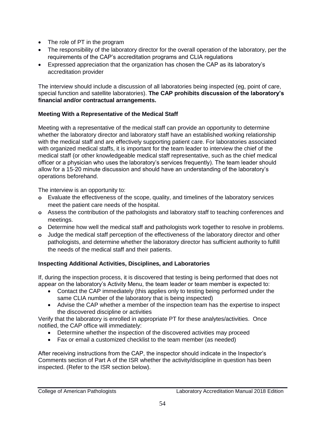- The role of PT in the program
- The responsibility of the laboratory director for the overall operation of the laboratory, per the requirements of the CAP's accreditation programs and CLIA regulations
- Expressed appreciation that the organization has chosen the CAP as its laboratory's accreditation provider

The interview should include a discussion of all laboratories being inspected (eg, point of care, special function and satellite laboratories). **The CAP prohibits discussion of the laboratory's financial and/or contractual arrangements.** 

### **Meeting With a Representative of the Medical Staff**

Meeting with a representative of the medical staff can provide an opportunity to determine whether the laboratory director and laboratory staff have an established working relationship with the medical staff and are effectively supporting patient care. For laboratories associated with organized medical staffs, it is important for the team leader to interview the chief of the medical staff (or other knowledgeable medical staff representative, such as the chief medical officer or a physician who uses the laboratory's services frequently). The team leader should allow for a 15-20 minute discussion and should have an understanding of the laboratory's operations beforehand.

The interview is an opportunity to:

- **o** Evaluate the effectiveness of the scope, quality, and timelines of the laboratory services meet the patient care needs of the hospital.
- **o** Assess the contribution of the pathologists and laboratory staff to teaching conferences and meetings.
- **o** Determine how well the medical staff and pathologists work together to resolve in problems.
- **o** Judge the medical staff perception of the effectiveness of the laboratory director and other pathologists, and determine whether the laboratory director has sufficient authority to fulfill the needs of the medical staff and their patients.

## **Inspecting Additional Activities, Disciplines, and Laboratories**

If, during the inspection process, it is discovered that testing is being performed that does not appear on the laboratory's Activity Menu, the team leader or team member is expected to:

- Contact the CAP immediately (this applies only to testing being performed under the same CLIA number of the laboratory that is being inspected)
- Advise the CAP whether a member of the inspection team has the expertise to inspect the discovered discipline or activities

Verify that the laboratory is enrolled in appropriate PT for these analytes/activities. Once notified, the CAP office will immediately:

- Determine whether the inspection of the discovered activities may proceed
- Fax or email a customized checklist to the team member (as needed)

After receiving instructions from the CAP, the inspector should indicate in the Inspector's Comments section of Part A of the ISR whether the activity/discipline in question has been inspected. (Refer to the ISR section below).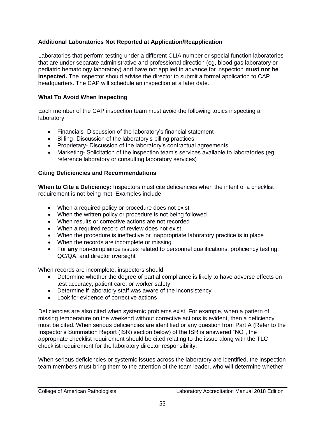## **Additional Laboratories Not Reported at Application/Reapplication**

Laboratories that perform testing under a different CLIA number or special function laboratories that are under separate administrative and professional direction (eg, blood gas laboratory or pediatric hematology laboratory) and have not applied in advance for inspection **must not be inspected.** The inspector should advise the director to submit a formal application to CAP headquarters. The CAP will schedule an inspection at a later date.

#### **What To Avoid When Inspecting**

Each member of the CAP inspection team must avoid the following topics inspecting a laboratory:

- Financials- Discussion of the laboratory's financial statement
- Billing- Discussion of the laboratory's billing practices
- Proprietary- Discussion of the laboratory's contractual agreements
- Marketing- Solicitation of the inspection team's services available to laboratories (eg, reference laboratory or consulting laboratory services)

### **Citing Deficiencies and Recommendations**

**When to Cite a Deficiency:** Inspectors must cite deficiencies when the intent of a checklist requirement is not being met. Examples include:

- When a required policy or procedure does not exist
- When the written policy or procedure is not being followed
- When results or corrective actions are not recorded
- When a required record of review does not exist
- When the procedure is ineffective or inappropriate laboratory practice is in place
- When the records are incomplete or missing
- For **any** non-compliance issues related to personnel qualifications, proficiency testing, QC/QA, and director oversight

When records are incomplete, inspectors should:

- Determine whether the degree of partial compliance is likely to have adverse effects on test accuracy, patient care, or worker safety
- Determine if laboratory staff was aware of the inconsistency
- Look for evidence of corrective actions

Deficiencies are also cited when systemic problems exist. For example, when a pattern of missing temperature on the weekend without corrective actions is evident, then a deficiency must be cited. When serious deficiencies are identified or any question from Part A (Refer to the Inspector's Summation Report (ISR) section below) of the ISR is answered "NO", the appropriate checklist requirement should be cited relating to the issue along with the TLC checklist requirement for the laboratory director responsibility.

When serious deficiencies or systemic issues across the laboratory are identified, the inspection team members must bring them to the attention of the team leader, who will determine whether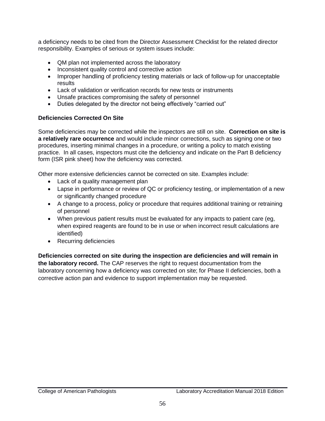a deficiency needs to be cited from the Director Assessment Checklist for the related director responsibility. Examples of serious or system issues include:

- QM plan not implemented across the laboratory
- Inconsistent quality control and corrective action
- Improper handling of proficiency testing materials or lack of follow-up for unacceptable results
- Lack of validation or verification records for new tests or instruments
- Unsafe practices compromising the safety of personnel
- Duties delegated by the director not being effectively "carried out"

# **Deficiencies Corrected On Site**

Some deficiencies may be corrected while the inspectors are still on site. **Correction on site is a relatively rare occurrence** and would include minor corrections, such as signing one or two procedures, inserting minimal changes in a procedure, or writing a policy to match existing practice. In all cases, inspectors must cite the deficiency and indicate on the Part B deficiency form (ISR pink sheet) how the deficiency was corrected.

Other more extensive deficiencies cannot be corrected on site. Examples include:

- Lack of a quality management plan
- Lapse in performance or review of QC or proficiency testing, or implementation of a new or significantly changed procedure
- A change to a process, policy or procedure that requires additional training or retraining of personnel
- When previous patient results must be evaluated for any impacts to patient care (eg, when expired reagents are found to be in use or when incorrect result calculations are identified)
- Recurring deficiencies

**Deficiencies corrected on site during the inspection are deficiencies and will remain in the laboratory record.** The CAP reserves the right to request documentation from the laboratory concerning how a deficiency was corrected on site; for Phase II deficiencies, both a corrective action pan and evidence to support implementation may be requested.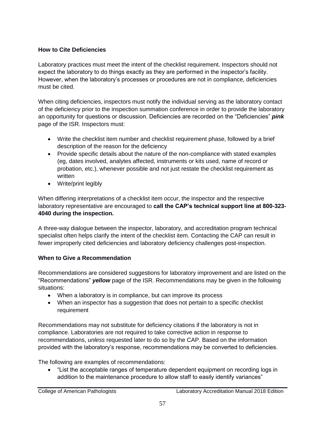# **How to Cite Deficiencies**

Laboratory practices must meet the intent of the checklist requirement. Inspectors should not expect the laboratory to do things exactly as they are performed in the inspector's facility. However, when the laboratory's processes or procedures are not in compliance, deficiencies must be cited.

When citing deficiencies, inspectors must notify the individual serving as the laboratory contact of the deficiency prior to the inspection summation conference in order to provide the laboratory an opportunity for questions or discussion. Deficiencies are recorded on the "Deficiencies" *pink* page of the ISR. Inspectors must:

- Write the checklist item number and checklist requirement phase, followed by a brief description of the reason for the deficiency
- Provide specific details about the nature of the non-compliance with stated examples (eg, dates involved, analytes affected, instruments or kits used, name of record or probation, etc.), whenever possible and not just restate the checklist requirement as written
- Write/print legibly

When differing interpretations of a checklist item occur, the inspector and the respective laboratory representative are encouraged to **call the CAP's technical support line at 800-323- 4040 during the inspection.** 

A three-way dialogue between the inspector, laboratory, and accreditation program technical specialist often helps clarify the intent of the checklist item. Contacting the CAP can result in fewer improperly cited deficiencies and laboratory deficiency challenges post-inspection.

## **When to Give a Recommendation**

Recommendations are considered suggestions for laboratory improvement and are listed on the "Recommendations" *yellow* page of the ISR. Recommendations may be given in the following situations:

- When a laboratory is in compliance, but can improve its process
- When an inspector has a suggestion that does not pertain to a specific checklist requirement

Recommendations may not substitute for deficiency citations if the laboratory is not in compliance. Laboratories are not required to take corrective action in response to recommendations, *unless* requested later to do so by the CAP. Based on the information provided with the laboratory's response, recommendations may be converted to deficiencies.

The following are examples of recommendations:

 "List the acceptable ranges of temperature dependent equipment on recording logs in addition to the maintenance procedure to allow staff to easily identify variances"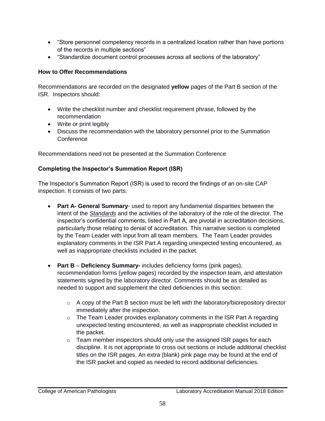- "Store personnel competency records in a centralized location rather than have portions of the records in multiple sections"
- "Standardize document control processes across all sections of the laboratory"

## **How to Offer Recommendations**

Recommendations are recorded on the designated **yellow** pages of the Part B section of the ISR. Inspectors should:

- Write the checklist number and checklist requirement phrase, followed by the recommendation
- Write or print legibly
- Discuss the recommendation with the laboratory personnel prior to the Summation **Conference**

Recommendations need not be presented at the Summation Conference

### **Completing the Inspector's Summation Report (ISR)**

The Inspector's Summation Report (ISR) is used to record the findings of an on-site CAP inspection. It consists of two parts.

- **Part A- General Summary** used to report any fundamental disparities between the intent of the *Standards* and the activities of the laboratory of the role of the director. The inspector's confidential comments, listed in Part A, are pivotal in accreditation decisions, particularly those relating to denial of accreditation. This narrative section is completed by the Team Leader with input from all team members. The Team Leader provides explanatory comments in the ISR Part A regarding unexpected testing encountered, as well as inappropriate checklists included in the packet.
- **Part B Deficiency Summary-** includes deficiency forms (pink pages), recommendation forms (yellow pages) recorded by the inspection team, and attestation statements signed by the laboratory director. Comments should be as detailed as needed to support and supplement the cited deficiencies in this section:
	- $\circ$  A copy of the Part B section must be left with the laboratory/biorepository director immediately after the inspection.
	- $\circ$  The Team Leader provides explanatory comments in the ISR Part A regarding unexpected testing encountered, as well as inappropriate checklist included in the packet.
	- $\circ$  Team member inspectors should only use the assigned ISR pages for each discipline. It is not appropriate to cross out sections or include additional checklist titles on the ISR pages. An extra (blank) pink page may be found at the end of the ISR packet and copied as needed to record additional deficiencies.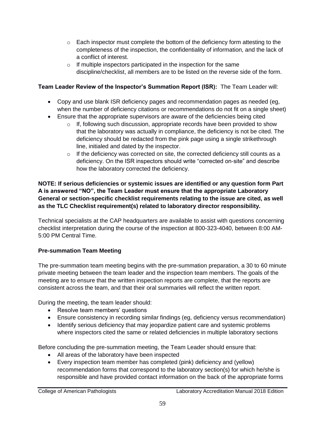- $\circ$  Each inspector must complete the bottom of the deficiency form attesting to the completeness of the inspection, the confidentiality of information, and the lack of a conflict of interest.
- $\circ$  If multiple inspectors participated in the inspection for the same discipline/checklist, all members are to be listed on the reverse side of the form.

# **Team Leader Review of the Inspector's Summation Report (ISR):** The Team Leader will:

- Copy and use blank ISR deficiency pages and recommendation pages as needed (eg, when the number of deficiency citations or recommendations do not fit on a single sheet)
- Ensure that the appropriate supervisors are aware of the deficiencies being cited
	- $\circ$  If, following such discussion, appropriate records have been provided to show that the laboratory was actually in compliance, the deficiency is not be cited. The deficiency should be redacted from the pink page using a single strikethrough line, initialed and dated by the inspector.
	- $\circ$  If the deficiency was corrected on site, the corrected deficiency still counts as a deficiency. On the ISR inspectors should write "corrected on-site" and describe how the laboratory corrected the deficiency.

### **NOTE: If serious deficiencies or systemic issues are identified or any question form Part A is answered "NO", the Team Leader must ensure that the appropriate Laboratory General or section-specific checklist requirements relating to the issue are cited, as well as the TLC Checklist requirement(s) related to laboratory director responsibility.**

Technical specialists at the CAP headquarters are available to assist with questions concerning checklist interpretation during the course of the inspection at 800-323-4040, between 8:00 AM-5:00 PM Central Time.

# **Pre-summation Team Meeting**

The pre-summation team meeting begins with the pre-summation preparation, a 30 to 60 minute private meeting between the team leader and the inspection team members. The goals of the meeting are to ensure that the written inspection reports are complete, that the reports are consistent across the team, and that their oral summaries will reflect the written report.

During the meeting, the team leader should:

- Resolve team members' questions
- Ensure consistency in recording similar findings (eg, deficiency versus recommendation)
- Identify serious deficiency that may jeopardize patient care and systemic problems where inspectors cited the same or related deficiencies in multiple laboratory sections

Before concluding the pre-summation meeting, the Team Leader should ensure that:

- All areas of the laboratory have been inspected
- Every inspection team member has completed (pink) deficiency and (yellow) recommendation forms that correspond to the laboratory section(s) for which he/she is responsible and have provided contact information on the back of the appropriate forms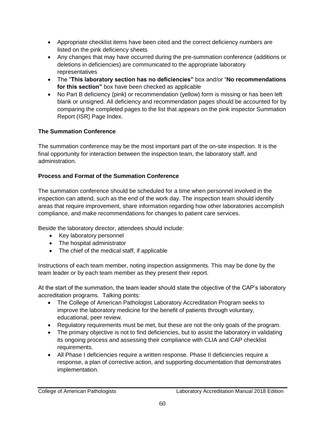- Appropriate checklist items have been cited and the correct deficiency numbers are listed on the pink deficiency sheets
- Any changes that may have occurred during the pre-summation conference (additions or deletions in deficiencies) are communicated to the appropriate laboratory representatives
- The "**This laboratory section has no deficiencies"** box and/or "**No recommendations for this section"** box have been checked as applicable
- No Part B deficiency (pink) or recommendation (yellow) form is missing or has been left blank or unsigned. All deficiency and recommendation pages should be accounted for by comparing the completed pages to the list that appears on the pink inspector Summation Report (ISR) Page Index.

# **The Summation Conference**

The summation conference may be the most important part of the on-site inspection. It is the final opportunity for interaction between the inspection team, the laboratory staff, and administration.

# **Process and Format of the Summation Conference**

The summation conference should be scheduled for a time when personnel involved in the inspection can attend, such as the end of the work day. The inspection team should identify areas that require improvement, share information regarding how other laboratories accomplish compliance, and make recommendations for changes to patient care services.

Beside the laboratory director, attendees should include:

- Key laboratory personnel
- The hospital administrator
- The chief of the medical staff, if applicable

Instructions of each team member, noting inspection assignments. This may be done by the team leader or by each team member as they present their report.

At the start of the summation, the team leader should state the objective of the CAP's laboratory accreditation programs. Talking points:

- The College of American Pathologist Laboratory Accreditation Program seeks to improve the laboratory medicine for the benefit of patients through voluntary, educational, peer review.
- Regulatory requirements must be met, but these are not the only goals of the program.
- The primary objective is not to find deficiencies, but to assist the laboratory in validating its ongoing process and assessing their compliance with CLIA and CAP checklist requirements.
- All Phase I deficiencies require a written response. Phase II deficiencies require a response, a plan of corrective action, and supporting documentation that demonstrates implementation.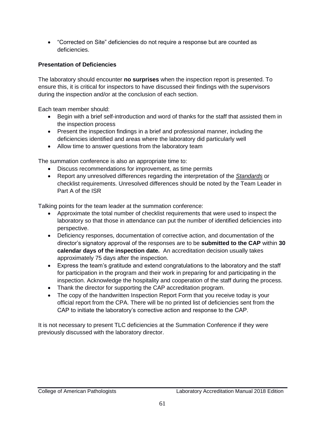"Corrected on Site" deficiencies do not require a response but are counted as deficiencies.

# **Presentation of Deficiencies**

The laboratory should encounter **no surprises** when the inspection report is presented. To ensure this, it is critical for inspectors to have discussed their findings with the supervisors during the inspection and/or at the conclusion of each section.

Each team member should:

- Begin with a brief self-introduction and word of thanks for the staff that assisted them in the inspection process
- Present the inspection findings in a brief and professional manner, including the deficiencies identified and areas where the laboratory did particularly well
- Allow time to answer questions from the laboratory team

The summation conference is also an appropriate time to:

- Discuss recommendations for improvement, as time permits
- Report any unresolved differences regarding the interpretation of the *Standards* or checklist requirements. Unresolved differences should be noted by the Team Leader in Part A of the ISR

Talking points for the team leader at the summation conference:

- Approximate the total number of checklist requirements that were used to inspect the laboratory so that those in attendance can put the number of identified deficiencies into perspective.
- Deficiency responses, documentation of corrective action, and documentation of the director's signatory approval of the responses are to be **submitted to the CAP** within **30 calendar days of the inspection date.** An accreditation decision usually takes approximately 75 days after the inspection.
- Express the team's gratitude and extend congratulations to the laboratory and the staff for participation in the program and their work in preparing for and participating in the inspection. Acknowledge the hospitality and cooperation of the staff during the process.
- Thank the director for supporting the CAP accreditation program.
- The copy of the handwritten Inspection Report Form that you receive today is your official report from the CPA. There will be no printed list of deficiencies sent from the CAP to initiate the laboratory's corrective action and response to the CAP.

It is not necessary to present TLC deficiencies at the Summation Conference if they were previously discussed with the laboratory director.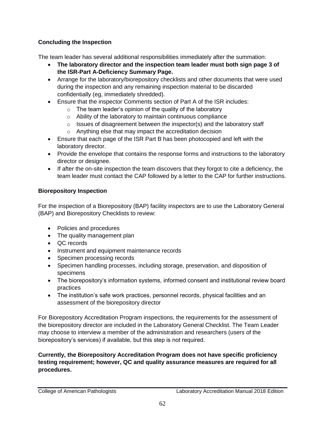# **Concluding the Inspection**

The team leader has several additional responsibilities immediately after the summation:

- **The laboratory director and the inspection team leader must both sign page 3 of the ISR-Part A-Deficiency Summary Page.**
- Arrange for the laboratory/biorepository checklists and other documents that were used during the inspection and any remaining inspection material to be discarded confidentially (eg, immediately shredded).
- Ensure that the inspector Comments section of Part A of the ISR includes:
	- $\circ$  The team leader's opinion of the quality of the laboratory
	- o Ability of the laboratory to maintain continuous compliance
	- $\circ$  Issues of disagreement between the inspector(s) and the laboratory staff
	- o Anything else that may impact the accreditation decision
- Ensure that each page of the ISR Part B has been photocopied and left with the laboratory director.
- Provide the envelope that contains the response forms and instructions to the laboratory director or designee.
- If after the on-site inspection the team discovers that they forgot to cite a deficiency, the team leader must contact the CAP followed by a letter to the CAP for further instructions.

## **Biorepository Inspection**

For the inspection of a Biorepository (BAP) facility inspectors are to use the Laboratory General (BAP) and Biorepository Checklists to review:

- Policies and procedures
- The quality management plan
- QC records
- Instrument and equipment maintenance records
- Specimen processing records
- Specimen handling processes, including storage, preservation, and disposition of specimens
- The biorepository's information systems, informed consent and institutional review board practices
- The institution's safe work practices, personnel records, physical facilities and an assessment of the biorepository director

For Biorepository Accreditation Program inspections, the requirements for the assessment of the biorepository director are included in the Laboratory General Checklist. The Team Leader may choose to interview a member of the administration and researchers (users of the biorepository's services) if available, but this step is not required.

#### **Currently, the Biorepository Accreditation Program does not have specific proficiency testing requirement; however, QC and quality assurance measures are required for all procedures.**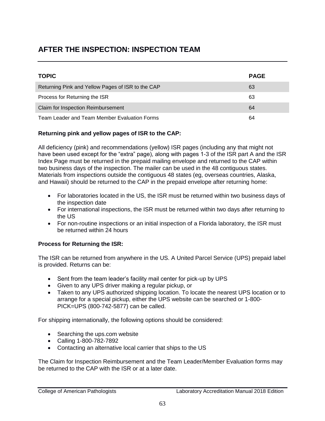# **AFTER THE INSPECTION: INSPECTION TEAM**

| <b>TOPIC</b>                                      | <b>PAGE</b> |
|---------------------------------------------------|-------------|
| Returning Pink and Yellow Pages of ISR to the CAP | 63          |
| Process for Returning the ISR                     | 63          |
| Claim for Inspection Reimbursement                | 64          |
| Team Leader and Team Member Evaluation Forms      | 64          |

## **Returning pink and yellow pages of ISR to the CAP:**

All deficiency (pink) and recommendations (yellow) ISR pages (including any that might not have been used except for the "extra" page), along with pages 1-3 of the ISR part A and the ISR Index Page must be returned in the prepaid mailing envelope and returned to the CAP within two business days of the inspection. The mailer can be used in the 48 contiguous states. Materials from inspections outside the contiguous 48 states (eg, overseas countries, Alaska, and Hawaii) should be returned to the CAP in the prepaid envelope after returning home:

- For laboratories located in the US, the ISR must be returned within two business days of the inspection date
- For international inspections, the ISR must be returned within two days after returning to the US
- For non-routine inspections or an initial inspection of a Florida laboratory, the ISR must be returned within 24 hours

#### **Process for Returning the ISR:**

The ISR can be returned from anywhere in the US. A United Parcel Service (UPS) prepaid label is provided. Returns can be:

- Sent from the team leader's facility mail center for pick-up by UPS
- Given to any UPS driver making a regular pickup, or
- Taken to any UPS authorized shipping location. To locate the nearest UPS location or to arrange for a special pickup, either the UPS website can be searched or 1-800- PICK=UPS (800-742-5877) can be called.

For shipping internationally, the following options should be considered:

- Searching the ups.com website
- Calling 1-800-782-7892
- Contacting an alternative local carrier that ships to the US

The Claim for Inspection Reimbursement and the Team Leader/Member Evaluation forms may be returned to the CAP with the ISR or at a later date.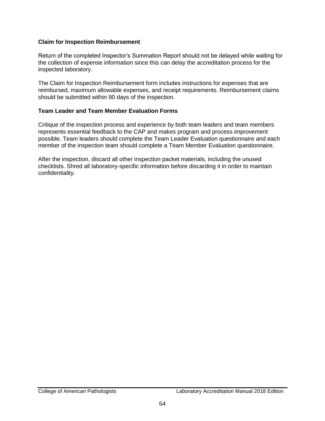#### **Claim for Inspection Reimbursement**

Return of the completed Inspector's Summation Report should not be delayed while waiting for the collection of expense information since this can delay the accreditation process for the inspected laboratory.

The Claim for Inspection Reimbursement form includes instructions for expenses that are reimbursed, maximum allowable expenses, and receipt requirements. Reimbursement claims should be submitted within 90 days of the inspection.

#### **Team Leader and Team Member Evaluation Forms**

Critique of the inspection process and experience by both team leaders and team members represents essential feedback to the CAP and makes program and process improvement possible. Team leaders should complete the Team Leader Evaluation questionnaire and each member of the inspection team should complete a Team Member Evaluation questionnaire.

After the inspection, discard all other inspection packet materials, including the unused checklists. Shred all laboratory-specific information before discarding it in order to maintain confidentiality.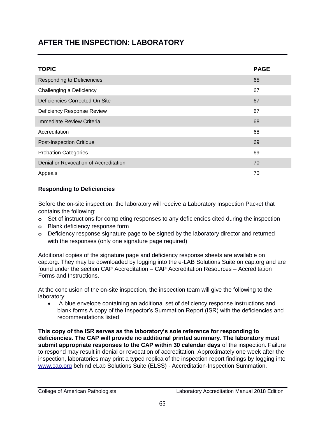# **AFTER THE INSPECTION: LABORATORY**

| <b>TOPIC</b>                          | <b>PAGE</b> |
|---------------------------------------|-------------|
| Responding to Deficiencies            | 65          |
| Challenging a Deficiency              | 67          |
| Deficiencies Corrected On Site        | 67          |
| Deficiency Response Review            | 67          |
| Immediate Review Criteria             | 68          |
| Accreditation                         | 68          |
| <b>Post-Inspection Critique</b>       | 69          |
| <b>Probation Categories</b>           | 69          |
| Denial or Revocation of Accreditation | 70          |
| Appeals                               | 70          |

## **Responding to Deficiencies**

Before the on-site inspection, the laboratory will receive a Laboratory Inspection Packet that contains the following:

- **o** Set of instructions for completing responses to any deficiencies cited during the inspection
- **o** Blank deficiency response form
- **o** Deficiency response signature page to be signed by the laboratory director and returned with the responses (only one signature page required)

Additional copies of the signature page and deficiency response sheets are available on cap.org. They may be downloaded by logging into the e-LAB Solutions Suite on cap.org and are found under the section CAP Accreditation – CAP Accreditation Resources – Accreditation Forms and Instructions.

At the conclusion of the on-site inspection, the inspection team will give the following to the laboratory:

 A blue envelope containing an additional set of deficiency response instructions and blank forms A copy of the Inspector's Summation Report (ISR) with the deficiencies and recommendations listed

**This copy of the ISR serves as the laboratory's sole reference for responding to deficiencies. The CAP will provide no additional printed summary**. **The laboratory must submit appropriate responses to the CAP within 30 calendar days** of the inspection. Failure to respond may result in denial or revocation of accreditation. Approximately one week after the inspection, laboratories may print a typed replica of the inspection report findings by logging into [www.cap.org](http://www.cap.org/) behind eLab Solutions Suite (ELSS) - Accreditation-Inspection Summation.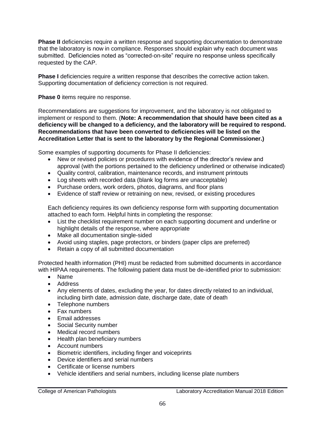**Phase II** deficiencies require a written response and supporting documentation to demonstrate that the laboratory is now in compliance. Responses should explain why each document was submitted. Deficiencies noted as "corrected-on-site" require no response unless specifically requested by the CAP.

**Phase I** deficiencies require a written response that describes the corrective action taken. Supporting documentation of deficiency correction is not required.

**Phase 0** items require no response.

Recommendations are suggestions for improvement, and the laboratory is not obligated to implement or respond to them. (**Note: A recommendation that should have been cited as a deficiency will be changed to a deficiency, and the laboratory will be required to respond. Recommendations that have been converted to deficiencies will be listed on the Accreditation Letter that is sent to the laboratory by the Regional Commissioner.)** 

Some examples of supporting documents for Phase II deficiencies:

- New or revised policies or procedures with evidence of the director's review and approval (with the portions pertained to the deficiency underlined or otherwise indicated)
- Quality control, calibration, maintenance records, and instrument printouts
- Log sheets with recorded data (blank log forms are unacceptable)
- Purchase orders, work orders, photos, diagrams, and floor plans
- Evidence of staff review or retraining on new, revised, or existing procedures

Each deficiency requires its own deficiency response form with supporting documentation attached to each form. Helpful hints in completing the response:

- List the checklist requirement number on each supporting document and underline or highlight details of the response, where appropriate
- Make all documentation single-sided
- Avoid using staples, page protectors, or binders (paper clips are preferred)
- Retain a copy of all submitted documentation

Protected health information (PHI) must be redacted from submitted documents in accordance with HIPAA requirements. The following patient data must be de-identified prior to submission:

- Name
- Address
- Any elements of dates, excluding the year, for dates directly related to an individual, including birth date, admission date, discharge date, date of death
- Telephone numbers
- Fax numbers
- Email addresses
- Social Security number
- Medical record numbers
- Health plan beneficiary numbers
- Account numbers
- Biometric identifiers, including finger and voiceprints
- Device identifiers and serial numbers
- Certificate or license numbers
- Vehicle identifiers and serial numbers, including license plate numbers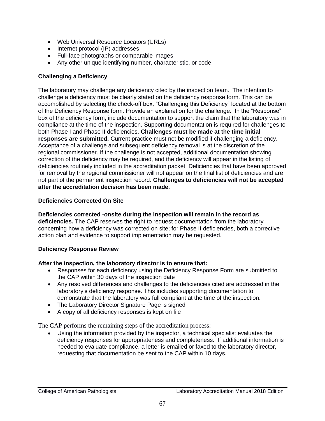- Web Universal Resource Locators (URLs)
- Internet protocol (IP) addresses
- Full-face photographs or comparable images
- Any other unique identifying number, characteristic, or code

## **Challenging a Deficiency**

The laboratory may challenge any deficiency cited by the inspection team. The intention to challenge a deficiency must be clearly stated on the deficiency response form. This can be accomplished by selecting the check-off box, "Challenging this Deficiency" located at the bottom of the Deficiency Response form. Provide an explanation for the challenge. In the "Response" box of the deficiency form; include documentation to support the claim that the laboratory was in compliance at the time of the inspection. Supporting documentation is required for challenges to both Phase I and Phase II deficiencies. **Challenges must be made at the time initial responses are submitted.** Current practice must not be modified if challenging a deficiency. Acceptance of a challenge and subsequent deficiency removal is at the discretion of the regional commissioner. If the challenge is not accepted, additional documentation showing correction of the deficiency may be required, and the deficiency will appear in the listing of deficiencies routinely included in the accreditation packet. Deficiencies that have been approved for removal by the regional commissioner will not appear on the final list of deficiencies and are not part of the permanent inspection record. **Challenges to deficiencies will not be accepted after the accreditation decision has been made.**

### **Deficiencies Corrected On Site**

**Deficiencies corrected -onsite during the inspection will remain in the record as deficiencies.** The CAP reserves the right to request documentation from the laboratory concerning how a deficiency was corrected on site; for Phase II deficiencies, both a corrective action plan and evidence to support implementation may be requested.

#### **Deficiency Response Review**

#### **After the inspection, the laboratory director is to ensure that:**

- Responses for each deficiency using the Deficiency Response Form are submitted to the CAP within 30 days of the inspection date
- Any resolved differences and challenges to the deficiencies cited are addressed in the laboratory's deficiency response. This includes supporting documentation to demonstrate that the laboratory was full compliant at the time of the inspection.
- The Laboratory Director Signature Page is signed
- A copy of all deficiency responses is kept on file

The CAP performs the remaining steps of the accreditation process:

 Using the information provided by the inspector, a technical specialist evaluates the deficiency responses for appropriateness and completeness. If additional information is needed to evaluate compliance, a letter is emailed or faxed to the laboratory director, requesting that documentation be sent to the CAP within 10 days.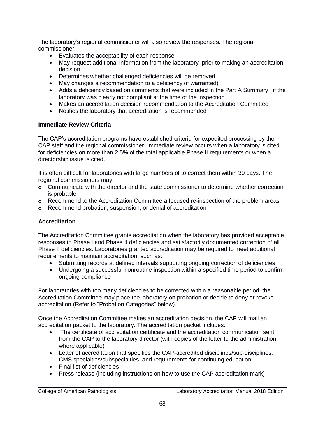The laboratory's regional commissioner will also review the responses. The regional commissioner:

- Evaluates the acceptability of each response
- May request additional information from the laboratory prior to making an accreditation decision
- Determines whether challenged deficiencies will be removed
- May changes a recommendation to a deficiency (if warranted)
- Adds a deficiency based on comments that were included in the Part A Summary if the laboratory was clearly not compliant at the time of the inspection
- Makes an accreditation decision recommendation to the Accreditation Committee
- Notifies the laboratory that accreditation is recommended

# **Immediate Review Criteria**

The CAP's accreditation programs have established criteria for expedited processing by the CAP staff and the regional commissioner. Immediate review occurs when a laboratory is cited for deficiencies on more than 2.5% of the total applicable Phase II requirements or when a directorship issue is cited.

It is often difficult for laboratories with large numbers of to correct them within 30 days. The regional commissioners may:

- **o** Communicate with the director and the state commissioner to determine whether correction is probable
- **o** Recommend to the Accreditation Committee a focused re-inspection of the problem areas
- **o** Recommend probation, suspension, or denial of accreditation

# **Accreditation**

The Accreditation Committee grants accreditation when the laboratory has provided acceptable responses to Phase I and Phase II deficiencies and satisfactorily documented correction of all Phase II deficiencies. Laboratories granted accreditation may be required to meet additional requirements to maintain accreditation, such as:

- Submitting records at defined intervals supporting ongoing correction of deficiencies
- Undergoing a successful nonroutine inspection within a specified time period to confirm ongoing compliance

For laboratories with too many deficiencies to be corrected within a reasonable period, the Accreditation Committee may place the laboratory on probation or decide to deny or revoke accreditation (Refer to "Probation Categories" below).

Once the Accreditation Committee makes an accreditation decision, the CAP will mail an accreditation packet to the laboratory. The accreditation packet includes:

- The certificate of accreditation certificate and the accreditation communication sent from the CAP to the laboratory director (with copies of the letter to the administration where applicable)
- Letter of accreditation that specifies the CAP-accredited disciplines/sub-disciplines, CMS specialties/subspecialties, and requirements for continuing education
- Final list of deficiencies
- Press release (including instructions on how to use the CAP accreditation mark)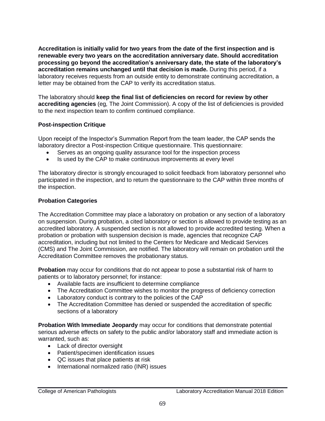**Accreditation is initially valid for two years from the date of the first inspection and is renewable every two years on the accreditation anniversary date. Should accreditation processing go beyond the accreditation's anniversary date, the state of the laboratory's accreditation remains unchanged until that decision is made.** During this period, if a laboratory receives requests from an outside entity to demonstrate continuing accreditation, a letter may be obtained from the CAP to verify its accreditation status.

The laboratory should **keep the final list of deficiencies on record for review by other accrediting agencies** (eg*,* The Joint Commission). A copy of the list of deficiencies is provided to the next inspection team to confirm continued compliance.

#### **Post-inspection Critique**

Upon receipt of the Inspector's Summation Report from the team leader, the CAP sends the laboratory director a Post-inspection Critique questionnaire. This questionnaire:

- Serves as an ongoing quality assurance tool for the inspection process
- Is used by the CAP to make continuous improvements at every level

The laboratory director is strongly encouraged to solicit feedback from laboratory personnel who participated in the inspection, and to return the questionnaire to the CAP within three months of the inspection.

#### **Probation Categories**

The Accreditation Committee may place a laboratory on probation or any section of a laboratory on suspension. During probation, a cited laboratory or section is allowed to provide testing as an accredited laboratory. A suspended section is not allowed to provide accredited testing. When a probation or probation with suspension decision is made, agencies that recognize CAP accreditation, including but not limited to the Centers for Medicare and Medicaid Services (CMS) and The Joint Commission, are notified. The laboratory will remain on probation until the Accreditation Committee removes the probationary status.

**Probation** may occur for conditions that do not appear to pose a substantial risk of harm to patients or to laboratory personnel; for instance:

- Available facts are insufficient to determine compliance
- The Accreditation Committee wishes to monitor the progress of deficiency correction
- Laboratory conduct is contrary to the policies of the CAP
- The Accreditation Committee has denied or suspended the accreditation of specific sections of a laboratory

**Probation With Immediate Jeopardy** may occur for conditions that demonstrate potential serious adverse effects on safety to the public and/or laboratory staff and immediate action is warranted, such as:

- Lack of director oversight
- Patient/specimen identification issues
- QC issues that place patients at risk
- International normalized ratio (INR) issues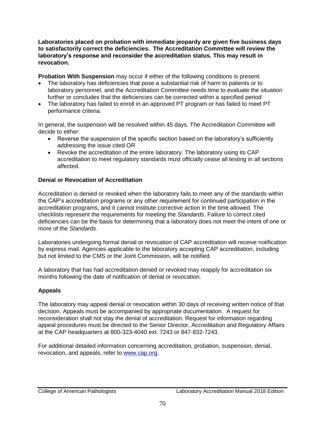**Laboratories placed on probation with immediate jeopardy are given five business days to satisfactorily correct the deficiencies. The Accreditation Committee will review the laboratory's response and reconsider the accreditation status. This may result in revocation.** 

**Probation With Suspension** may occur if either of the following conditions is present:

- The laboratory has deficiencies that pose a substantial risk of harm to patients or to laboratory personnel, and the Accreditation Committee needs time to evaluate the situation further or concludes that the deficiencies can be corrected within a specified period
- The laboratory has failed to enroll in an approved PT program or has failed to meet PT performance criteria.

In general, the suspension will be resolved within 45 days. The Accreditation Committee will decide to either:

- Reverse the suspension of the specific section based on the laboratory's sufficiently addressing the issue cited OR
- Revoke the accreditation of the entire laboratory. The laboratory using its CAP accreditation to meet regulatory standards must officially cease all testing in all sections affected.

## **Denial or Revocation of Accreditation**

Accreditation is denied or revoked when the laboratory fails to meet any of the standards within the CAP's accreditation programs or any other requirement for continued participation in the accreditation programs, and it cannot institute corrective action in the time allowed. The checklists represent the requirements for meeting the *Standards*. Failure to correct cited deficiencies can be the basis for determining that a laboratory does not meet the intent of one or more of the *Standards*.

Laboratories undergoing formal denial or revocation of CAP accreditation will receive notification by express mail. Agencies applicable to the laboratory accepting CAP accreditation, including but not limited to the CMS or the Joint Commission, will be notified.

A laboratory that has had accreditation denied or revoked may reapply for accreditation six months following the date of notification of denial or revocation.

## **Appeals**

The laboratory may appeal denial or revocation within 30 days of receiving written notice of that decision. Appeals must be accompanied by appropriate documentation. A request for reconsideration shall not stay the denial of accreditation. Request for information regarding appeal procedures must be directed to the Senior Director, Accreditation and Regulatory Affairs at the CAP headquarters at 800-323-4040 ext. 7243 or 847-832-7243.

For additional detailed information concerning accreditation, probation, suspension, denial, revocation, and appeals, refer to [www.cap.org.](http://www.cap.org/)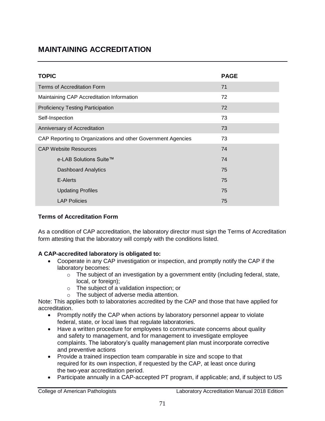# **MAINTAINING ACCREDITATION**

| <b>TOPIC</b>                                                 | <b>PAGE</b> |
|--------------------------------------------------------------|-------------|
| Terms of Accreditation Form                                  | 71          |
| Maintaining CAP Accreditation Information                    | 72          |
| <b>Proficiency Testing Participation</b>                     | 72          |
| Self-Inspection                                              | 73          |
| Anniversary of Accreditation                                 | 73          |
| CAP Reporting to Organizations and other Government Agencies | 73          |
| <b>CAP Website Resources</b>                                 | 74          |
| e-LAB Solutions Suite™                                       | 74          |
| <b>Dashboard Analytics</b>                                   | 75          |
| E-Alerts                                                     | 75          |
| <b>Updating Profiles</b>                                     | 75          |
| <b>LAP Policies</b>                                          | 75          |

### **Terms of Accreditation Form**

As a condition of CAP accreditation, the laboratory director must sign the Terms of Accreditation form attesting that the laboratory will comply with the conditions listed.

### **A CAP-accredited laboratory is obligated to:**

- Cooperate in any CAP investigation or inspection, and promptly notify the CAP if the laboratory becomes:
	- o The subject of an investigation by a government entity (including federal, state, local, or foreign);
	- o The subject of a validation inspection; or
	- o The subject of adverse media attention.

Note: This applies both to laboratories accredited by the CAP and those that have applied for accreditation.

- Promptly notify the CAP when actions by laboratory personnel appear to violate federal, state, or local laws that regulate laboratories.
- Have a written procedure for employees to communicate concerns about quality and safety to management, and for management to investigate employee complaints. The laboratory's quality management plan must incorporate corrective and preventive actions
- Provide a trained inspection team comparable in size and scope to that required for its own inspection, if requested by the CAP, at least once during the two-year accreditation period.
- Participate annually in a CAP-accepted PT program, if applicable; and, if subject to US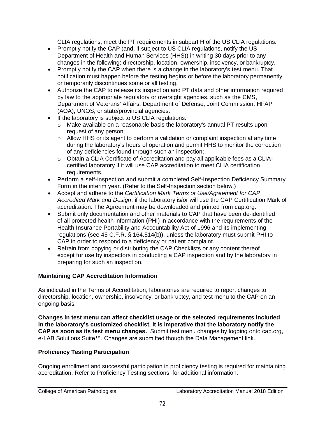CLIA regulations, meet the PT requirements in subpart H of the US CLIA regulations.

- Promptly notify the CAP (and, if subject to US CLIA regulations, notify the US Department of Health and Human Services (HHS)) in writing 30 days prior to any changes in the following: directorship, location, ownership, insolvency, or bankruptcy.
- Promptly notify the CAP when there is a change in the laboratory's test menu. That notification must happen before the testing begins or before the laboratory permanently or temporarily discontinues some or all testing.
- Authorize the CAP to release its inspection and PT data and other information required by law to the appropriate regulatory or oversight agencies, such as the CMS, Department of Veterans' Affairs, Department of Defense, Joint Commission, HFAP (AOA), UNOS, or state/provincial agencies.
- If the laboratory is subject to US CLIA regulations:
	- o Make available on a reasonable basis the laboratory's annual PT results upon request of any person;
	- o Allow HHS or its agent to perform a validation or complaint inspection at any time during the laboratory's hours of operation and permit HHS to monitor the correction of any deficiencies found through such an inspection;
	- o Obtain a CLIA Certificate of Accreditation and pay all applicable fees as a CLIAcertified laboratory if it will use CAP accreditation to meet CLIA certification requirements.
- Perform a self-inspection and submit a completed Self-Inspection Deficiency Summary Form in the interim year. (Refer to the Self-Inspection section below.)
- Accept and adhere to the *Certification Mark Terms of Use/Agreement for CAP Accredited Mark and Design*, if the laboratory is/or will use the CAP Certification Mark of accreditation. The Agreement may be downloaded and printed from cap.org.
- Submit only documentation and other materials to CAP that have been de-identified of all protected health information (PHI) in accordance with the requirements of the Health Insurance Portability and Accountability Act of 1996 and its implementing regulations (see 45 C.F.R. § 164.514(b)), unless the laboratory must submit PHI to CAP in order to respond to a deficiency or patient complaint.
- Refrain from copying or distributing the CAP Checklists or any content thereof except for use by inspectors in conducting a CAP inspection and by the laboratory in preparing for such an inspection.

### **Maintaining CAP Accreditation Information**

As indicated in the Terms of Accreditation, laboratories are required to report changes to directorship, location, ownership, insolvency, or bankruptcy, and test menu to the CAP on an ongoing basis.

**Changes in test menu can affect checklist usage or the selected requirements included in the laboratory's customized checklist. It is imperative that the laboratory notify the CAP as soon as its test menu changes.** Submit test menu changes by logging onto cap.org, e-LAB Solutions Suite™. Changes are submitted though the Data Management link.

### **Proficiency Testing Participation**

Ongoing enrollment and successful participation in proficiency testing is required for maintaining accreditation. Refer to Proficiency Testing sections, for additional information.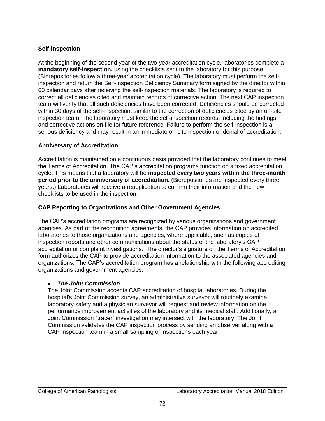### **Self-inspection**

At the beginning of the second year of the two-year accreditation cycle, laboratories complete a **mandatory self-inspection,** using the checklists sent to the laboratory for this purpose (Biorepositories follow a three-year accreditation cycle). The laboratory must perform the selfinspection and return the Self-Inspection Deficiency Summary form signed by the director within 60 calendar days after receiving the self-inspection materials. The laboratory is required to correct all deficiencies cited and maintain records of corrective action. The next CAP inspection team will verify that all such deficiencies have been corrected. Deficiencies should be corrected within 30 days of the self-inspection, similar to the correction of deficiencies cited by an on-site inspection team. The laboratory must keep the self-inspection records, including the findings and corrective actions on file for future reference. Failure to perform the self-inspection is a serious deficiency and may result in an immediate on-site inspection or denial of accreditation.

### **Anniversary of Accreditation**

Accreditation is maintained on a continuous basis provided that the laboratory continues to meet the Terms of Accreditation. The CAP's accreditation programs function on a fixed accreditation cycle. This means that a laboratory will be **inspected every two years within the three-month period prior to the anniversary of accreditation.** (Biorepositories are inspected every three years.) Laboratories will receive a reapplication to confirm their information and the new checklists to be used in the inspection.

### **CAP Reporting to Organizations and Other Government Agencies**

The CAP's accreditation programs are recognized by various organizations and government agencies. As part of the recognition agreements, the CAP provides information on accredited laboratories to those organizations and agencies, where applicable, such as copies of inspection reports and other communications about the status of the laboratory's CAP accreditation or complaint investigations. The director's signature on the Terms of Accreditation form authorizes the CAP to provide accreditation information to the associated agencies and organizations. The CAP's accreditation program has a relationship with the following accrediting organizations and government agencies:

### *The Joint Commission*

The Joint Commission accepts CAP accreditation of hospital laboratories. During the hospital's Joint Commission survey, an administrative surveyor will routinely examine laboratory safety and a physician surveyor will request and review information on the performance improvement activities of the laboratory and its medical staff. Additionally, a Joint Commission "tracer" investigation may intersect with the laboratory. The Joint Commission validates the CAP inspection process by sending an observer along with a CAP inspection team in a small sampling of inspections each year.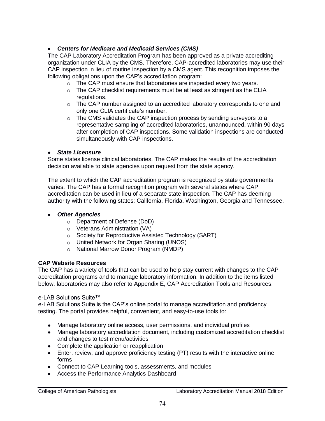### *Centers for Medicare and Medicaid Services (CMS)*

The CAP Laboratory Accreditation Program has been approved as a private accrediting organization under CLIA by the CMS. Therefore, CAP-accredited laboratories may use their CAP inspection in lieu of routine inspection by a CMS agent. This recognition imposes the following obligations upon the CAP's accreditation program:

- o The CAP must ensure that laboratories are inspected every two years.
- $\circ$  The CAP checklist requirements must be at least as stringent as the CLIA regulations.
- $\circ$  The CAP number assigned to an accredited laboratory corresponds to one and only one CLIA certificate's number.
- $\circ$  The CMS validates the CAP inspection process by sending surveyors to a representative sampling of accredited laboratories, unannounced, within 90 days after completion of CAP inspections. Some validation inspections are conducted simultaneously with CAP inspections.

### *State Licensure*

Some states license clinical laboratories. The CAP makes the results of the accreditation decision available to state agencies upon request from the state agency.

The extent to which the CAP accreditation program is recognized by state governments varies. The CAP has a formal recognition program with several states where CAP accreditation can be used in lieu of a separate state inspection. The CAP has deeming authority with the following states: California, Florida, Washington, Georgia and Tennessee.

### *Other Agencies*

- o Department of Defense (DoD)
- o Veterans Administration (VA)
- o Society for Reproductive Assisted Technology (SART)
- o United Network for Organ Sharing (UNOS)
- o National Marrow Donor Program (NMDP)

### **CAP Website Resources**

The CAP has a variety of tools that can be used to help stay current with changes to the CAP accreditation programs and to manage laboratory information. In addition to the items listed below, laboratories may also refer to Appendix E, CAP Accreditation Tools and Resources.

### e-LAB Solutions Suite™

e-LAB Solutions Suite is the CAP's online portal to manage accreditation and proficiency testing. The portal provides helpful, convenient, and easy-to-use tools to:

- Manage laboratory online access, user permissions, and individual profiles
- Manage laboratory accreditation document, including customized accreditation checklist and changes to test menu/activities
- Complete the application or reapplication
- Enter, review, and approve proficiency testing (PT) results with the interactive online forms
- Connect to CAP Learning tools, assessments, and modules
- Access the Performance Analytics Dashboard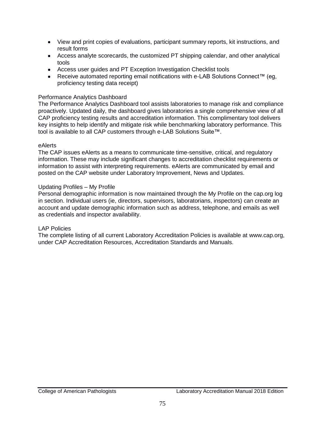- View and print copies of evaluations, participant summary reports, kit instructions, and result forms
- Access analyte scorecards, the customized PT shipping calendar, and other analytical tools
- Access user guides and PT Exception Investigation Checklist tools
- Receive automated reporting email notifications with e-LAB Solutions Connect™ (eg, proficiency testing data receipt)

### Performance Analytics Dashboard

The Performance Analytics Dashboard tool assists laboratories to manage risk and compliance proactively. Updated daily, the dashboard gives laboratories a single comprehensive view of all CAP proficiency testing results and accreditation information. This complimentary tool delivers key insights to help identify and mitigate risk while benchmarking laboratory performance. This tool is available to all CAP customers through e-LAB Solutions Suite™.

#### eAlerts

The CAP issues eAlerts as a means to communicate time-sensitive, critical, and regulatory information. These may include significant changes to accreditation checklist requirements or information to assist with interpreting requirements. eAlerts are communicated by email and posted on the CAP website under Laboratory Improvement, News and Updates.

#### Updating Profiles – My Profile

Personal demographic information is now maintained through the My Profile on the cap.org log in section. Individual users (ie, directors, supervisors, laboratorians, inspectors) can create an account and update demographic information such as address, telephone, and emails as well as credentials and inspector availability.

#### LAP Policies

The complete listing of all current Laboratory Accreditation Policies is available at [www.cap.org,](http://www.cap.org/) under CAP Accreditation Resources, Accreditation Standards and Manuals.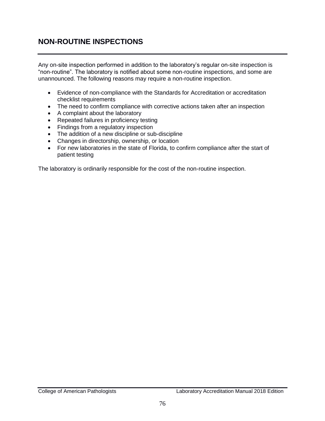# **NON-ROUTINE INSPECTIONS**

Any on-site inspection performed in addition to the laboratory's regular on-site inspection is "non-routine". The laboratory is notified about some non-routine inspections, and some are unannounced. The following reasons may require a non-routine inspection.

- Evidence of non-compliance with the Standards for Accreditation or accreditation checklist requirements
- The need to confirm compliance with corrective actions taken after an inspection
- A complaint about the laboratory
- Repeated failures in proficiency testing
- Findings from a regulatory inspection
- The addition of a new discipline or sub-discipline
- Changes in directorship, ownership, or location
- For new laboratories in the state of Florida, to confirm compliance after the start of patient testing

The laboratory is ordinarily responsible for the cost of the non-routine inspection.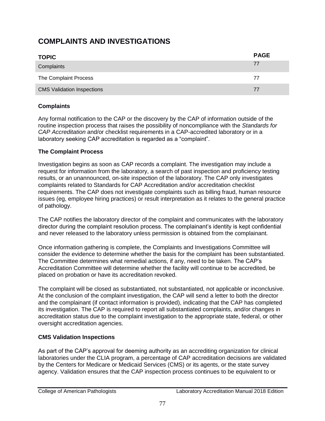# **COMPLAINTS AND INVESTIGATIONS**

| <b>TOPIC</b>                      | <b>PAGE</b> |
|-----------------------------------|-------------|
| Complaints                        | 77          |
| The Complaint Process             | 77          |
| <b>CMS Validation Inspections</b> | 77          |

### **Complaints**

Any formal notification to the CAP or the discovery by the CAP of information outside of the routine inspection process that raises the possibility of noncompliance with the *Standards for CAP Accreditation* and/or checklist requirements in a CAP-accredited laboratory or in a laboratory seeking CAP accreditation is regarded as a "complaint".

### **The Complaint Process**

Investigation begins as soon as CAP records a complaint. The investigation may include a request for information from the laboratory, a search of past inspection and proficiency testing results, or an unannounced, on-site inspection of the laboratory. The CAP only investigates complaints related to Standards for CAP Accreditation and/or accreditation checklist requirements. The CAP does not investigate complaints such as billing fraud, human resource issues (eg, employee hiring practices) or result interpretation as it relates to the general practice of pathology.

The CAP notifies the laboratory director of the complaint and communicates with the laboratory director during the complaint resolution process. The complainant's identity is kept confidential and never released to the laboratory unless permission is obtained from the complainant.

Once information gathering is complete, the Complaints and Investigations Committee will consider the evidence to determine whether the basis for the complaint has been substantiated. The Committee determines what remedial actions, if any, need to be taken. The CAP's Accreditation Committee will determine whether the facility will continue to be accredited, be placed on probation or have its accreditation revoked.

The complaint will be closed as substantiated, not substantiated, not applicable or inconclusive. At the conclusion of the complaint investigation, the CAP will send a letter to both the director and the complainant (if contact information is provided), indicating that the CAP has completed its investigation. The CAP is required to report all substantiated complaints, and/or changes in accreditation status due to the complaint investigation to the appropriate state, federal, or other oversight accreditation agencies.

### **CMS Validation Inspections**

As part of the CAP's approval for deeming authority as an accrediting organization for clinical laboratories under the CLIA program, a percentage of CAP accreditation decisions are validated by the Centers for Medicare or Medicaid Services (CMS) or its agents, or the state survey agency. Validation ensures that the CAP inspection process continues to be equivalent to or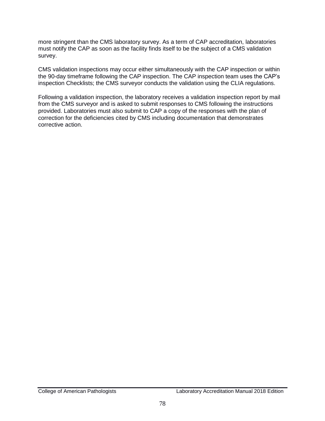more stringent than the CMS laboratory survey. As a term of CAP accreditation, laboratories must notify the CAP as soon as the facility finds itself to be the subject of a CMS validation survey.

CMS validation inspections may occur either simultaneously with the CAP inspection or within the 90-day timeframe following the CAP inspection. The CAP inspection team uses the CAP's inspection Checklists; the CMS surveyor conducts the validation using the CLIA regulations.

Following a validation inspection, the laboratory receives a validation inspection report by mail from the CMS surveyor and is asked to submit responses to CMS following the instructions provided. Laboratories must also submit to CAP a copy of the responses with the plan of correction for the deficiencies cited by CMS including documentation that demonstrates corrective action.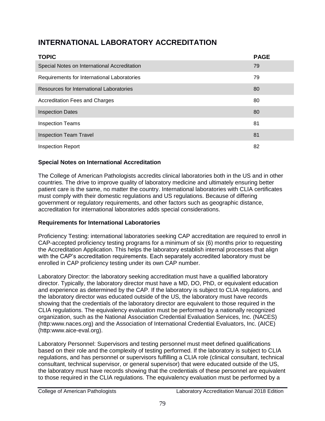# **INTERNATIONAL LABORATORY ACCREDITATION**

| <b>TOPIC</b>                                 | <b>PAGE</b> |
|----------------------------------------------|-------------|
| Special Notes on International Accreditation | 79          |
| Requirements for International Laboratories  | 79          |
| Resources for International Laboratories     | 80          |
| <b>Accreditation Fees and Charges</b>        | 80          |
| <b>Inspection Dates</b>                      | 80          |
| <b>Inspection Teams</b>                      | 81          |
| <b>Inspection Team Travel</b>                | 81          |
| <b>Inspection Report</b>                     | 82          |

### **Special Notes on International Accreditation**

The College of American Pathologists accredits clinical laboratories both in the US and in other countries. The drive to improve quality of laboratory medicine and ultimately ensuring better patient care is the same, no matter the country. International laboratories with CLIA certificates must comply with their domestic regulations and US regulations. Because of differing government or regulatory requirements, and other factors such as geographic distance, accreditation for international laboratories adds special considerations.

### **Requirements for International Laboratories**

Proficiency Testing: international laboratories seeking CAP accreditation are required to enroll in CAP-accepted proficiency testing programs for a minimum of six (6) months prior to requesting the Accreditation Application. This helps the laboratory establish internal processes that align with the CAP's accreditation requirements. Each separately accredited laboratory must be enrolled in CAP proficiency testing under its own CAP number.

Laboratory Director: the laboratory seeking accreditation must have a qualified laboratory director. Typically, the laboratory director must have a MD, DO, PhD, or equivalent education and experience as determined by the CAP. If the laboratory is subject to CLIA regulations, and the laboratory director was educated outside of the US, the laboratory must have records showing that the credentials of the laboratory director are equivalent to those required in the CLIA regulations. The equivalency evaluation must be performed by a nationally recognized organization, such as the National Association Credential Evaluation Services, Inc. (NACES) (http:www.naces.org) and the Association of International Credential Evaluators, Inc. (AICE) (http:www.aice-eval.org).

Laboratory Personnel: Supervisors and testing personnel must meet defined qualifications based on their role and the complexity of testing performed. If the laboratory is subject to CLIA regulations, and has personnel or supervisors fulfilling a CLIA role (clinical consultant, technical consultant, technical supervisor, or general supervisor) that were educated outside of the US, the laboratory must have records showing that the credentials of these personnel are equivalent to those required in the CLIA regulations. The equivalency evaluation must be performed by a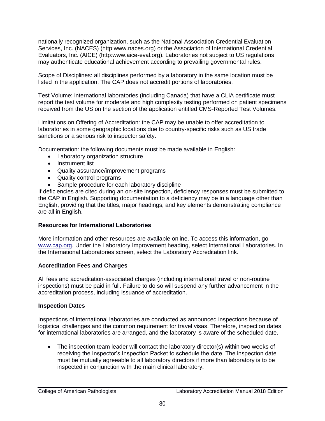nationally recognized organization, such as the National Association Credential Evaluation Services, Inc. (NACES) (http:www.naces.org) or the Association of International Credential Evaluators, Inc. (AICE) (http:www.aice[-eval.org\)](https://urldefense.proofpoint.com/v2/url?u=http-3A__eval.org_&d=DwMFaQ&c=uhUSuyNScXHb_F2nn0PKeY0q4oY6FfjGrtpKpaZYX9Y&r=tVllGz95V4dx_MxiCYNqtQ&m=uoTTd2ZyfVZOYNDZXBiGeGjiH8byLFMNxPuv4vVnnUQ&s=01tDTEG0BM-NAw-QG4yvJiz_9UfS_Wx09aoH24fp70E&e=). Laboratories not subject to US regulations may authenticate educational achievement according to prevailing governmental rules.

Scope of Disciplines: all disciplines performed by a laboratory in the same location must be listed in the application. The CAP does not accredit portions of laboratories.

Test Volume: international laboratories (including Canada) that have a CLIA certificate must report the test volume for moderate and high complexity testing performed on patient specimens received from the US on the section of the application entitled CMS-Reported Test Volumes.

Limitations on Offering of Accreditation: the CAP may be unable to offer accreditation to laboratories in some geographic locations due to country-specific risks such as US trade sanctions or a serious risk to inspector safety.

Documentation: the following documents must be made available in English:

- Laboratory organization structure
- Instrument list
- Quality assurance/improvement programs
- Quality control programs
- Sample procedure for each laboratory discipline

If deficiencies are cited during an on-site inspection, deficiency responses must be submitted to the CAP in English. Supporting documentation to a deficiency may be in a language other than English, providing that the titles, major headings, and key elements demonstrating compliance are all in English.

### **Resources for International Laboratories**

More information and other resources are available online. To access this information, go [www.cap.org.](http://www.cap.org/) Under the Laboratory Improvement heading, select International Laboratories. In the International Laboratories screen, select the Laboratory Accreditation link.

### **Accreditation Fees and Charges**

All fees and accreditation-associated charges (including international travel or non-routine inspections) must be paid in full. Failure to do so will suspend any further advancement in the accreditation process, including issuance of accreditation.

### **Inspection Dates**

Inspections of international laboratories are conducted as announced inspections because of logistical challenges and the common requirement for travel visas. Therefore, inspection dates for international laboratories are arranged, and the laboratory is aware of the scheduled date.

 The inspection team leader will contact the laboratory director(s) within two weeks of receiving the Inspector's Inspection Packet to schedule the date. The inspection date must be mutually agreeable to all laboratory directors if more than laboratory is to be inspected in conjunction with the main clinical laboratory.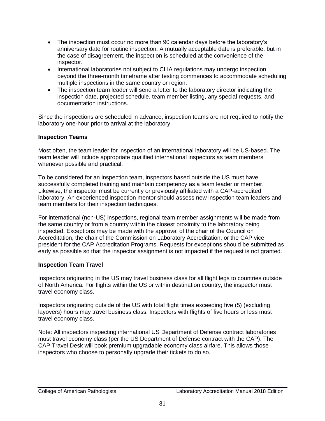- The inspection must occur no more than 90 calendar days before the laboratory's anniversary date for routine inspection. A mutually acceptable date is preferable, but in the case of disagreement, the inspection is scheduled at the convenience of the inspector.
- International laboratories not subject to CLIA regulations may undergo inspection beyond the three-month timeframe after testing commences to accommodate scheduling multiple inspections in the same country or region.
- The inspection team leader will send a letter to the laboratory director indicating the inspection date, projected schedule, team member listing, any special requests, and documentation instructions.

Since the inspections are scheduled in advance, inspection teams are not required to notify the laboratory one-hour prior to arrival at the laboratory.

### **Inspection Teams**

Most often, the team leader for inspection of an international laboratory will be US-based. The team leader will include appropriate qualified international inspectors as team members whenever possible and practical.

To be considered for an inspection team, inspectors based outside the US must have successfully completed training and maintain competency as a team leader or member. Likewise, the inspector must be currently or previously affiliated with a CAP-accredited laboratory. An experienced inspection mentor should assess new inspection team leaders and team members for their inspection techniques.

For international (non-US) inspections, regional team member assignments will be made from the same country or from a country within the closest proximity to the laboratory being inspected. Exceptions may be made with the approval of the chair of the Council on Accreditation, the chair of the Commission on Laboratory Accreditation, or the CAP vice president for the CAP Accreditation Programs. Requests for exceptions should be submitted as early as possible so that the inspector assignment is not impacted if the request is not granted.

### **Inspection Team Travel**

Inspectors originating in the US may travel business class for all flight legs to countries outside of North America. For flights within the US or within destination country, the inspector must travel economy class.

Inspectors originating outside of the US with total flight times exceeding five (5) (excluding layovers) hours may travel business class. Inspectors with flights of five hours or less must travel economy class.

Note: All inspectors inspecting international US Department of Defense contract laboratories must travel economy class (per the US Department of Defense contract with the CAP). The CAP Travel Desk will book premium upgradable economy class airfare. This allows those inspectors who choose to personally upgrade their tickets to do so.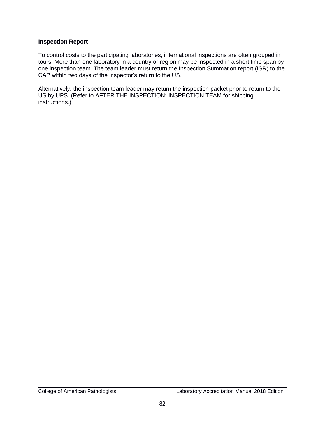#### **Inspection Report**

To control costs to the participating laboratories, international inspections are often grouped in tours. More than one laboratory in a country or region may be inspected in a short time span by one inspection team. The team leader must return the Inspection Summation report (ISR) to the CAP within two days of the inspector's return to the US.

Alternatively, the inspection team leader may return the inspection packet prior to return to the US by UPS. (Refer to AFTER THE INSPECTION: INSPECTION TEAM for shipping instructions.)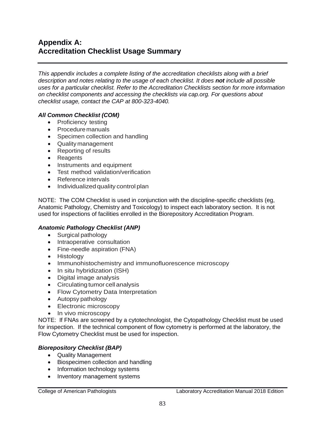# **Appendix A: Accreditation Checklist Usage Summary**

*This appendix includes a complete listing of the accreditation checklists along with a brief description and notes relating to the usage of each checklist. It does not include all possible uses for a particular checklist. Refer to the Accreditation Checklists section for more information on checklist components and accessing the checklists via cap.org. For questions about checklist usage, contact the CAP at 800-323-4040.* 

### *All Common Checklist (COM)*

- Proficiency testing
- Procedure manuals
- Specimen collection and handling
- Quality management
- Reporting of results
- Reagents
- Instruments and equipment
- Test method validation/verification
- Reference intervals
- Individualized quality control plan

NOTE: The COM Checklist is used in conjunction with the discipline-specific checklists (eg, Anatomic Pathology, Chemistry and Toxicology) to inspect each laboratory section. It is not used for inspections of facilities enrolled in the Biorepository Accreditation Program.

### *Anatomic Pathology Checklist (ANP)*

- Surgical pathology
- Intraoperative consultation
- Fine-needle aspiration (FNA)
- Histology
- Immunohistochemistry and immunofluorescence microscopy
- In situ hybridization (ISH)
- Digital image analysis
- Circulating tumor cell analysis
- Flow Cytometry Data Interpretation
- Autopsy pathology
- Electronic microscopy
- In vivo microscopy

NOTE: If FNAs are screened by a cytotechnologist, the Cytopathology Checklist must be used for inspection. If the technical component of flow cytometry is performed at the laboratory, the Flow Cytometry Checklist must be used for inspection.

### *Biorepository Checklist (BAP)*

- Quality Management
- Biospecimen collection and handling
- Information technology systems
- Inventory management systems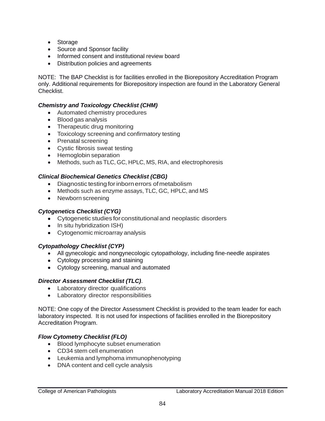- Storage
- Source and Sponsor facility
- Informed consent and institutional review board
- Distribution policies and agreements

NOTE: The BAP Checklist is for facilities enrolled in the Biorepository Accreditation Program only. Additional requirements for Biorepository inspection are found in the Laboratory General Checklist.

#### *Chemistry and Toxicology Checklist (CHM)*

- Automated chemistry procedures
- Blood gas analysis
- Therapeutic drug monitoring
- Toxicology screening and confirmatory testing
- Prenatal screening
- Cystic fibrosis sweat testing
- Hemoglobin separation
- Methods, such as TLC, GC, HPLC, MS, RIA, and electrophoresis

#### *Clinical Biochemical Genetics Checklist (CBG)*

- Diagnostic testing for inborn errors of metabolism
- Methods such as enzyme assays, TLC, GC, HPLC, and MS
- Newborn screening

#### *Cytogenetics Checklist (CYG)*

- Cytogenetic studies for constitutional and neoplastic disorders
- In situ hybridization ISH)
- Cytogenomic microarray analysis

#### *Cytopathology Checklist (CYP)*

- All gynecologic and nongynecologic cytopathology, including fine-needle aspirates
- Cytology processing and staining
- Cytology screening, manual and automated

#### *Director Assessment Checklist (TLC)*.

- Laboratory director qualifications
- Laboratory director responsibilities

NOTE: One copy of the Director Assessment Checklist is provided to the team leader for each laboratory inspected. It is not used for inspections of facilities enrolled in the Biorepository Accreditation Program.

### *Flow Cytometry Checklist (FLO)*

- Blood lymphocyte subset enumeration
- CD34 stem cell enumeration
- Leukemia and lymphoma immunophenotyping
- DNA content and cell cycle analysis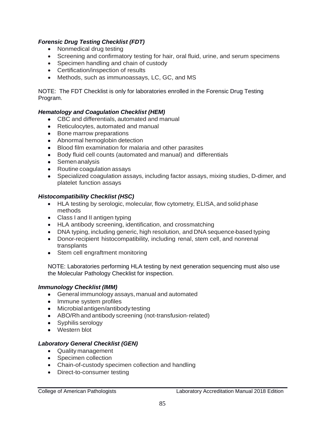### *Forensic Drug Testing Checklist (FDT)*

- Nonmedical drug testing
- Screening and confirmatory testing for hair, oral fluid, urine, and serum specimens
- Specimen handling and chain of custody
- Certification/inspection of results
- Methods, such as immunoassays, LC, GC, and MS

NOTE: The FDT Checklist is only for laboratories enrolled in the Forensic Drug Testing Program.

### *Hematology and Coagulation Checklist (HEM)*

- CBC and differentials, automated and manual
- Reticulocytes, automated and manual
- Bone marrow preparations
- Abnormal hemoglobin detection
- Blood film examination for malaria and other parasites
- Body fluid cell counts (automated and manual) and differentials
- Semen analysis
- Routine coagulation assays
- Specialized coagulation assays, including factor assays, mixing studies, D-dimer, and platelet function assays

### *Histocompatibility Checklist (HSC)*

- HLA testing by serologic, molecular, flow cytometry, ELISA, and solid phase methods
- Class I and II antigen typing
- HLA antibody screening, identification, and crossmatching
- DNA typing, including generic, high resolution, and DNA sequence-based typing
- Donor-recipient histocompatibility, including renal, stem cell, and nonrenal transplants
- Stem cell engraftment monitoring

NOTE: Laboratories performing HLA testing by next generation sequencing must also use the Molecular Pathology Checklist for inspection.

### *Immunology Checklist (IMM)*

- General immunology assays, manual and automated
- Immune system profiles
- Microbial antigen/antibody testing
- ABO/Rh and antibody screening (not-transfusion-related)
- Syphilis serology
- Western blot

### *Laboratory General Checklist (GEN)*

- Quality management
- Specimen collection
- Chain-of-custody specimen collection and handling
- Direct-to-consumer testing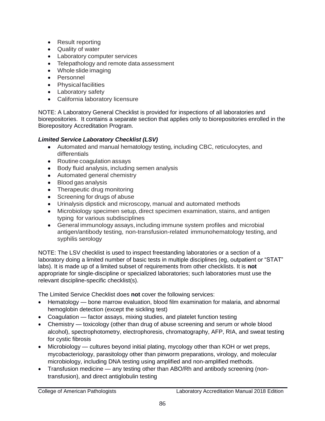- Result reporting
- Quality of water
- Laboratory computer services
- Telepathology and remote data assessment
- Whole slide imaging
- Personnel
- Physical facilities
- Laboratory safety
- California laboratory licensure

NOTE: A Laboratory General Checklist is provided for inspections of all laboratories and biorepositories. It contains a separate section that applies only to biorepositories enrolled in the Biorepository Accreditation Program.

### *Limited Service Laboratory Checklist (LSV)*

- Automated and manual hematology testing, including CBC, reticulocytes, and differentials
- Routine coagulation assays
- Body fluid analysis, including semen analysis
- Automated general chemistry
- Blood gas analysis
- Therapeutic drug monitoring
- Screening for drugs of abuse
- Urinalysis dipstick and microscopy, manual and automated methods
- Microbiology specimen setup, direct specimen examination, stains, and antigen typing for various subdisciplines
- General immunology assays, including immune system profiles and microbial antigen/antibody testing, non-transfusion-related immunohematology testing, and syphilis serology

NOTE: The LSV checklist is used to inspect freestanding laboratories or a section of a laboratory doing a limited number of basic tests in multiple disciplines (eg, outpatient or "STAT" labs). It is made up of a limited subset of requirements from other checklists. It is **not**  appropriate for single-discipline or specialized laboratories; such laboratories must use the relevant discipline-specific checklist(s).

The Limited Service Checklist does **not** cover the following services:

- Hematology bone marrow evaluation, blood film examination for malaria, and abnormal hemoglobin detection (except the sickling test)
- Coagulation factor assays, mixing studies, and platelet function testing
- Chemistry toxicology (other than drug of abuse screening and serum or whole blood alcohol), spectrophotometry, electrophoresis, chromatography, AFP, RIA, and sweat testing for cystic fibrosis
- Microbiology cultures beyond initial plating, mycology other than KOH or wet preps, mycobacteriology, parasitology other than pinworm preparations, virology, and molecular microbiology, including DNA testing using amplified and non-amplified methods.
- Transfusion medicine any testing other than ABO/Rh and antibody screening (nontransfusion), and direct antiglobulin testing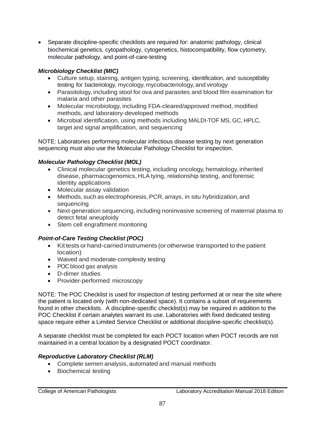Separate discipline-specific checklists are required for: anatomic pathology, clinical biochemical genetics, cytopathology, cytogenetics, histocompatibility, flow cytometry, molecular pathology, and point-of-care-testing

### *Microbiology Checklist (MIC)*

- Culture setup, staining, antigen typing, screening, identification, and susceptibility testing for bacteriology, mycology, mycobacteriology, and virology
- Parasitology, including stool for ova and parasites and blood film examination for malaria and other parasites
- Molecular microbiology, including FDA-cleared/approved method, modified methods, and laboratory-developed methods
- Microbial identification, using methods including MALDI-TOF MS, GC, HPLC, target and signal amplification, and sequencing

NOTE: Laboratories performing molecular infectious disease testing by next generation sequencing must also use the Molecular Pathology Checklist for inspection.

### *Molecular Pathology Checklist (MOL)*

- Clinical molecular genetics testing, including oncology, hematology, inherited disease, pharmacogenomics, HLA tying, relationship testing, and forensic identity applications
- Molecular assay validation
- Methods, such as electrophoresis, PCR, arrays, in situ hybridization, and sequencing
- Next-generation sequencing, including noninvasive screening of maternal plasma to detect fetal aneuploidy
- Stem cell engraftment monitoring

## *Point-of-Care Testing Checklist (POC)*

- Kit tests or hand-carried instruments (or otherwise transported to the patient location)
- Waived and moderate-complexity testing
- POC blood gas analysis
- D-dimer studies
- Provider-performed microscopy

NOTE: The POC Checklist is used for inspection of testing performed at or near the site where the patient is located only (with non-dedicated space). It contains a subset of requirements found in other checklists. A discipline-specific checklist(s) may be required in addition to the POC Checklist if certain analytes warrant its use. Laboratories with fixed dedicated testing space require either a Limited Service Checklist or additional discipline-specific checklist(s).

A separate checklist must be completed for each POCT location when POCT records are not maintained in a central location by a designated POCT coordinator.

## *Reproductive Laboratory Checklist (RLM)*

- Complete semen analysis, automated and manual methods
- Biochemical testing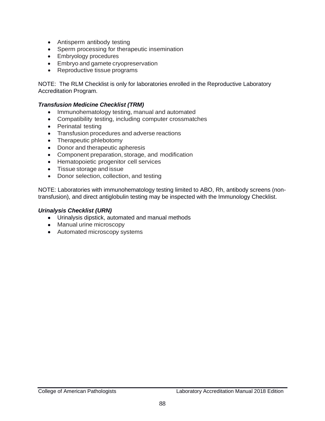- Antisperm antibody testing
- Sperm processing for therapeutic insemination
- **Embryology procedures**
- **Embryo and gamete cryopreservation**
- Reproductive tissue programs

NOTE: The RLM Checklist is only for laboratories enrolled in the Reproductive Laboratory Accreditation Program.

#### *Transfusion Medicine Checklist (TRM)*

- Immunohematology testing, manual and automated
- Compatibility testing, including computer crossmatches
- Perinatal testing
- Transfusion procedures and adverse reactions
- Therapeutic phlebotomy
- Donor and therapeutic apheresis
- Component preparation, storage, and modification
- Hematopoietic progenitor cell services
- Tissue storage and issue
- Donor selection, collection, and testing

NOTE: Laboratories with immunohematology testing limited to ABO, Rh, antibody screens (nontransfusion), and direct antiglobulin testing may be inspected with the Immunology Checklist.

#### *Urinalysis Checklist (URN)*

- Urinalysis dipstick, automated and manual methods
- Manual urine microscopy
- Automated microscopy systems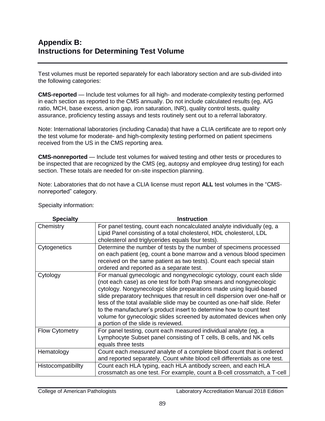# **Appendix B: Instructions for Determining Test Volume**

Test volumes must be reported separately for each laboratory section and are sub-divided into the following categories:

**CMS-reported** — Include test volumes for all high- and moderate-complexity testing performed in each section as reported to the CMS annually. Do not include calculated results (eg, A/G ratio, MCH, base excess, anion gap, iron saturation, INR), quality control tests, quality assurance, proficiency testing assays and tests routinely sent out to a referral laboratory.

Note: International laboratories (including Canada) that have a CLIA certificate are to report only the test volume for moderate- and high-complexity testing performed on patient specimens received from the US in the CMS reporting area.

**CMS-nonreported** — Include test volumes for waived testing and other tests or procedures to be inspected that are recognized by the CMS (eg, autopsy and employee drug testing) for each section. These totals are needed for on-site inspection planning.

Note: Laboratories that do not have a CLIA license must report **ALL** test volumes in the "CMSnonreported" category.

| <b>Specialty</b>      | <b>Instruction</b>                                                                                                                             |
|-----------------------|------------------------------------------------------------------------------------------------------------------------------------------------|
| Chemistry             | For panel testing, count each noncalculated analyte individually (eg, a<br>Lipid Panel consisting of a total cholesterol, HDL cholesterol, LDL |
|                       |                                                                                                                                                |
|                       | cholesterol and triglycerides equals four tests).                                                                                              |
| Cytogenetics          | Determine the number of tests by the number of specimens processed                                                                             |
|                       | on each patient (eg, count a bone marrow and a venous blood specimen                                                                           |
|                       | received on the same patient as two tests). Count each special stain                                                                           |
|                       | ordered and reported as a separate test.                                                                                                       |
| Cytology              | For manual gynecologic and nongynecologic cytology, count each slide<br>(not each case) as one test for both Pap smears and nongynecologic     |
|                       | cytology. Nongynecologic slide preparations made using liquid-based                                                                            |
|                       | slide preparatory techniques that result in cell dispersion over one-half or                                                                   |
|                       | less of the total available slide may be counted as one-half slide. Refer                                                                      |
|                       | to the manufacturer's product insert to determine how to count test                                                                            |
|                       | volume for gynecologic slides screened by automated devices when only                                                                          |
|                       | a portion of the slide is reviewed.                                                                                                            |
| <b>Flow Cytometry</b> | For panel testing, count each measured individual analyte (eg, a                                                                               |
|                       | Lymphocyte Subset panel consisting of T cells, B cells, and NK cells                                                                           |
|                       | equals three tests                                                                                                                             |
| Hematology            | Count each <i>measured</i> analyte of a complete blood count that is ordered                                                                   |
|                       | and reported separately. Count white blood cell differentials as one test.                                                                     |
| Histocompatibility    | Count each HLA typing, each HLA antibody screen, and each HLA                                                                                  |
|                       | crossmatch as one test. For example, count a B-cell crossmatch, a T-cell                                                                       |

Specialty information: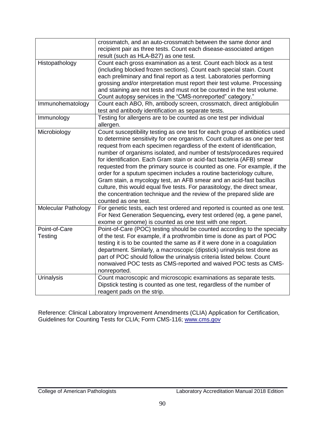|                            | crossmatch, and an auto-crossmatch between the same donor and<br>recipient pair as three tests. Count each disease-associated antigen<br>result (such as HLA-B27) as one test.                                                                                                                                                                                                                                                                                                                                                                                                                                                                                                                                                                                                               |
|----------------------------|----------------------------------------------------------------------------------------------------------------------------------------------------------------------------------------------------------------------------------------------------------------------------------------------------------------------------------------------------------------------------------------------------------------------------------------------------------------------------------------------------------------------------------------------------------------------------------------------------------------------------------------------------------------------------------------------------------------------------------------------------------------------------------------------|
| Histopathology             | Count each gross examination as a test. Count each block as a test<br>(including blocked frozen sections). Count each special stain. Count<br>each preliminary and final report as a test. Laboratories performing<br>grossing and/or interpretation must report their test volume. Processing<br>and staining are not tests and must not be counted in the test volume.<br>Count autopsy services in the "CMS-nonreported" category."                                                                                                                                                                                                                                                                                                                                                       |
| Immunohematology           | Count each ABO, Rh, antibody screen, crossmatch, direct antiglobulin<br>test and antibody identification as separate tests.                                                                                                                                                                                                                                                                                                                                                                                                                                                                                                                                                                                                                                                                  |
| Immunology                 | Testing for allergens are to be counted as one test per individual<br>allergen.                                                                                                                                                                                                                                                                                                                                                                                                                                                                                                                                                                                                                                                                                                              |
| Microbiology               | Count susceptibility testing as one test for each group of antibiotics used<br>to determine sensitivity for one organism. Count cultures as one per test<br>request from each specimen regardless of the extent of identification,<br>number of organisms isolated, and number of tests/procedures required<br>for identification. Each Gram stain or acid-fact bacteria (AFB) smear<br>requested from the primary source is counted as one. For example, if the<br>order for a sputum specimen includes a routine bacteriology culture,<br>Gram stain, a mycology test, an AFB smear and an acid-fast bacillus<br>culture, this would equal five tests. For parasitology, the direct smear,<br>the concentration technique and the review of the prepared slide are<br>counted as one test. |
| <b>Molecular Pathology</b> | For genetic tests, each test ordered and reported is counted as one test.<br>For Next Generation Sequencing, every test ordered (eg, a gene panel,<br>exome or genome) is counted as one test with one report.                                                                                                                                                                                                                                                                                                                                                                                                                                                                                                                                                                               |
| Point-of-Care<br>Testing   | Point-of-Care (POC) testing should be counted according to the specialty<br>of the test. For example, if a prothrombin time is done as part of POC<br>testing it is to be counted the same as if it were done in a coagulation<br>department. Similarly, a macroscopic (dipstick) urinalysis test done as<br>part of POC should follow the urinalysis criteria listed below. Count<br>nonwaived POC tests as CMS-reported and waived POC tests as CMS-<br>nonreported.                                                                                                                                                                                                                                                                                                                       |
| <b>Urinalysis</b>          | Count macroscopic and microscopic examinations as separate tests.<br>Dipstick testing is counted as one test, regardless of the number of<br>reagent pads on the strip.                                                                                                                                                                                                                                                                                                                                                                                                                                                                                                                                                                                                                      |

Reference: Clinical Laboratory Improvement Amendments (CLIA) Application for Certification, Guidelines for Counting Tests for CLIA; Form CMS-116; [www.cms.gov](http://www.cms.gov/)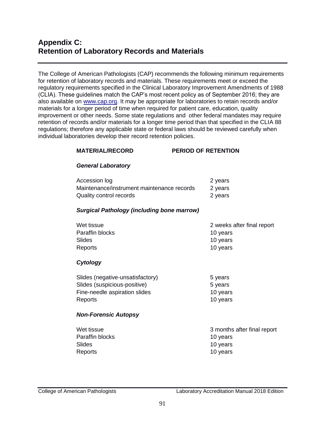# **Appendix C: Retention of Laboratory Records and Materials**

The College of American Pathologists (CAP) recommends the following minimum requirements for retention of laboratory records and materials. These requirements meet or exceed the regulatory requirements specified in the Clinical Laboratory Improvement Amendments of 1988 (CLIA). These guidelines match the CAP's most recent policy as of September 2016; they are also available on [www.cap.org.](http://www.cap.org/) It may be appropriate for laboratories to retain records and/or materials for a longer period of time when required for patient care, education, quality improvement or other needs. Some state regulations and other federal mandates may require retention of records and/or materials for a longer time period than that specified in the CLIA 88 regulations; therefore any applicable state or federal laws should be reviewed carefully when individual laboratories develop their record retention policies.

#### **MATERIAL/RECORD PERIOD OF RETENTION**

#### *General Laboratory*

| Accession log                              | 2 years |
|--------------------------------------------|---------|
| Maintenance/instrument maintenance records | 2 years |
| Quality control records                    | 2 years |

#### *Surgical Pathology (including bone marrow)*

| Wet tissue      | 2 weeks after final report |
|-----------------|----------------------------|
| Paraffin blocks | 10 vears                   |
| Slides          | 10 vears                   |
| Reports         | 10 years                   |

#### *Cytology*

| Slides (negative-unsatisfactory) | 5 years  |
|----------------------------------|----------|
| Slides (suspicious-positive)     | 5 years  |
| Fine-needle aspiration slides    | 10 years |
| Reports                          | 10 years |

#### *Non-Forensic Autopsy*

| Wet tissue      | 3 months after final report |
|-----------------|-----------------------------|
| Paraffin blocks | 10 years                    |
| Slides          | 10 years                    |
| Reports         | 10 years                    |
|                 |                             |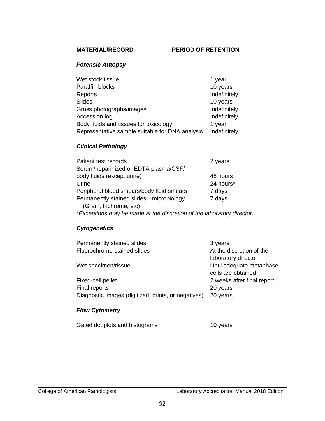### *Forensic Autopsy*

| Wet stock tissue                                | 1 year       |
|-------------------------------------------------|--------------|
| Paraffin blocks                                 | 10 years     |
| Reports                                         | Indefinitely |
| <b>Slides</b>                                   | 10 years     |
| Gross photographs/images                        | Indefinitely |
| Accession log                                   | Indefinitely |
| Body fluids and tissues for toxicology          | 1 year       |
| Representative sample suitable for DNA analysis | Indefinitely |

## *Clinical Pathology*

| Patient test records                                                  | 2 years   |
|-----------------------------------------------------------------------|-----------|
| Serum/heparinized or EDTA plasma/CSF/                                 |           |
| body fluids (except urine)                                            | 48 hours  |
| Urine                                                                 | 24 hours* |
| Peripheral blood smears/body fluid smears                             | 7 days    |
| Permanently stained slides—microbiology<br>(Gram, trichrome, etc)     | 7 days    |
| *Exceptions may be made at the discretion of the laboratory director. |           |

### *Cytogenetics*

| Permanently stained slides                          | 3 years                    |
|-----------------------------------------------------|----------------------------|
| Fluorochrome-stained slides                         | At the discretion of the   |
|                                                     | laboratory director        |
| Wet specimen/tissue                                 | Until adequate metaphase   |
|                                                     | cells are obtained         |
| Fixed-cell pellet                                   | 2 weeks after final report |
| Final reports                                       | 20 years                   |
| Diagnostic images (digitized, prints, or negatives) | 20 years                   |
| <b>Flow Cytometry</b>                               |                            |

Gated dot plots and histograms 10 years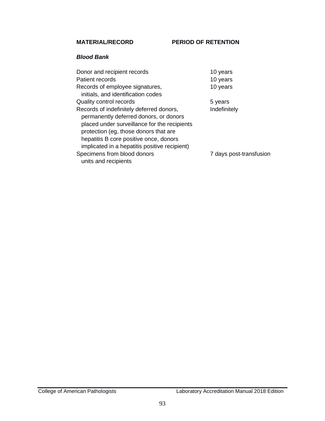**MATERIAL/RECORD PERIOD OF RETENTION** 

#### *Blood Bank*

| Donor and recipient records                                                                                                                                                                                                                                            | 10 years                |
|------------------------------------------------------------------------------------------------------------------------------------------------------------------------------------------------------------------------------------------------------------------------|-------------------------|
| Patient records                                                                                                                                                                                                                                                        | 10 years                |
| Records of employee signatures,<br>initials, and identification codes                                                                                                                                                                                                  | 10 years                |
| Quality control records                                                                                                                                                                                                                                                | 5 years                 |
| Records of indefinitely deferred donors,<br>permanently deferred donors, or donors<br>placed under surveillance for the recipients<br>protection (eg, those donors that are<br>hepatitis B core positive once, donors<br>implicated in a hepatitis positive recipient) | Indefinitely            |
| Specimens from blood donors<br>units and recipients                                                                                                                                                                                                                    | 7 days post-transfusion |
|                                                                                                                                                                                                                                                                        |                         |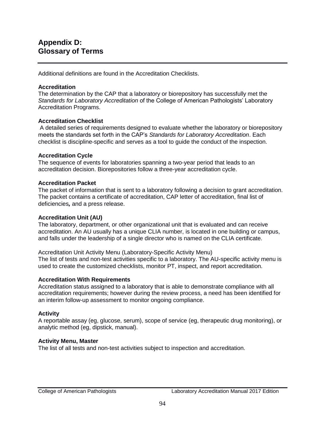Additional definitions are found in the Accreditation Checklists.

### **Accreditation**

The determination by the CAP that a laboratory or biorepository has successfully met the *Standards for Laboratory Accreditation* of the College of American Pathologists' Laboratory Accreditation Programs.

#### **Accreditation Checklist**

 A detailed series of requirements designed to evaluate whether the laboratory or biorepository meets the standards set forth in the CAP's *Standards for Laboratory Accreditation*. Each checklist is discipline-specific and serves as a tool to guide the conduct of the inspection.

#### **Accreditation Cycle**

The sequence of events for laboratories spanning a two-year period that leads to an accreditation decision. Biorepositories follow a three-year accreditation cycle.

#### **Accreditation Packet**

The packet of information that is sent to a laboratory following a decision to grant accreditation. The packet contains a certificate of accreditation, CAP letter of accreditation, final list of deficiencies*,* and a press release.

### **Accreditation Unit (AU)**

The laboratory, department, or other organizational unit that is evaluated and can receive accreditation. An AU usually has a unique CLIA number, is located in one building or campus, and falls under the leadership of a single director who is named on the CLIA certificate.

Accreditation Unit Activity Menu (Laboratory-Specific Activity Menu) The list of tests and non-test activities specific to a laboratory. The AU-specific activity menu is used to create the customized checklists, monitor PT, inspect, and report accreditation.

### **Accreditation With Requirements**

Accreditation status assigned to a laboratory that is able to demonstrate compliance with all accreditation requirements; however during the review process, a need has been identified for an interim follow-up assessment to monitor ongoing compliance.

### **Activity**

A reportable assay (eg, glucose, serum), scope of service (eg, therapeutic drug monitoring), or analytic method (eg, dipstick, manual).

### **Activity Menu, Master**

The list of all tests and non-test activities subject to inspection and accreditation.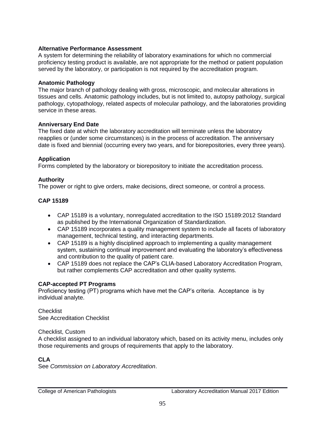### **Alternative Performance Assessment**

A system for determining the reliability of laboratory examinations for which no commercial proficiency testing product is available, are not appropriate for the method or patient population served by the laboratory, or participation is not required by the accreditation program.

### **Anatomic Pathology**

The major branch of pathology dealing with gross, microscopic, and molecular alterations in tissues and cells. Anatomic pathology includes, but is not limited to, autopsy pathology, surgical pathology, cytopathology, related aspects of molecular pathology, and the laboratories providing service in these areas.

#### **Anniversary End Date**

The fixed date at which the laboratory accreditation will terminate unless the laboratory reapplies or (under some circumstances) is in the process of accreditation. The anniversary date is fixed and biennial (occurring every two years, and for biorepositories, every three years).

### **Application**

Forms completed by the laboratory or biorepository to initiate the accreditation process.

### **Authority**

The power or right to give orders, make decisions, direct someone, or control a process.

### **CAP 15189**

- CAP 15189 is a voluntary, nonregulated accreditation to the ISO 15189:2012 Standard as published by the International Organization of Standardization.
- CAP 15189 incorporates a quality management system to include all facets of laboratory management, technical testing, and interacting departments.
- CAP 15189 is a highly disciplined approach to implementing a quality management system, sustaining continual improvement and evaluating the laboratory's effectiveness and contribution to the quality of patient care.
- CAP 15189 does not replace the CAP's CLIA-based Laboratory Accreditation Program, but rather complements CAP accreditation and other quality systems.

### **CAP-accepted PT Programs**

Proficiency testing (PT) programs which have met the CAP's criteria. Acceptance is by individual analyte.

**Checklist** See Accreditation Checklist

#### Checklist, Custom

A checklist assigned to an individual laboratory which, based on its activity menu, includes only those requirements and groups of requirements that apply to the laboratory.

### **CLA**

See *Commission on Laboratory Accreditation*.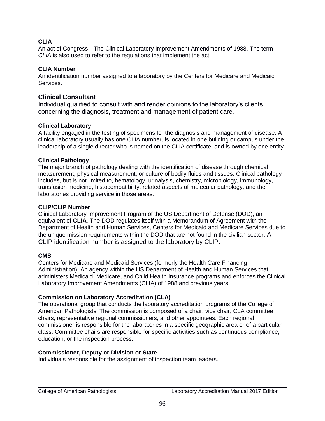### **CLIA**

An act of Congress—The Clinical Laboratory Improvement Amendments of 1988. The term *CLIA* is also used to refer to the regulations that implement the act.

### **CLIA Number**

An identification number assigned to a laboratory by the Centers for Medicare and Medicaid Services.

### **Clinical Consultant**

Individual qualified to consult with and render opinions to the laboratory's clients concerning the diagnosis, treatment and management of patient care.

### **Clinical Laboratory**

A facility engaged in the testing of specimens for the diagnosis and management of disease. A clinical laboratory usually has one CLIA number, is located in one building or campus under the leadership of a single director who is named on the CLIA certificate, and is owned by one entity.

### **Clinical Pathology**

The major branch of pathology dealing with the identification of disease through chemical measurement, physical measurement, or culture of bodily fluids and tissues. Clinical pathology includes, but is not limited to, hematology, urinalysis, chemistry, microbiology, immunology, transfusion medicine, histocompatibility, related aspects of molecular pathology, and the laboratories providing service in those areas.

### **CLIP/CLIP Number**

Clinical Laboratory Improvement Program of the US Department of Defense (DOD), an equivalent of **CLIA**. The DOD regulates itself with a Memorandum of Agreement with the Department of Health and Human Services, Centers for Medicaid and Medicare Services due to the unique mission requirements within the DOD that are not found in the civilian sector. A CLIP identification number is assigned to the laboratory by CLIP.

### **CMS**

Centers for Medicare and Medicaid Services (formerly the Health Care Financing Administration). An agency within the US Department of Health and Human Services that administers Medicaid, Medicare, and Child Health Insurance programs and enforces the Clinical Laboratory Improvement Amendments (CLIA) of 1988 and previous years.

### **Commission on Laboratory Accreditation (CLA)**

The operational group that conducts the laboratory accreditation programs of the College of American Pathologists. The commission is composed of a chair, vice chair, CLA committee chairs, representative regional commissioners, and other appointees. Each regional commissioner is responsible for the laboratories in a specific geographic area or of a particular class. Committee chairs are responsible for specific activities such as continuous compliance, education, or the inspection process.

### **Commissioner, Deputy or Division or State**

Individuals responsible for the assignment of inspection team leaders.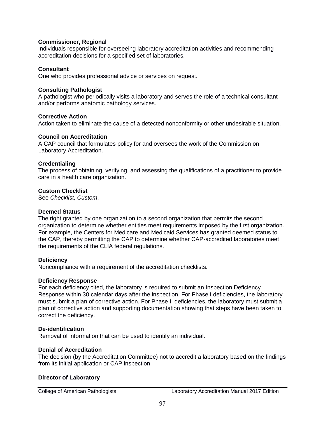#### **Commissioner, Regional**

Individuals responsible for overseeing laboratory accreditation activities and recommending accreditation decisions for a specified set of laboratories.

#### **Consultant**

One who provides professional advice or services on request.

#### **Consulting Pathologist**

A pathologist who periodically visits a laboratory and serves the role of a technical consultant and/or performs anatomic pathology services.

#### **Corrective Action**

Action taken to eliminate the cause of a detected nonconformity or other undesirable situation.

#### **Council on Accreditation**

A CAP council that formulates policy for and oversees the work of the Commission on Laboratory Accreditation.

#### **Credentialing**

The process of obtaining, verifying, and assessing the qualifications of a practitioner to provide care in a health care organization.

#### **Custom Checklist**

See *Checklist, Custom*.

#### **Deemed Status**

The right granted by one organization to a second organization that permits the second organization to determine whether entities meet requirements imposed by the first organization. For example, the Centers for Medicare and Medicaid Services has granted deemed status to the CAP, thereby permitting the CAP to determine whether CAP-accredited laboratories meet the requirements of the CLIA federal regulations.

#### **Deficiency**

Noncompliance with a requirement of the accreditation checklists.

#### **Deficiency Response**

For each deficiency cited, the laboratory is required to submit an Inspection Deficiency Response within 30 calendar days after the inspection. For Phase I deficiencies, the laboratory must submit a plan of corrective action. For Phase II deficiencies, the laboratory must submit a plan of corrective action and supporting documentation showing that steps have been taken to correct the deficiency.

#### **De-identification**

Removal of information that can be used to identify an individual.

#### **Denial of Accreditation**

The decision (by the Accreditation Committee) not to accredit a laboratory based on the findings from its initial application or CAP inspection.

#### **Director of Laboratory**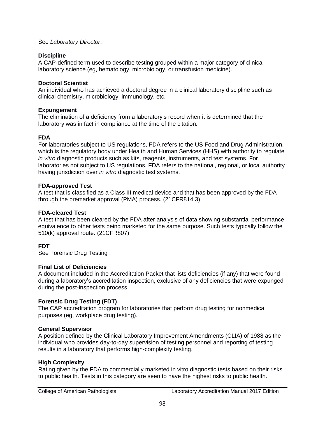#### See *Laboratory Director*.

### **Discipline**

A CAP-defined term used to describe testing grouped within a major category of clinical laboratory science (eg, hematology, microbiology, or transfusion medicine).

### **Doctoral Scientist**

An individual who has achieved a doctoral degree in a clinical laboratory discipline such as clinical chemistry, microbiology, immunology, etc.

### **Expungement**

The elimination of a deficiency from a laboratory's record when it is determined that the laboratory was in fact in compliance at the time of the citation.

### **FDA**

For laboratories subject to US regulations, FDA refers to the US Food and Drug Administration, which is the regulatory body under Health and Human Services (HHS) with authority to regulate *in vitro* diagnostic products such as kits, reagents, instruments, and test systems. For laboratories not subject to US regulations, FDA refers to the national, regional, or local authority having jurisdiction over *in vitro* diagnostic test systems.

### **FDA***-***approved Test**

A test that is classified as a Class III medical device and that has been approved by the FDA through the premarket approval (PMA) process. (21CFR814.3)

### **FDA-cleared Test**

A test that has been cleared by the FDA after analysis of data showing substantial performance equivalence to other tests being marketed for the same purpose. Such tests typically follow the 510(k) approval route. (21CFR807)

### **FDT**

See Forensic Drug Testing

### **Final List of Deficiencies**

A document included in the Accreditation Packet that lists deficiencies (if any) that were found during a laboratory's accreditation inspection, exclusive of any deficiencies that were expunged during the post-inspection process.

### **Forensic Drug Testing (FDT)**

The CAP accreditation program for laboratories that perform drug testing for nonmedical purposes (eg, workplace drug testing).

### **General Supervisor**

A position defined by the Clinical Laboratory Improvement Amendments (CLIA) of 1988 as the individual who provides day-to-day supervision of testing personnel and reporting of testing results in a laboratory that performs high-complexity testing.

### **High Complexity**

Rating given by the FDA to commercially marketed in vitro diagnostic tests based on their risks to public health. Tests in this category are seen to have the highest risks to public health.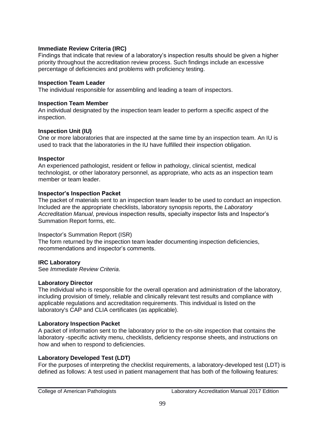### **Immediate Review Criteria (IRC)**

Findings that indicate that review of a laboratory's inspection results should be given a higher priority throughout the accreditation review process. Such findings include an excessive percentage of deficiencies and problems with proficiency testing.

### **Inspection Team Leader**

The individual responsible for assembling and leading a team of inspectors.

### **Inspection Team Member**

An individual designated by the inspection team leader to perform a specific aspect of the inspection.

### **Inspection Unit (IU)**

One or more laboratories that are inspected at the same time by an inspection team. An IU is used to track that the laboratories in the IU have fulfilled their inspection obligation.

### **Inspector**

An experienced pathologist, resident or fellow in pathology, clinical scientist, medical technologist, or other laboratory personnel, as appropriate, who acts as an inspection team member or team leader.

### **Inspector's Inspection Packet**

The packet of materials sent to an inspection team leader to be used to conduct an inspection. Included are the appropriate checklists, laboratory synopsis reports, the *Laboratory Accreditation Manual*, previous inspection results, specialty inspector lists and Inspector's Summation Report forms, etc.

### Inspector's Summation Report (ISR)

The form returned by the inspection team leader documenting inspection deficiencies, recommendations and inspector's comments.

### **IRC Laboratory**

See *Immediate Review Criteria*.

### **Laboratory Director**

The individual who is responsible for the overall operation and administration of the laboratory, including provision of timely, reliable and clinically relevant test results and compliance with applicable regulations and accreditation requirements. This individual is listed on the laboratory's CAP and CLIA certificates (as applicable).

### **Laboratory Inspection Packet**

A packet of information sent to the laboratory prior to the on-site inspection that contains the laboratory -specific activity menu, checklists, deficiency response sheets, and instructions on how and when to respond to deficiencies.

### **Laboratory Developed Test (LDT)**

For the purposes of interpreting the checklist requirements, a laboratory-developed test (LDT) is defined as follows: A test used in patient management that has both of the following features: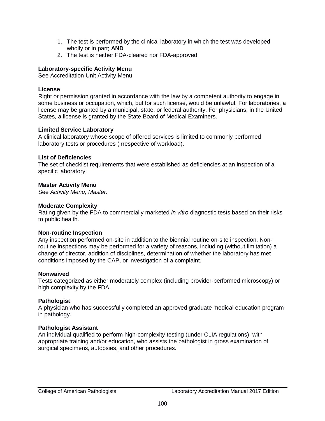- 1. The test is performed by the clinical laboratory in which the test was developed wholly or in part; **AND**
- 2. The test is neither FDA-cleared nor FDA-approved.

### **Laboratory-specific Activity Menu**

See Accreditation Unit Activity Menu

### **License**

Right or permission granted in accordance with the law by a competent authority to engage in some business or occupation, which, but for such license, would be unlawful. For laboratories, a license may be granted by a municipal, state, or federal authority. For physicians, in the United States, a license is granted by the State Board of Medical Examiners.

### **Limited Service Laboratory**

A clinical laboratory whose scope of offered services is limited to commonly performed laboratory tests or procedures (irrespective of workload).

### **List of Deficiencies**

The set of checklist requirements that were established as deficiencies at an inspection of a specific laboratory.

### **Master Activity Menu**

See *Activity Menu, Master.*

### **Moderate Complexity**

Rating given by the FDA to commercially marketed *in vitro* diagnostic tests based on their risks to public health.

### **Non-routine Inspection**

Any inspection performed on-site in addition to the biennial routine on-site inspection. Nonroutine inspections may be performed for a variety of reasons, including (without limitation) a change of director, addition of disciplines, determination of whether the laboratory has met conditions imposed by the CAP, or investigation of a complaint.

### **Nonwaived**

Tests categorized as either moderately complex (including provider-performed microscopy) or high complexity by the FDA.

### **Pathologist**

A physician who has successfully completed an approved graduate medical education program in pathology.

### **Pathologist Assistant**

An individual qualified to perform high-complexity testing (under CLIA regulations), with appropriate training and/or education, who assists the pathologist in gross examination of surgical specimens, autopsies, and other procedures.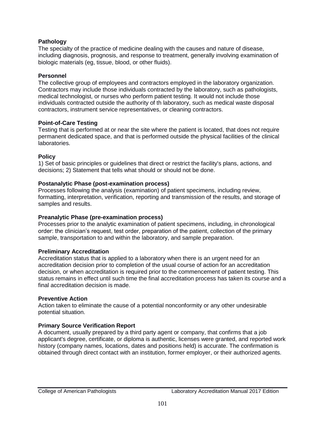### **Pathology**

The specialty of the practice of medicine dealing with the causes and nature of disease, including diagnosis, prognosis, and response to treatment, generally involving examination of biologic materials (eg, tissue, blood, or other fluids).

### **Personnel**

The collective group of employees and contractors employed in the laboratory organization. Contractors may include those individuals contracted by the laboratory, such as pathologists, medical technologist, or nurses who perform patient testing. It would not include those individuals contracted outside the authority of th laboratory, such as medical waste disposal contractors, instrument service representatives, or cleaning contractors.

#### **Point-of-Care Testing**

Testing that is performed at or near the site where the patient is located, that does not require permanent dedicated space, and that is performed outside the physical facilities of the clinical laboratories.

#### **Policy**

1) Set of basic principles or guidelines that direct or restrict the facility's plans, actions, and decisions; 2) Statement that tells what should or should not be done.

#### **Postanalytic Phase (post-examination process)**

Processes following the analysis (examination) of patient specimens, including review, formatting, interpretation, verification, reporting and transmission of the results, and storage of samples and results.

### **Preanalytic Phase (pre-examination process)**

Processes prior to the analytic examination of patient specimens, including, in chronological order: the clinician's request, test order, preparation of the patient, collection of the primary sample, transportation to and within the laboratory, and sample preparation.

#### **Preliminary Accreditation**

Accreditation status that is applied to a laboratory when there is an urgent need for an accreditation decision prior to completion of the usual course of action for an accreditation decision, or when accreditation is required prior to the commencement of patient testing. This status remains in effect until such time the final accreditation process has taken its course and a final accreditation decision is made.

#### **Preventive Action**

Action taken to eliminate the cause of a potential nonconformity or any other undesirable potential situation.

#### **Primary Source Verification Report**

A document, usually prepared by a third party agent or company, that confirms that a job applicant's degree, certificate, or diploma is authentic, licenses were granted, and reported work history (company names, locations, dates and positions held) is accurate. The confirmation is obtained through direct contact with an institution, former employer, or their authorized agents.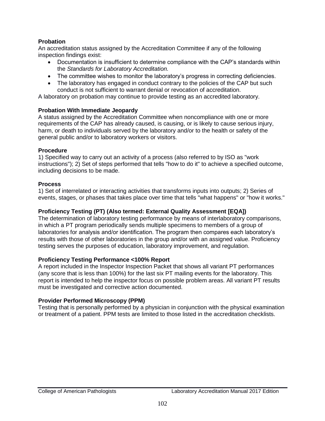### **Probation**

An accreditation status assigned by the Accreditation Committee if any of the following inspection findings exist:

- Documentation is insufficient to determine compliance with the CAP's standards within the *Standards for Laboratory Accreditation.*
- The committee wishes to monitor the laboratory's progress in correcting deficiencies.
- The laboratory has engaged in conduct contrary to the policies of the CAP but such conduct is not sufficient to warrant denial or revocation of accreditation.

A laboratory on probation may continue to provide testing as an accredited laboratory.

### **Probation With Immediate Jeopardy**

A status assigned by the Accreditation Committee when noncompliance with one or more requirements of the CAP has already caused, is causing, or is likely to cause serious injury, harm, or death to individuals served by the laboratory and/or to the health or safety of the general public and/or to laboratory workers or visitors.

### **Procedure**

1) Specified way to carry out an activity of a process (also referred to by ISO as "work instructions"); 2) Set of steps performed that tells "how to do it" to achieve a specified outcome, including decisions to be made.

### **Process**

1) Set of interrelated or interacting activities that transforms inputs into outputs; 2) Series of events, stages, or phases that takes place over time that tells "what happens" or "how it works."

### **Proficiency Testing (PT) (Also termed: External Quality Assessment [EQA])**

The determination of laboratory testing performance by means of interlaboratory comparisons, in which a PT program periodically sends multiple specimens to members of a group of laboratories for analysis and/or identification. The program then compares each laboratory's results with those of other laboratories in the group and/or with an assigned value. Proficiency testing serves the purposes of education, laboratory improvement, and regulation.

### **Proficiency Testing Performance <100% Report**

A report included in the Inspector Inspection Packet that shows all variant PT performances (any score that is less than 100%) for the last six PT mailing events for the laboratory. This report is intended to help the inspector focus on possible problem areas. All variant PT results must be investigated and corrective action documented.

### **Provider Performed Microscopy (PPM)**

Testing that is personally performed by a physician in conjunction with the physical examination or treatment of a patient. PPM tests are limited to those listed in the accreditation checklists.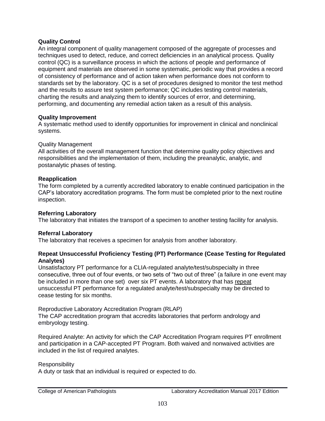### **Quality Control**

An integral component of quality management composed of the aggregate of processes and techniques used to detect, reduce, and correct deficiencies in an analytical process. Quality control (QC) is a surveillance process in which the actions of people and performance of equipment and materials are observed in some systematic, periodic way that provides a record of consistency of performance and of action taken when performance does not conform to standards set by the laboratory. QC is a set of procedures designed to monitor the test method and the results to assure test system performance; QC includes testing control materials, charting the results and analyzing them to identify sources of error, and determining, performing, and documenting any remedial action taken as a result of this analysis.

### **Quality Improvement**

A systematic method used to identify opportunities for improvement in clinical and nonclinical systems.

### Quality Management

All activities of the overall management function that determine quality policy objectives and responsibilities and the implementation of them, including the preanalytic, analytic, and postanalytic phases of testing.

### **Reapplication**

The form completed by a currently accredited laboratory to enable continued participation in the CAP's laboratory accreditation programs. The form must be completed prior to the next routine inspection.

### **Referring Laboratory**

The laboratory that initiates the transport of a specimen to another testing facility for analysis.

### **Referral Laboratory**

The laboratory that receives a specimen for analysis from another laboratory.

#### **Repeat Unsuccessful Proficiency Testing (PT) Performance (Cease Testing for Regulated Analytes)**

Unsatisfactory PT performance for a CLIA-regulated analyte/test/subspecialty in three consecutive, three out of four events, or two sets of "two out of three" (a failure in one event may be included in more than one set) over six PT events. A laboratory that has repeat unsuccessful PT performance for a regulated analyte/test/subspecialty may be directed to cease testing for six months.

Reproductive Laboratory Accreditation Program (RLAP) The CAP accreditation program that accredits laboratories that perform andrology and embryology testing.

Required Analyte: An activity for which the CAP Accreditation Program requires PT enrollment and participation in a CAP-accepted PT Program. Both waived and nonwaived activities are included in the list of required analytes.

#### **Responsibility**

A duty or task that an individual is required or expected to do.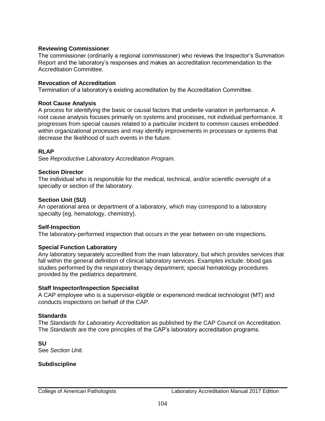### **Reviewing Commissioner**

The commissioner (ordinarily a regional commissioner) who reviews the Inspector's Summation Report and the laboratory's responses and makes an accreditation recommendation to the Accreditation Committee.

#### **Revocation of Accreditation**

Termination of a laboratory's existing accreditation by the Accreditation Committee.

#### **Root Cause Analysis**

A process for identifying the basic or causal factors that underlie variation in performance. A root cause analysis focuses primarily on systems and processes, not individual performance. It progresses from special causes related to a particular incident to common causes embedded within organizational processes and may identify improvements in processes or systems that decrease the likelihood of such events in the future.

#### **RLAP**

See *Reproductive Laboratory Accreditation Program*.

#### **Section Director**

The individual who is responsible for the medical, technical, and/or scientific oversight of a specialty or section of the laboratory.

#### **Section Unit (SU)**

An operational area or department of a laboratory, which may correspond to a laboratory specialty (eg, hematology, chemistry).

#### **Self-Inspection**

The laboratory-performed inspection that occurs in the year between on-site inspections.

#### **Special Function Laboratory**

Any laboratory separately accredited from the main laboratory, but which provides services that fall within the general definition of clinical laboratory services. Examples include: blood gas studies performed by the respiratory therapy department; special hematology procedures provided by the pediatrics department.

#### **Staff Inspector/Inspection Specialist**

A CAP employee who is a supervisor-eligible or experienced medical technologist (MT) and conducts inspections on behalf of the CAP.

#### **Standards**

The *Standards for Laboratory Accreditation* as published by the CAP Council on Accreditation. The *Standards* are the core principles of the CAP's laboratory accreditation programs.

**SU** See *Section Unit.*

#### **Subdiscipline**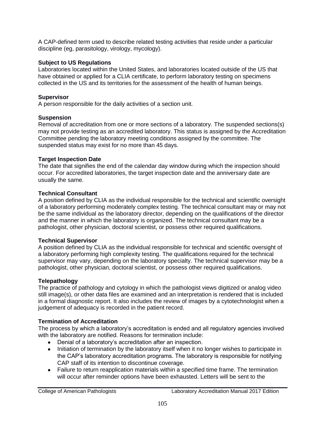A CAP-defined term used to describe related testing activities that reside under a particular discipline (eg, parasitology, virology, mycology).

### **Subject to US Regulations**

Laboratories located within the United States, and laboratories located outside of the US that have obtained or applied for a CLIA certificate, to perform laboratory testing on specimens collected in the US and its territories for the assessment of the health of human beings.

### **Supervisor**

A person responsible for the daily activities of a section unit.

### **Suspension**

Removal of accreditation from one or more sections of a laboratory. The suspended sections(s) may not provide testing as an accredited laboratory. This status is assigned by the Accreditation Committee pending the laboratory meeting conditions assigned by the committee. The suspended status may exist for no more than 45 days.

### **Target Inspection Date**

The date that signifies the end of the calendar day window during which the inspection should occur. For accredited laboratories, the target inspection date and the anniversary date are usually the same.

### **Technical Consultant**

A position defined by CLIA as the individual responsible for the technical and scientific oversight of a laboratory performing moderately complex testing. The technical consultant may or may not be the same individual as the laboratory director, depending on the qualifications of the director and the manner in which the laboratory is organized. The technical consultant may be a pathologist, other physician, doctoral scientist, or possess other required qualifications.

### **Technical Supervisor**

A position defined by CLIA as the individual responsible for technical and scientific oversight of a laboratory performing high complexity testing. The qualifications required for the technical supervisor may vary, depending on the laboratory specialty. The technical supervisor may be a pathologist, other physician, doctoral scientist, or possess other required qualifications.

## **Telepathology**

The practice of pathology and cytology in which the pathologist views digitized or analog video still image(s), or other data files are examined and an interpretation is rendered that is included in a formal diagnostic report. It also includes the review of images by a cytotechnologist when a judgement of adequacy is recorded in the patient record.

## **Termination of Accreditation**

The process by which a laboratory's accreditation is ended and all regulatory agencies involved with the laboratory are notified. Reasons for termination include:

- Denial of a laboratory's accreditation after an inspection.
- Initiation of termination by the laboratory itself when it no longer wishes to participate in the CAP's laboratory accreditation programs. The laboratory is responsible for notifying CAP staff of its intention to discontinue coverage.
- Failure to return reapplication materials within a specified time frame. The termination will occur after reminder options have been exhausted. Letters will be sent to the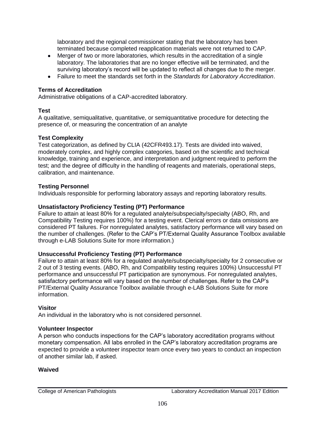laboratory and the regional commissioner stating that the laboratory has been terminated because completed reapplication materials were not returned to CAP.

- Merger of two or more laboratories, which results in the accreditation of a single laboratory. The laboratories that are no longer effective will be terminated, and the surviving laboratory's record will be updated to reflect all changes due to the merger.
- Failure to meet the standards set forth in the *Standards for Laboratory Accreditation*.

### **Terms of Accreditation**

Administrative obligations of a CAP-accredited laboratory.

### **Test**

A qualitative, semiqualitative, quantitative, or semiquantitative procedure for detecting the presence of, or measuring the concentration of an analyte

### **Test Complexity**

Test categorization, as defined by CLIA (42CFR493.17). Tests are divided into waived, moderately complex, and highly complex categories, based on the scientific and technical knowledge, training and experience, and interpretation and judgment required to perform the test; and the degree of difficulty in the handling of reagents and materials, operational steps, calibration, and maintenance.

### **Testing Personnel**

Individuals responsible for performing laboratory assays and reporting laboratory results.

### **Unsatisfactory Proficiency Testing (PT) Performance**

Failure to attain at least 80% for a regulated analyte/subspecialty/specialty (ABO, Rh, and Compatibility Testing requires 100%) for a testing event. Clerical errors or data omissions are considered PT failures. For nonregulated analytes, satisfactory performance will vary based on the number of challenges. (Refer to the CAP's PT/External Quality Assurance Toolbox available through e-LAB Solutions Suite for more information.)

### **Unsuccessful Proficiency Testing (PT) Performance**

Failure to attain at least 80% for a regulated analyte/subspecialty/specialty for 2 consecutive or 2 out of 3 testing events. (ABO, Rh, and Compatibility testing requires 100%) Unsuccessful PT performance and unsuccessful PT participation are synonymous. For nonregulated analytes, satisfactory performance will vary based on the number of challenges. Refer to the CAP's PT/External Quality Assurance Toolbox available through e-LAB Solutions Suite for more information.

### **Visitor**

An individual in the laboratory who is not considered personnel.

### **Volunteer Inspector**

A person who conducts inspections for the CAP's laboratory accreditation programs without monetary compensation. All labs enrolled in the CAP's laboratory accreditation programs are expected to provide a volunteer inspector team once every two years to conduct an inspection of another similar lab, if asked.

### **Waived**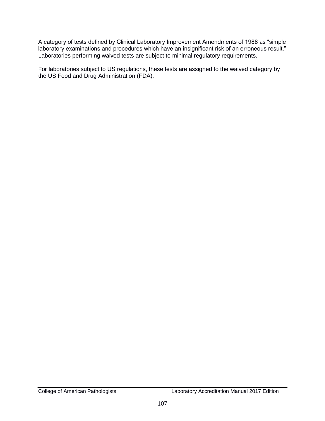A category of tests defined by Clinical Laboratory Improvement Amendments of 1988 as "simple laboratory examinations and procedures which have an insignificant risk of an erroneous result." Laboratories performing waived tests are subject to minimal regulatory requirements.

For laboratories subject to US regulations, these tests are assigned to the waived category by the US Food and Drug Administration (FDA).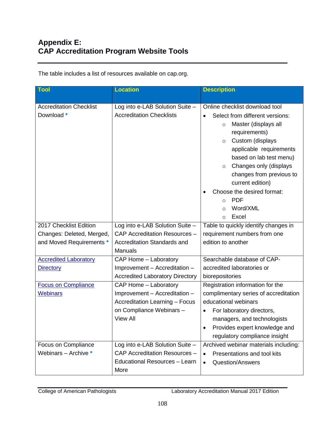The table includes a list of resources available on cap.org.

| Tool                                                                                                                                | <b>Location</b>                                                                                                                                                                          | <b>Description</b>                                                                                                                                                                                                                                                                                                                                                                                |
|-------------------------------------------------------------------------------------------------------------------------------------|------------------------------------------------------------------------------------------------------------------------------------------------------------------------------------------|---------------------------------------------------------------------------------------------------------------------------------------------------------------------------------------------------------------------------------------------------------------------------------------------------------------------------------------------------------------------------------------------------|
| <b>Accreditation Checklist</b><br>Download *                                                                                        | Log into e-LAB Solution Suite -<br><b>Accreditation Checklists</b>                                                                                                                       | Online checklist download tool<br>Select from different versions:<br>Master (displays all<br>$\circ$<br>requirements)<br>Custom (displays<br>$\circ$<br>applicable requirements<br>based on lab test menu)<br>Changes only (displays<br>$\circ$<br>changes from previous to<br>current edition)<br>Choose the desired format:<br><b>PDF</b><br>$\circ$<br>Word/XML<br>$\circ$<br>Excel<br>$\circ$ |
| 2017 Checklist Edition<br>Changes: Deleted, Merged,<br>and Moved Requirements *<br><b>Accredited Laboratory</b><br><b>Directory</b> | Log into e-LAB Solution Suite -<br>CAP Accreditation Resources -<br><b>Accreditation Standards and</b><br><b>Manuals</b><br>CAP Home - Laboratory<br>Improvement - Accreditation -       | Table to quickly identify changes in<br>requirement numbers from one<br>edition to another<br>Searchable database of CAP-<br>accredited laboratories or                                                                                                                                                                                                                                           |
| <b>Focus on Compliance</b><br><b>Webinars</b>                                                                                       | <b>Accredited Laboratory Directory</b><br>CAP Home - Laboratory<br>Improvement - Accreditation -<br><b>Accreditation Learning - Focus</b><br>on Compliance Webinars -<br><b>View All</b> | biorepositories<br>Registration information for the<br>complimentary series of accreditation<br>educational webinars<br>For laboratory directors,<br>managers, and technologists<br>Provides expert knowledge and<br>regulatory compliance insight                                                                                                                                                |
| Focus on Compliance<br>Webinars - Archive *                                                                                         | Log into e-LAB Solution Suite -<br>CAP Accreditation Resources -<br><b>Educational Resources - Learn</b><br>More                                                                         | Archived webinar materials including:<br>Presentations and tool kits<br><b>Question/Answers</b><br>$\bullet$                                                                                                                                                                                                                                                                                      |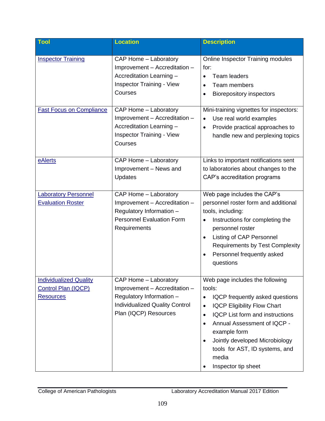| <b>Tool</b>                                                              | <b>Location</b>                                                                                                                                      | <b>Description</b>                                                                                                                                                                                                                                                                                                                                  |
|--------------------------------------------------------------------------|------------------------------------------------------------------------------------------------------------------------------------------------------|-----------------------------------------------------------------------------------------------------------------------------------------------------------------------------------------------------------------------------------------------------------------------------------------------------------------------------------------------------|
| <b>Inspector Training</b>                                                | CAP Home - Laboratory<br>Improvement - Accreditation -<br>Accreditation Learning -<br><b>Inspector Training - View</b><br>Courses                    | Online Inspector Training modules<br>for:<br><b>Team leaders</b><br>Team members<br><b>Biorepository inspectors</b>                                                                                                                                                                                                                                 |
| <b>Fast Focus on Compliance</b>                                          | CAP Home - Laboratory<br>Improvement - Accreditation -<br>Accreditation Learning -<br><b>Inspector Training - View</b><br>Courses                    | Mini-training vignettes for inspectors:<br>Use real world examples<br>Provide practical approaches to<br>handle new and perplexing topics                                                                                                                                                                                                           |
| eAlerts                                                                  | CAP Home - Laboratory<br>Improvement - News and<br>Updates                                                                                           | Links to important notifications sent<br>to laboratories about changes to the<br>CAP's accreditation programs                                                                                                                                                                                                                                       |
| <b>Laboratory Personnel</b><br><b>Evaluation Roster</b>                  | CAP Home - Laboratory<br>Improvement - Accreditation -<br>Regulatory Information -<br><b>Personnel Evaluation Form</b><br>Requirements               | Web page includes the CAP's<br>personnel roster form and additional<br>tools, including:<br>Instructions for completing the<br>personnel roster<br>Listing of CAP Personnel<br>$\bullet$<br><b>Requirements by Test Complexity</b><br>Personnel frequently asked<br>questions                                                                       |
| <b>Individualized Quality</b><br>Control Plan (IQCP)<br><b>Resources</b> | CAP Home - Laboratory<br>Improvement - Accreditation -<br>Regulatory Information -<br><b>Individualized Quality Control</b><br>Plan (IQCP) Resources | Web page includes the following<br>tools:<br>IQCP frequently asked questions<br>$\bullet$<br><b>IQCP Eligibility Flow Chart</b><br>$\bullet$<br><b>IQCP List form and instructions</b><br>٠<br>Annual Assessment of IQCP -<br>٠<br>example form<br>Jointly developed Microbiology<br>tools for AST, ID systems, and<br>media<br>Inspector tip sheet |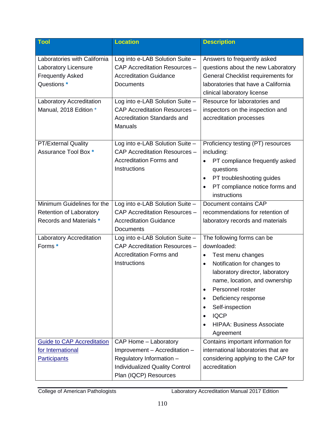| <b>Tool</b>                                                                                                                                                 | <b>Location</b>                                                                                                                                                                                                                     | <b>Description</b>                                                                                                                                                                                                                                                                                             |
|-------------------------------------------------------------------------------------------------------------------------------------------------------------|-------------------------------------------------------------------------------------------------------------------------------------------------------------------------------------------------------------------------------------|----------------------------------------------------------------------------------------------------------------------------------------------------------------------------------------------------------------------------------------------------------------------------------------------------------------|
| Laboratories with California<br>Laboratory Licensure<br><b>Frequently Asked</b><br>Questions *<br><b>Laboratory Accreditation</b><br>Manual, 2018 Edition * | Log into e-LAB Solution Suite -<br>CAP Accreditation Resources -<br><b>Accreditation Guidance</b><br>Documents<br>Log into e-LAB Solution Suite -<br>CAP Accreditation Resources -<br>Accreditation Standards and<br><b>Manuals</b> | Answers to frequently asked<br>questions about the new Laboratory<br>General Checklist requirements for<br>laboratories that have a California<br>clinical laboratory license<br>Resource for laboratories and<br>inspectors on the inspection and<br>accreditation processes                                  |
| <b>PT/External Quality</b><br>Assurance Tool Box *<br>Minimum Guidelines for the<br><b>Retention of Laboratory</b>                                          | Log into e-LAB Solution Suite -<br>CAP Accreditation Resources -<br><b>Accreditation Forms and</b><br>Instructions<br>Log into e-LAB Solution Suite -<br>CAP Accreditation Resources -                                              | Proficiency testing (PT) resources<br>including:<br>PT compliance frequently asked<br>$\bullet$<br>questions<br>PT troubleshooting guides<br>٠<br>PT compliance notice forms and<br>instructions<br>Document contains CAP<br>recommendations for retention of                                                  |
| Records and Materials *                                                                                                                                     | <b>Accreditation Guidance</b><br>Documents                                                                                                                                                                                          | laboratory records and materials                                                                                                                                                                                                                                                                               |
| Laboratory Accreditation<br>Forms*                                                                                                                          | Log into e-LAB Solution Suite -<br>CAP Accreditation Resources -<br><b>Accreditation Forms and</b><br>Instructions                                                                                                                  | The following forms can be<br>downloaded:<br>Test menu changes<br>Notification for changes to<br>laboratory director, laboratory<br>name, location, and ownership<br>Personnel roster<br>٠<br>Deficiency response<br>٠<br>Self-inspection<br>٠<br><b>IQCP</b><br><b>HIPAA: Business Associate</b><br>Agreement |
| <b>Guide to CAP Accreditation</b><br>for International                                                                                                      | CAP Home - Laboratory<br>Improvement - Accreditation -                                                                                                                                                                              | Contains important information for<br>international laboratories that are                                                                                                                                                                                                                                      |
| <b>Participants</b>                                                                                                                                         | Regulatory Information -<br><b>Individualized Quality Control</b><br>Plan (IQCP) Resources                                                                                                                                          | considering applying to the CAP for<br>accreditation                                                                                                                                                                                                                                                           |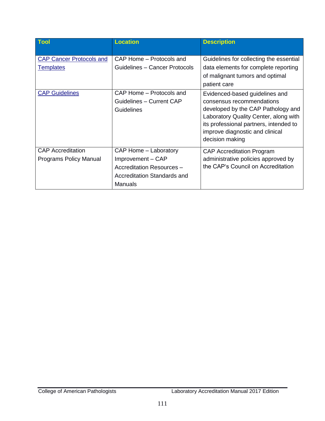| <b>Tool</b>                     | <b>Location</b>               | <b>Description</b>                                                        |
|---------------------------------|-------------------------------|---------------------------------------------------------------------------|
| <b>CAP Cancer Protocols and</b> | CAP Home – Protocols and      | Guidelines for collecting the essential                                   |
| <b>Templates</b>                | Guidelines – Cancer Protocols | data elements for complete reporting                                      |
|                                 |                               | of malignant tumors and optimal                                           |
|                                 |                               | patient care                                                              |
| <b>CAP Guidelines</b>           | CAP Home - Protocols and      | Evidenced-based guidelines and                                            |
|                                 | Guidelines - Current CAP      | consensus recommendations                                                 |
|                                 | Guidelines                    | developed by the CAP Pathology and                                        |
|                                 |                               | Laboratory Quality Center, along with                                     |
|                                 |                               | its professional partners, intended to<br>improve diagnostic and clinical |
|                                 |                               | decision making                                                           |
|                                 |                               |                                                                           |
| <b>CAP Accreditation</b>        | CAP Home - Laboratory         | <b>CAP Accreditation Program</b>                                          |
| <b>Programs Policy Manual</b>   | Improvement - CAP             | administrative policies approved by                                       |
|                                 | Accreditation Resources -     | the CAP's Council on Accreditation                                        |
|                                 | Accreditation Standards and   |                                                                           |
|                                 | <b>Manuals</b>                |                                                                           |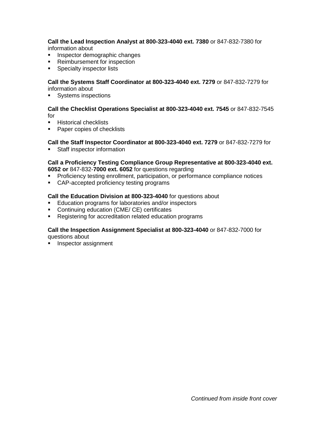**Call the Lead Inspection Analyst at 800-323-4040 ext. 7380** or 847-832-7380 for information about

- **Inspector demographic changes**
- **Reimbursement for inspection**
- **Specialty inspector lists**

**Call the Systems Staff Coordinator at 800-323-4040 ext. 7279** or 847-832-7279 for information about

**Systems inspections** 

**Call the Checklist Operations Specialist at 800-323-4040 ext. 7545** or 847-832-7545 for

- **Historical checklists**
- **Paper copies of checklists**

## **Call the Staff Inspector Coordinator at 800-323-4040 ext. 7279** or 847-832-7279 for

**Staff inspector information** 

#### **Call a Proficiency Testing Compliance Group Representative at 800-323-4040 ext. 6052 or** 847-832-**7000 ext. 6052** for questions regarding

- **Proficiency testing enrollment, participation, or performance compliance notices**
- CAP-accepted proficiency testing programs

### **Call the Education Division at 800-323-4040** for questions about

- **Education programs for laboratories and/or inspectors**
- Continuing education (CME/ CE) certificates
- **Registering for accreditation related education programs**

#### **Call the Inspection Assignment Specialist at 800-323-4040** or 847-832-7000 for questions about

**Inspector assignment**